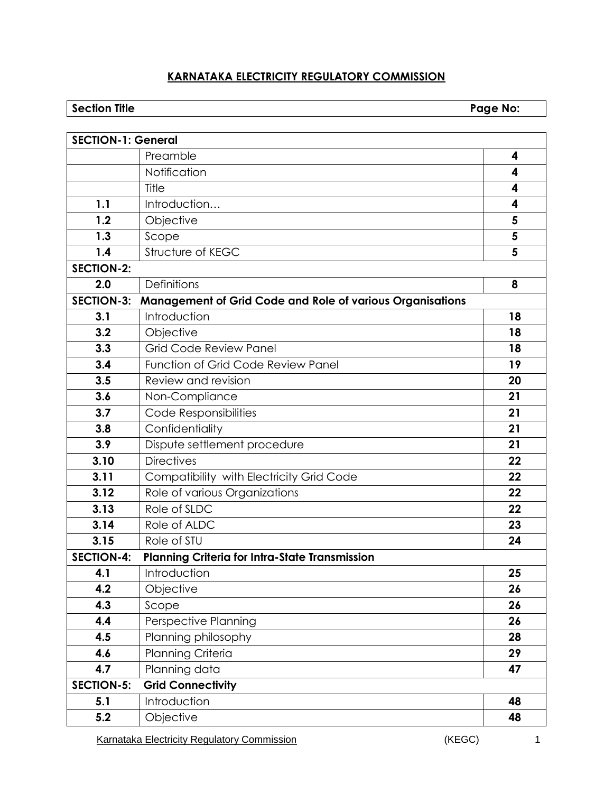# **KARNATAKA ELECTRICITY REGULATORY COMMISSION**

# **Section Title Page No:**

| <b>SECTION-1: General</b> |                                                                  |    |
|---------------------------|------------------------------------------------------------------|----|
|                           | Preamble                                                         | 4  |
|                           | Notification                                                     | 4  |
|                           | Title                                                            | 4  |
| 1.1                       | Introduction                                                     | 4  |
| 1.2                       | Objective                                                        | 5  |
| 1.3                       | Scope                                                            | 5  |
| 1.4                       | Structure of KEGC                                                | 5  |
| <b>SECTION-2:</b>         |                                                                  |    |
| 2.0                       | <b>Definitions</b>                                               | 8  |
| <b>SECTION-3:</b>         | <b>Management of Grid Code and Role of various Organisations</b> |    |
| 3.1                       | Introduction                                                     | 18 |
| 3.2                       | Objective                                                        | 18 |
| 3.3                       | <b>Grid Code Review Panel</b>                                    | 18 |
| 3.4                       | <b>Function of Grid Code Review Panel</b>                        | 19 |
| 3.5                       | Review and revision                                              | 20 |
| 3.6                       | Non-Compliance                                                   | 21 |
| 3.7                       | Code Responsibilities                                            | 21 |
| 3.8                       | Confidentiality                                                  | 21 |
| 3.9                       | Dispute settlement procedure                                     | 21 |
| 3.10                      | <b>Directives</b>                                                | 22 |
| 3.11                      | Compatibility with Electricity Grid Code                         | 22 |
| 3.12                      | Role of various Organizations                                    | 22 |
| 3.13                      | Role of SLDC                                                     | 22 |
| 3.14                      | Role of ALDC                                                     | 23 |
| 3.15                      | Role of STU                                                      | 24 |
| <b>SECTION-4:</b>         | <b>Planning Criteria for Intra-State Transmission</b>            |    |
| 4.1                       | Introduction                                                     | 25 |
| 4.2                       | Objective                                                        | 26 |
| 4.3                       | Scope                                                            | 26 |
| 4.4                       | Perspective Planning                                             | 26 |
| 4.5                       | Planning philosophy                                              | 28 |
| 4.6                       | Planning Criteria                                                | 29 |
| 4.7                       | Planning data                                                    | 47 |
| <b>SECTION-5:</b>         | <b>Grid Connectivity</b>                                         |    |
| 5.1                       | Introduction                                                     | 48 |
| 5.2                       | Objective                                                        | 48 |

Karnataka Electricity Regulatory Commission **1** (KEGC) 1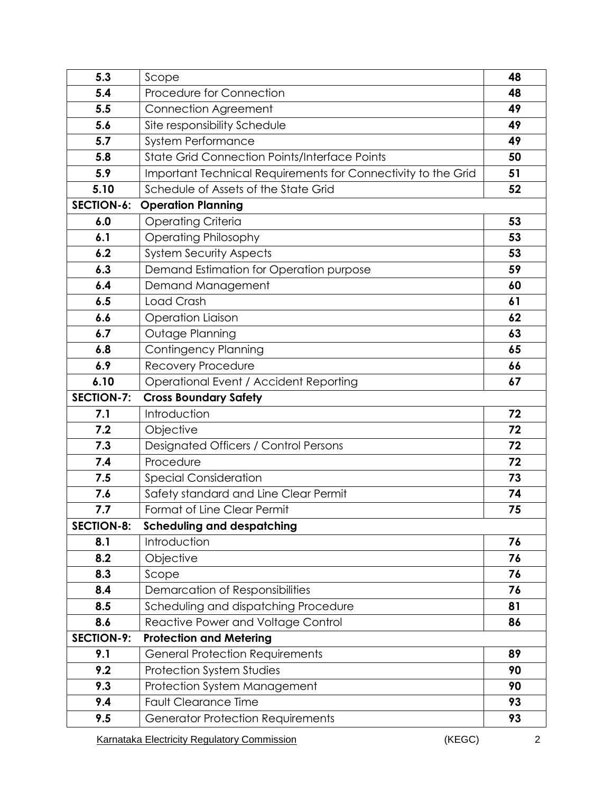| 5.3               | Scope                                                         |    |  |  |  |  |
|-------------------|---------------------------------------------------------------|----|--|--|--|--|
| 5.4               | Procedure for Connection                                      | 48 |  |  |  |  |
| 5.5               | <b>Connection Agreement</b>                                   |    |  |  |  |  |
| 5.6               | Site responsibility Schedule                                  |    |  |  |  |  |
| 5.7               | <b>System Performance</b>                                     |    |  |  |  |  |
| 5.8               | <b>State Grid Connection Points/Interface Points</b>          |    |  |  |  |  |
| 5.9               | Important Technical Requirements for Connectivity to the Grid |    |  |  |  |  |
| 5.10              | Schedule of Assets of the State Grid                          |    |  |  |  |  |
| <b>SECTION-6:</b> | <b>Operation Planning</b>                                     |    |  |  |  |  |
| 6.0               | <b>Operating Criteria</b>                                     | 53 |  |  |  |  |
| 6.1               | <b>Operating Philosophy</b>                                   | 53 |  |  |  |  |
| 6.2               | <b>System Security Aspects</b>                                | 53 |  |  |  |  |
| 6.3               | Demand Estimation for Operation purpose                       | 59 |  |  |  |  |
| 6.4               | Demand Management                                             | 60 |  |  |  |  |
| 6.5               | Load Crash                                                    | 61 |  |  |  |  |
| 6.6               | <b>Operation Liaison</b>                                      |    |  |  |  |  |
| 6.7               | Outage Planning                                               | 63 |  |  |  |  |
| 6.8               | <b>Contingency Planning</b>                                   |    |  |  |  |  |
| 6.9               | Recovery Procedure                                            |    |  |  |  |  |
| 6.10              | Operational Event / Accident Reporting                        | 67 |  |  |  |  |
| <b>SECTION-7:</b> | <b>Cross Boundary Safety</b>                                  |    |  |  |  |  |
| 7.1               | Introduction                                                  | 72 |  |  |  |  |
| 7.2               | Objective                                                     | 72 |  |  |  |  |
| 7.3               | Designated Officers / Control Persons                         |    |  |  |  |  |
| 7.4               | Procedure                                                     |    |  |  |  |  |
| 7.5               | <b>Special Consideration</b>                                  |    |  |  |  |  |
| 7.6               | Safety standard and Line Clear Permit                         |    |  |  |  |  |
| 7.7               | Format of Line Clear Permit                                   | 75 |  |  |  |  |
| <b>SECTION-8:</b> | <b>Scheduling and despatching</b>                             |    |  |  |  |  |
| 8.1               | Introduction                                                  | 76 |  |  |  |  |
| 8.2               | Objective                                                     | 76 |  |  |  |  |
| 8.3               | Scope                                                         | 76 |  |  |  |  |
| 8.4               | Demarcation of Responsibilities                               | 76 |  |  |  |  |
| 8.5               | Scheduling and dispatching Procedure                          | 81 |  |  |  |  |
| 8.6               | Reactive Power and Voltage Control                            | 86 |  |  |  |  |
| <b>SECTION-9:</b> | <b>Protection and Metering</b>                                |    |  |  |  |  |
| 9.1               | <b>General Protection Requirements</b>                        | 89 |  |  |  |  |
| 9.2               | <b>Protection System Studies</b>                              | 90 |  |  |  |  |
| 9.3               | Protection System Management                                  | 90 |  |  |  |  |
| 9.4               | <b>Fault Clearance Time</b>                                   | 93 |  |  |  |  |
| 9.5               | <b>Generator Protection Requirements</b>                      | 93 |  |  |  |  |

Karnataka Electricity Regulatory Commission **Electricity Regulatory Commission 1** (KEGC)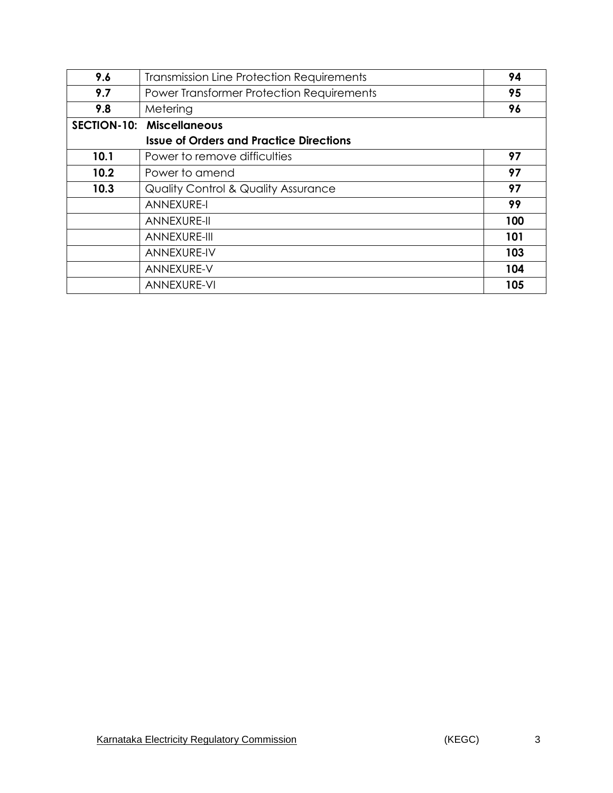| 9.6                | <b>Transmission Line Protection Requirements</b> |     |  |  |  |
|--------------------|--------------------------------------------------|-----|--|--|--|
| 9.7                | Power Transformer Protection Requirements        | 95  |  |  |  |
| 9.8                | Metering                                         | 96  |  |  |  |
| <b>SECTION-10:</b> | <b>Miscellaneous</b>                             |     |  |  |  |
|                    | <b>Issue of Orders and Practice Directions</b>   |     |  |  |  |
| 10.1               | Power to remove difficulties                     | 97  |  |  |  |
| 10.2               | Power to amend                                   | 97  |  |  |  |
| 10.3               | <b>Quality Control &amp; Quality Assurance</b>   | 97  |  |  |  |
|                    | <b>ANNEXURE-I</b>                                | 99  |  |  |  |
|                    | ANNEXURE-II                                      | 100 |  |  |  |
|                    | ANNEXURE-III                                     | 101 |  |  |  |
|                    | <b>ANNEXURE-IV</b>                               | 103 |  |  |  |
|                    | ANNEXURE-V                                       | 104 |  |  |  |
|                    | ANNEXURE-VI                                      | 105 |  |  |  |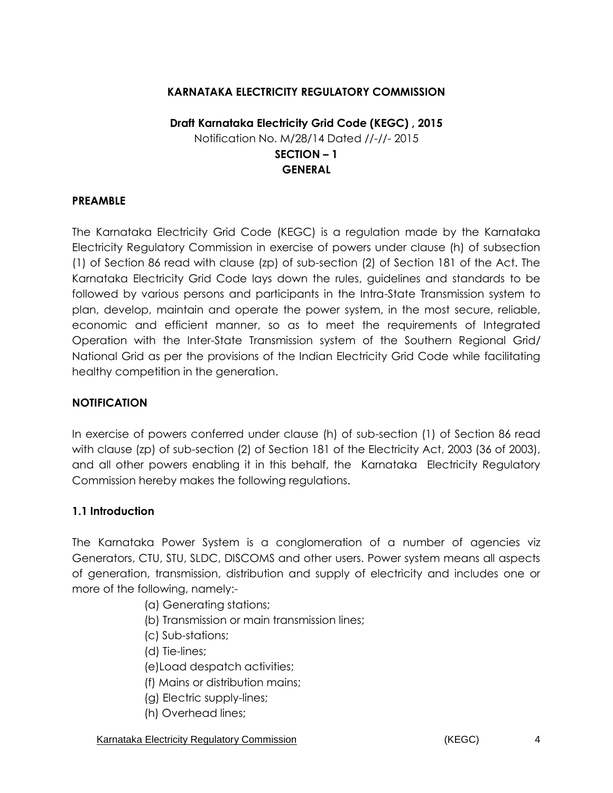### **KARNATAKA ELECTRICITY REGULATORY COMMISSION**

## **Draft Karnataka Electricity Grid Code (KEGC) , 2015** Notification No. M/28/14 Dated //-//- 2015 **SECTION – 1 GENERAL**

#### **PREAMBLE**

The Karnataka Electricity Grid Code (KEGC) is a regulation made by the Karnataka Electricity Regulatory Commission in exercise of powers under clause (h) of subsection (1) of Section 86 read with clause (zp) of sub-section (2) of Section 181 of the Act. The Karnataka Electricity Grid Code lays down the rules, guidelines and standards to be followed by various persons and participants in the Intra-State Transmission system to plan, develop, maintain and operate the power system, in the most secure, reliable, economic and efficient manner, so as to meet the requirements of Integrated Operation with the Inter-State Transmission system of the Southern Regional Grid/ National Grid as per the provisions of the Indian Electricity Grid Code while facilitating healthy competition in the generation.

#### **NOTIFICATION**

In exercise of powers conferred under clause (h) of sub-section (1) of Section 86 read with clause (zp) of sub-section (2) of Section 181 of the Electricity Act, 2003 (36 of 2003), and all other powers enabling it in this behalf, the Karnataka Electricity Regulatory Commission hereby makes the following regulations.

#### **1.1 Introduction**

The Karnataka Power System is a conglomeration of a number of agencies viz Generators, CTU, STU, SLDC, DISCOMS and other users. Power system means all aspects of generation, transmission, distribution and supply of electricity and includes one or more of the following, namely:-

- (a) Generating stations;
- (b) Transmission or main transmission lines;
- (c) Sub-stations;
- (d) Tie-lines;
- (e)Load despatch activities;
- (f) Mains or distribution mains;
- (g) Electric supply-lines;
- (h) Overhead lines;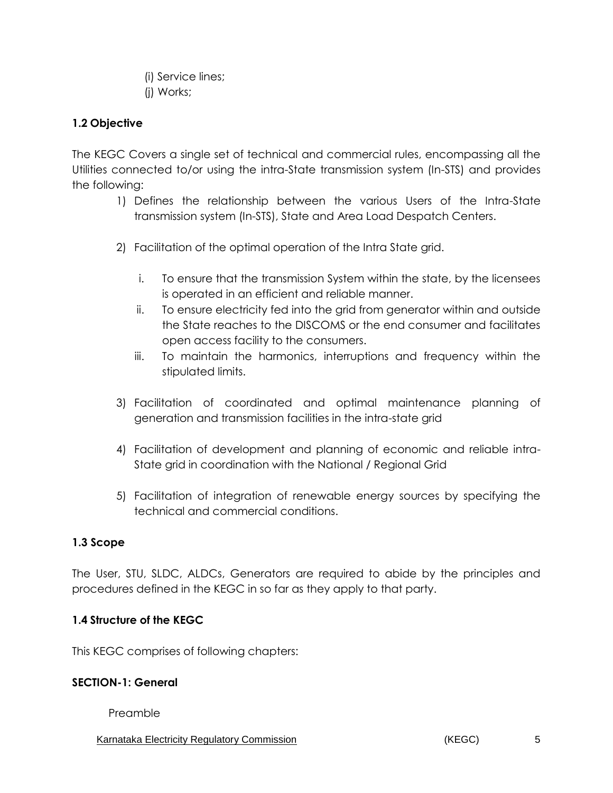(i) Service lines;

(j) Works;

# **1.2 Objective**

The KEGC Covers a single set of technical and commercial rules, encompassing all the Utilities connected to/or using the intra-State transmission system (In-STS) and provides the following:

- 1) Defines the relationship between the various Users of the Intra-State transmission system (In-STS), State and Area Load Despatch Centers.
- 2) Facilitation of the optimal operation of the Intra State grid.
	- i. To ensure that the transmission System within the state, by the licensees is operated in an efficient and reliable manner.
	- ii. To ensure electricity fed into the grid from generator within and outside the State reaches to the DISCOMS or the end consumer and facilitates open access facility to the consumers.
	- iii. To maintain the harmonics, interruptions and frequency within the stipulated limits.
- 3) Facilitation of coordinated and optimal maintenance planning of generation and transmission facilities in the intra-state grid
- 4) Facilitation of development and planning of economic and reliable intra-State grid in coordination with the National / Regional Grid
- 5) Facilitation of integration of renewable energy sources by specifying the technical and commercial conditions.

## **1.3 Scope**

The User, STU, SLDC, ALDCs, Generators are required to abide by the principles and procedures defined in the KEGC in so far as they apply to that party.

## **1.4 Structure of the KEGC**

This KEGC comprises of following chapters:

#### **SECTION-1: General**

Preamble

Karnataka Electricity Regulatory Commission **6 and 5 and 5 and 5 and 7 and 7 and 7 and 7 and 7 and 7 and 7 and 7 and 7 and 7 and 7 and 7 and 7 and 7 and 7 and 7 and 7 and 7 and 7 and 7 and 7 and 7 and 7 and 7 and 7 and 7 a**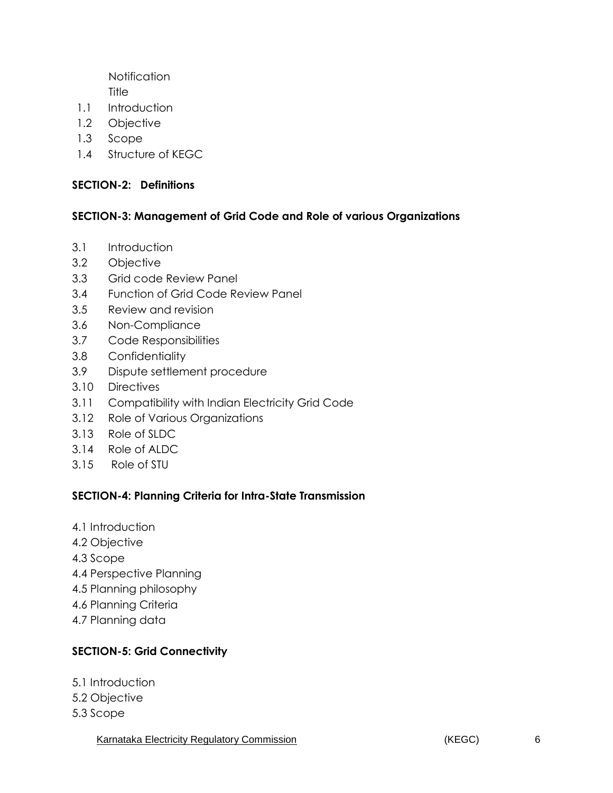**Notification Title** 

- 1.1 Introduction
- 1.2 Objective
- 1.3 Scope
- 1.4 Structure of KEGC

#### **SECTION-2: Definitions**

#### **SECTION-3: Management of Grid Code and Role of various Organizations**

- 3.1 Introduction
- 3.2 Objective
- 3.3 Grid code Review Panel
- 3.4 Function of Grid Code Review Panel
- 3.5 Review and revision
- 3.6 Non-Compliance
- 3.7 Code Responsibilities
- 3.8 Confidentiality
- 3.9 Dispute settlement procedure
- 3.10 Directives
- 3.11 Compatibility with Indian Electricity Grid Code
- 3.12 Role of Various Organizations
- 3.13 Role of SLDC
- 3.14 Role of ALDC
- 3.15 Role of STU

#### **SECTION-4: Planning Criteria for Intra-State Transmission**

- 4.1 Introduction
- 4.2 Objective
- 4.3 Scope
- 4.4 Perspective Planning
- 4.5 Planning philosophy
- 4.6 Planning Criteria
- 4.7 Planning data

## **SECTION-5: Grid Connectivity**

- 5.1 Introduction
- 5.2 Objective
- 5.3 Scope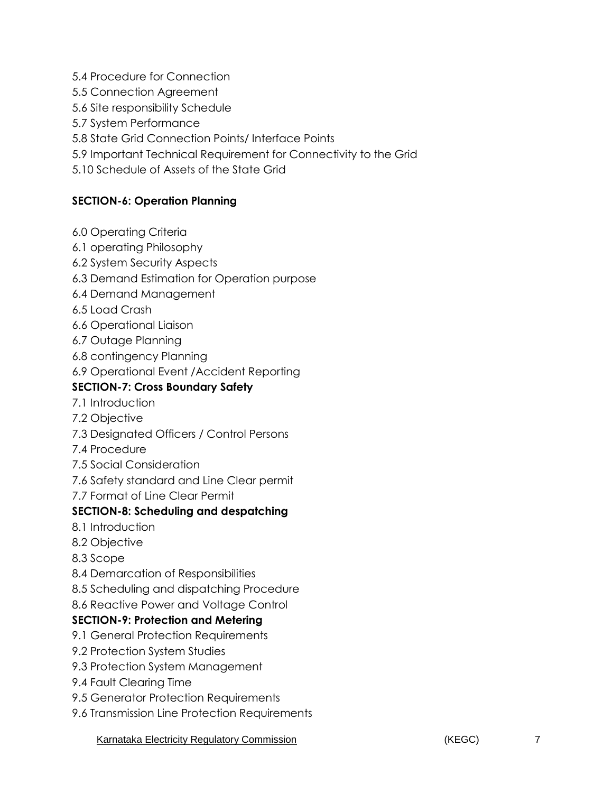5.4 Procedure for Connection

5.5 Connection Agreement

5.6 Site responsibility Schedule

5.7 System Performance

5.8 State Grid Connection Points/ Interface Points

5.9 Important Technical Requirement for Connectivity to the Grid

5.10 Schedule of Assets of the State Grid

## **SECTION-6: Operation Planning**

- 6.0 Operating Criteria
- 6.1 operating Philosophy
- 6.2 System Security Aspects
- 6.3 Demand Estimation for Operation purpose
- 6.4 Demand Management
- 6.5 Load Crash
- 6.6 Operational Liaison
- 6.7 Outage Planning
- 6.8 contingency Planning
- 6.9 Operational Event /Accident Reporting

## **SECTION-7: Cross Boundary Safety**

- 7.1 Introduction
- 7.2 Objective
- 7.3 Designated Officers / Control Persons
- 7.4 Procedure
- 7.5 Social Consideration
- 7.6 Safety standard and Line Clear permit
- 7.7 Format of Line Clear Permit

## **SECTION-8: Scheduling and despatching**

- 8.1 Introduction
- 8.2 Objective
- 8.3 Scope
- 8.4 Demarcation of Responsibilities
- 8.5 Scheduling and dispatching Procedure
- 8.6 Reactive Power and Voltage Control

## **SECTION-9: Protection and Metering**

- 9.1 General Protection Requirements
- 9.2 Protection System Studies
- 9.3 Protection System Management
- 9.4 Fault Clearing Time
- 9.5 Generator Protection Requirements
- 9.6 Transmission Line Protection Requirements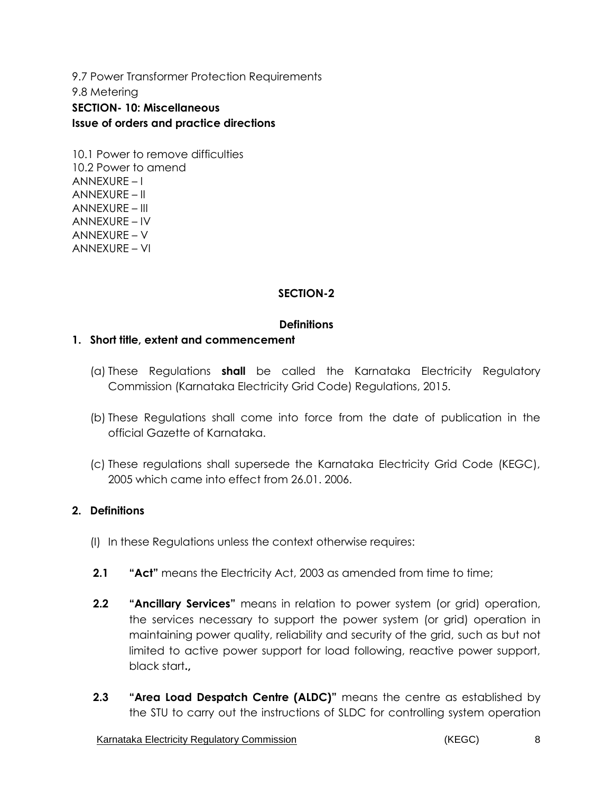9.7 Power Transformer Protection Requirements 9.8 Metering **SECTION- 10: Miscellaneous Issue of orders and practice directions**

10.1 Power to remove difficulties 10.2 Power to amend ANNEXURE – I ANNEXURE – II ANNEXURE – III ANNEXURE – IV ANNEXURE – V ANNEXURE – VI

#### **SECTION-2**

#### **Definitions**

#### **1. Short title, extent and commencement**

- (a) These Regulations **shall** be called the Karnataka Electricity Regulatory Commission (Karnataka Electricity Grid Code) Regulations, 2015.
- (b) These Regulations shall come into force from the date of publication in the official Gazette of Karnataka.
- (c) These regulations shall supersede the Karnataka Electricity Grid Code (KEGC), 2005 which came into effect from 26.01. 2006.

#### **2. Definitions**

- (I) In these Regulations unless the context otherwise requires:
- **2.1 "Act"** means the Electricity Act, 2003 as amended from time to time;
- **2.2 "Ancillary Services"** means in relation to power system (or grid) operation, the services necessary to support the power system (or grid) operation in maintaining power quality, reliability and security of the grid, such as but not limited to active power support for load following, reactive power support, black start**.,**
- **2.3 "Area Load Despatch Centre (ALDC)"** means the centre as established by the STU to carry out the instructions of SLDC for controlling system operation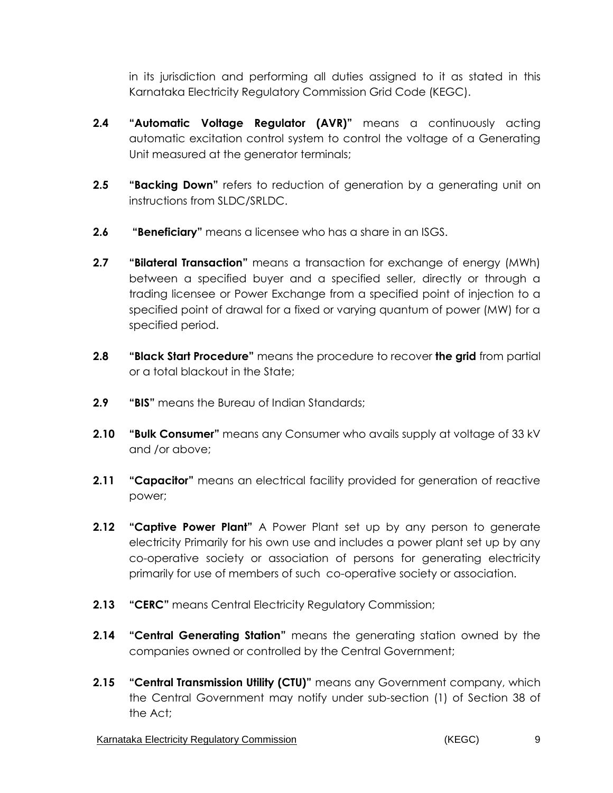in its jurisdiction and performing all duties assigned to it as stated in this Karnataka Electricity Regulatory Commission Grid Code (KEGC).

- **2.4 "Automatic Voltage Regulator (AVR)"** means a continuously acting automatic excitation control system to control the voltage of a Generating Unit measured at the generator terminals;
- **2.5 "Backing Down"** refers to reduction of generation by a generating unit on instructions from SLDC/SRLDC.
- **2.6 "Beneficiary"** means a licensee who has a share in an ISGS.
- **2.7 "Bilateral Transaction"** means a transaction for exchange of energy (MWh) between a specified buyer and a specified seller, directly or through a trading licensee or Power Exchange from a specified point of injection to a specified point of drawal for a fixed or varying quantum of power (MW) for a specified period.
- **2.8 "Black Start Procedure"** means the procedure to recover **the grid** from partial or a total blackout in the State;
- **2.9 "BIS"** means the Bureau of Indian Standards;
- **2.10 "Bulk Consumer"** means any Consumer who avails supply at voltage of 33 kV and /or above;
- **2.11 "Capacitor"** means an electrical facility provided for generation of reactive power;
- **2.12 "Captive Power Plant"** A Power Plant set up by any person to generate electricity Primarily for his own use and includes a power plant set up by any co-operative society or association of persons for generating electricity primarily for use of members of such co-operative society or association.
- **2.13 "CERC"** means Central Electricity Regulatory Commission;
- **2.14 "Central Generating Station"** means the generating station owned by the companies owned or controlled by the Central Government;
- **2.15 "Central Transmission Utility (CTU)"** means any Government company, which the Central Government may notify under sub-section (1) of Section 38 of the Act;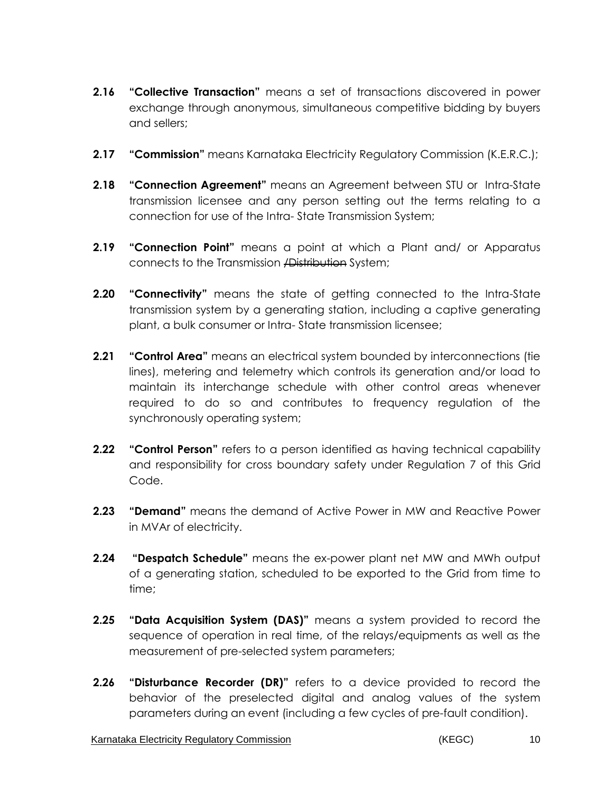- **2.16 "Collective Transaction"** means a set of transactions discovered in power exchange through anonymous, simultaneous competitive bidding by buyers and sellers;
- **2.17 "Commission"** means Karnataka Electricity Regulatory Commission (K.E.R.C.);
- **2.18 "Connection Agreement"** means an Agreement between STU or Intra-State transmission licensee and any person setting out the terms relating to a connection for use of the Intra- State Transmission System;
- **2.19 "Connection Point"** means a point at which a Plant and/ or Apparatus connects to the Transmission /Distribution System;
- **2.20 "Connectivity"** means the state of getting connected to the Intra-State transmission system by a generating station, including a captive generating plant, a bulk consumer or Intra- State transmission licensee;
- **2.21 "Control Area"** means an electrical system bounded by interconnections (tie lines), metering and telemetry which controls its generation and/or load to maintain its interchange schedule with other control areas whenever required to do so and contributes to frequency regulation of the synchronously operating system;
- **2.22 "Control Person"** refers to a person identified as having technical capability and responsibility for cross boundary safety under Regulation 7 of this Grid Code.
- **2.23 "Demand"** means the demand of Active Power in MW and Reactive Power in MVAr of electricity.
- **2.24 "Despatch Schedule"** means the ex-power plant net MW and MWh output of a generating station, scheduled to be exported to the Grid from time to time;
- **2.25 "Data Acquisition System (DAS)"** means a system provided to record the sequence of operation in real time, of the relays/equipments as well as the measurement of pre-selected system parameters;
- **2.26 "Disturbance Recorder (DR)"** refers to a device provided to record the behavior of the preselected digital and analog values of the system parameters during an event (including a few cycles of pre-fault condition).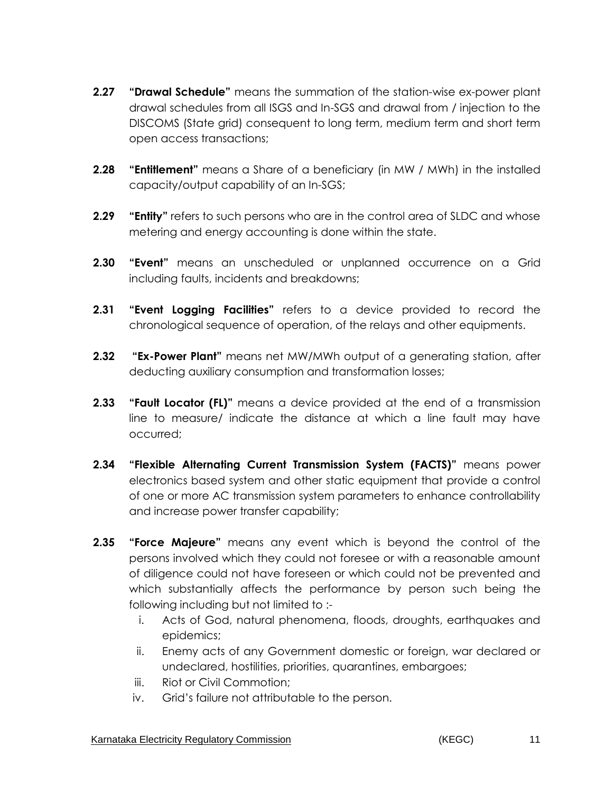- **2.27 "Drawal Schedule"** means the summation of the station-wise ex-power plant drawal schedules from all ISGS and In-SGS and drawal from / injection to the DISCOMS (State grid) consequent to long term, medium term and short term open access transactions;
- **2.28 "Entitlement"** means a Share of a beneficiary (in MW / MWh) in the installed capacity/output capability of an In-SGS;
- **2.29 "Entity"** refers to such persons who are in the control area of SLDC and whose metering and energy accounting is done within the state.
- **2.30 "Event"** means an unscheduled or unplanned occurrence on a Grid including faults, incidents and breakdowns;
- **2.31 "Event Logging Facilities"** refers to a device provided to record the chronological sequence of operation, of the relays and other equipments.
- **2.32 "Ex-Power Plant"** means net MW/MWh output of a generating station, after deducting auxiliary consumption and transformation losses;
- **2.33 "Fault Locator (FL)"** means a device provided at the end of a transmission line to measure/ indicate the distance at which a line fault may have occurred;
- **2.34 "Flexible Alternating Current Transmission System (FACTS)"** means power electronics based system and other static equipment that provide a control of one or more AC transmission system parameters to enhance controllability and increase power transfer capability;
- **2.35 "Force Majeure"** means any event which is beyond the control of the persons involved which they could not foresee or with a reasonable amount of diligence could not have foreseen or which could not be prevented and which substantially affects the performance by person such being the following including but not limited to :
	- i. Acts of God, natural phenomena, floods, droughts, earthquakes and epidemics;
	- ii. Enemy acts of any Government domestic or foreign, war declared or undeclared, hostilities, priorities, quarantines, embargoes;
	- iii. Riot or Civil Commotion;
	- iv. Grid's failure not attributable to the person.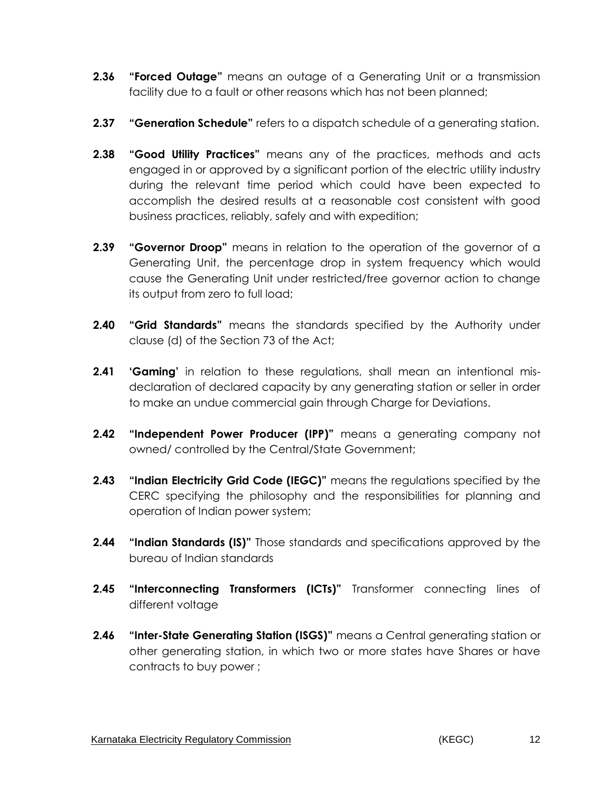- **2.36 "Forced Outage"** means an outage of a Generating Unit or a transmission facility due to a fault or other reasons which has not been planned;
- **2.37 "Generation Schedule"** refers to a dispatch schedule of a generating station.
- **2.38 "Good Utility Practices"** means any of the practices, methods and acts engaged in or approved by a significant portion of the electric utility industry during the relevant time period which could have been expected to accomplish the desired results at a reasonable cost consistent with good business practices, reliably, safely and with expedition;
- **2.39 "Governor Droop"** means in relation to the operation of the governor of a Generating Unit, the percentage drop in system frequency which would cause the Generating Unit under restricted/free governor action to change its output from zero to full load;
- **2.40 "Grid Standards"** means the standards specified by the Authority under clause (d) of the Section 73 of the Act;
- **2.41 'Gaming'** in relation to these regulations, shall mean an intentional misdeclaration of declared capacity by any generating station or seller in order to make an undue commercial gain through Charge for Deviations.
- **2.42 "Independent Power Producer (IPP)"** means a generating company not owned/ controlled by the Central/State Government;
- **2.43 "Indian Electricity Grid Code (IEGC)"** means the regulations specified by the CERC specifying the philosophy and the responsibilities for planning and operation of Indian power system;
- **2.44 "Indian Standards (IS)"** Those standards and specifications approved by the bureau of Indian standards
- **2.45 "Interconnecting Transformers (ICTs)"** Transformer connecting lines of different voltage
- **2.46 "Inter-State Generating Station (ISGS)"** means a Central generating station or other generating station, in which two or more states have Shares or have contracts to buy power ;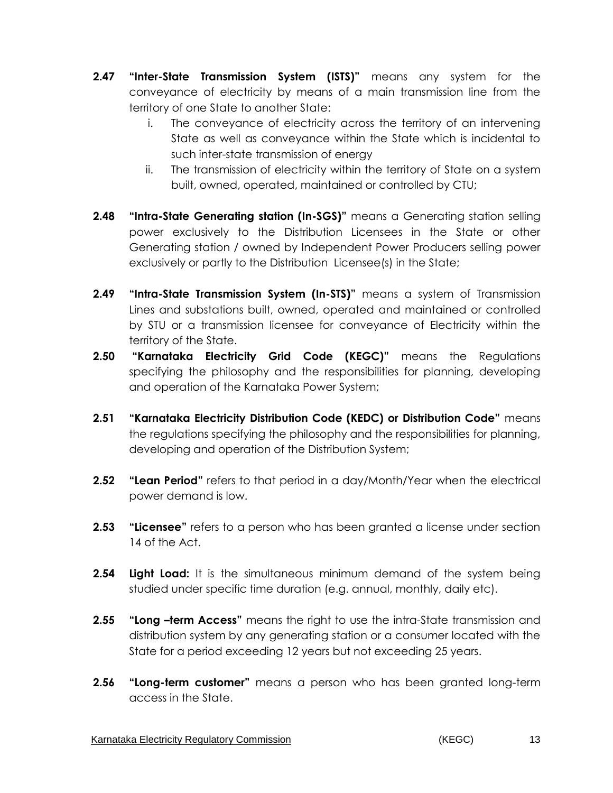- **2.47 "Inter-State Transmission System (ISTS)"** means any system for the conveyance of electricity by means of a main transmission line from the territory of one State to another State:
	- i. The conveyance of electricity across the territory of an intervening State as well as conveyance within the State which is incidental to such inter-state transmission of energy
	- ii. The transmission of electricity within the territory of State on a system built, owned, operated, maintained or controlled by CTU;
- **2.48 "Intra-State Generating station (In-SGS)"** means a Generating station selling power exclusively to the Distribution Licensees in the State or other Generating station / owned by Independent Power Producers selling power exclusively or partly to the Distribution Licensee(s) in the State;
- **2.49 "Intra-State Transmission System (In-STS)"** means a system of Transmission Lines and substations built, owned, operated and maintained or controlled by STU or a transmission licensee for conveyance of Electricity within the territory of the State.
- **2.50 "Karnataka Electricity Grid Code (KEGC)"** means the Regulations specifying the philosophy and the responsibilities for planning, developing and operation of the Karnataka Power System;
- **2.51 "Karnataka Electricity Distribution Code (KEDC) or Distribution Code"** means the regulations specifying the philosophy and the responsibilities for planning, developing and operation of the Distribution System;
- **2.52 "Lean Period"** refers to that period in a day/Month/Year when the electrical power demand is low.
- **2.53 "Licensee"** refers to a person who has been granted a license under section 14 of the Act.
- **2.54 Light Load:** It is the simultaneous minimum demand of the system being studied under specific time duration (e.g. annual, monthly, daily etc).
- **2.55 "Long –term Access"** means the right to use the intra-State transmission and distribution system by any generating station or a consumer located with the State for a period exceeding 12 years but not exceeding 25 years.
- **2.56 "Long-term customer"** means a person who has been granted long-term access in the State.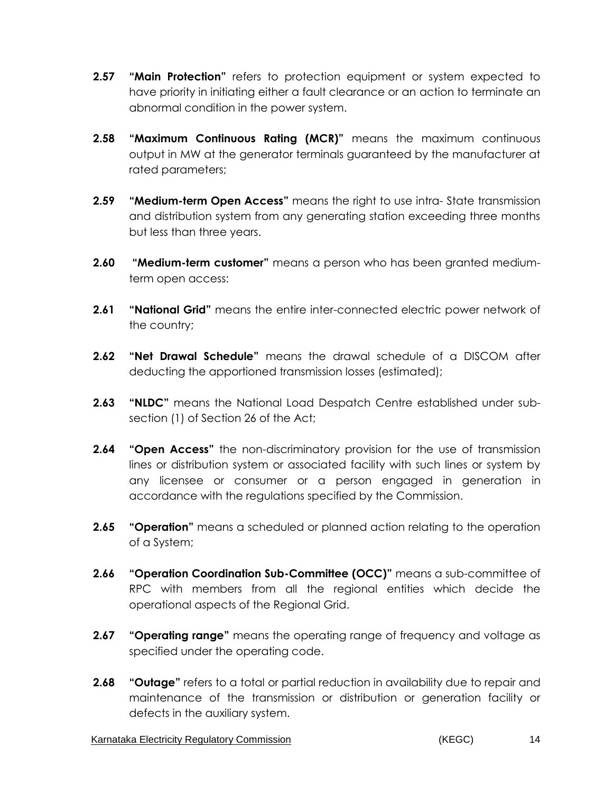- **2.57 "Main Protection"** refers to protection equipment or system expected to have priority in initiating either a fault clearance or an action to terminate an abnormal condition in the power system.
- **2.58 "Maximum Continuous Rating (MCR)"** means the maximum continuous output in MW at the generator terminals guaranteed by the manufacturer at rated parameters;
- **2.59 "Medium-term Open Access"** means the right to use intra- State transmission and distribution system from any generating station exceeding three months but less than three years.
- **2.60 "Medium-term customer"** means a person who has been granted mediumterm open access:
- **2.61 "National Grid"** means the entire inter-connected electric power network of the country;
- **2.62 "Net Drawal Schedule"** means the drawal schedule of a DISCOM after deducting the apportioned transmission losses (estimated);
- **2.63 "NLDC"** means the National Load Despatch Centre established under subsection (1) of Section 26 of the Act;
- **2.64 "Open Access"** the non-discriminatory provision for the use of transmission lines or distribution system or associated facility with such lines or system by any licensee or consumer or a person engaged in generation in accordance with the regulations specified by the Commission.
- **2.65 "Operation"** means a scheduled or planned action relating to the operation of a System;
- **2.66 "Operation Coordination Sub-Committee (OCC)"** means a sub-committee of RPC with members from all the regional entities which decide the operational aspects of the Regional Grid.
- **2.67 "Operating range"** means the operating range of frequency and voltage as specified under the operating code.
- **2.68 "Outage"** refers to a total or partial reduction in availability due to repair and maintenance of the transmission or distribution or generation facility or defects in the auxiliary system.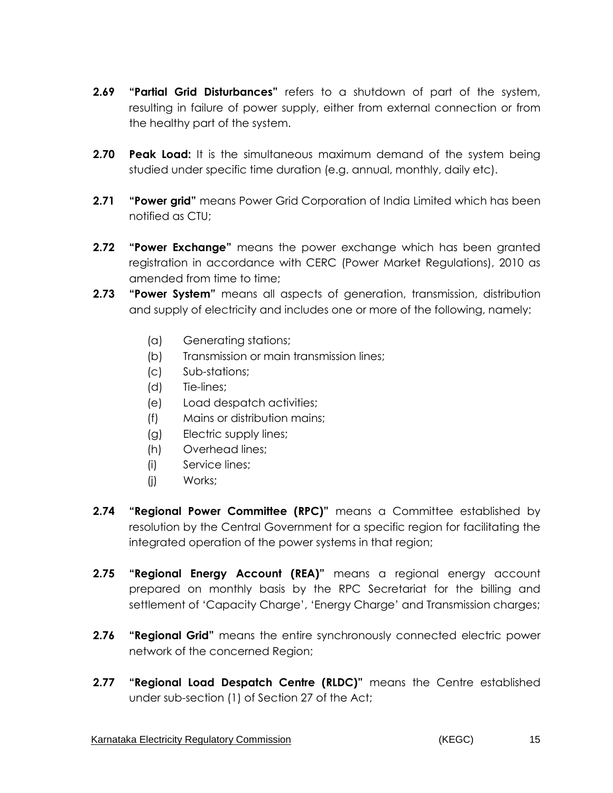- **2.69 "Partial Grid Disturbances"** refers to a shutdown of part of the system, resulting in failure of power supply, either from external connection or from the healthy part of the system.
- **2.70 Peak Load:** It is the simultaneous maximum demand of the system being studied under specific time duration (e.g. annual, monthly, daily etc).
- **2.71 "Power grid"** means Power Grid Corporation of India Limited which has been notified as CTU;
- **2.72 "Power Exchange"** means the power exchange which has been granted registration in accordance with CERC (Power Market Regulations), 2010 as amended from time to time;
- **2.73 "Power System"** means all aspects of generation, transmission, distribution and supply of electricity and includes one or more of the following, namely:
	- (a) Generating stations;
	- (b) Transmission or main transmission lines;
	- (c) Sub-stations;
	- (d) Tie-lines;
	- (e) Load despatch activities;
	- (f) Mains or distribution mains;
	- (g) Electric supply lines;
	- (h) Overhead lines;
	- (i) Service lines;
	- (j) Works;
- **2.74 "Regional Power Committee (RPC)"** means a Committee established by resolution by the Central Government for a specific region for facilitating the integrated operation of the power systems in that region;
- **2.75 "Regional Energy Account (REA)"** means a regional energy account prepared on monthly basis by the RPC Secretariat for the billing and settlement of 'Capacity Charge', 'Energy Charge' and Transmission charges;
- **2.76 "Regional Grid"** means the entire synchronously connected electric power network of the concerned Region;
- **2.77 "Regional Load Despatch Centre (RLDC)"** means the Centre established under sub-section (1) of Section 27 of the Act;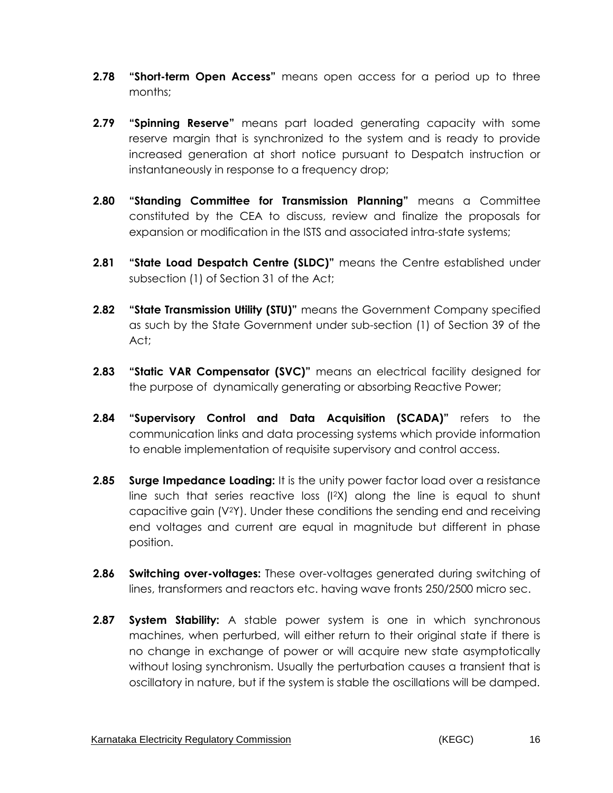- **2.78 "Short-term Open Access"** means open access for a period up to three months;
- **2.79 "Spinning Reserve"** means part loaded generating capacity with some reserve margin that is synchronized to the system and is ready to provide increased generation at short notice pursuant to Despatch instruction or instantaneously in response to a frequency drop;
- **2.80 "Standing Committee for Transmission Planning"** means a Committee constituted by the CEA to discuss, review and finalize the proposals for expansion or modification in the ISTS and associated intra-state systems;
- **2.81 "State Load Despatch Centre (SLDC)"** means the Centre established under subsection (1) of Section 31 of the Act;
- **2.82 "State Transmission Utility (STU)"** means the Government Company specified as such by the State Government under sub-section (1) of Section 39 of the Act;
- **2.83 "Static VAR Compensator (SVC)"** means an electrical facility designed for the purpose of dynamically generating or absorbing Reactive Power;
- **2.84 "Supervisory Control and Data Acquisition (SCADA)"** refers to the communication links and data processing systems which provide information to enable implementation of requisite supervisory and control access.
- **2.85 Surge Impedance Loading:** It is the unity power factor load over a resistance line such that series reactive loss (I2X) along the line is equal to shunt capacitive gain (V2Y). Under these conditions the sending end and receiving end voltages and current are equal in magnitude but different in phase position.
- **2.86 Switching over-voltages:** These over-voltages generated during switching of lines, transformers and reactors etc. having wave fronts 250/2500 micro sec.
- **2.87 System Stability:** A stable power system is one in which synchronous machines, when perturbed, will either return to their original state if there is no change in exchange of power or will acquire new state asymptotically without losing synchronism. Usually the perturbation causes a transient that is oscillatory in nature, but if the system is stable the oscillations will be damped.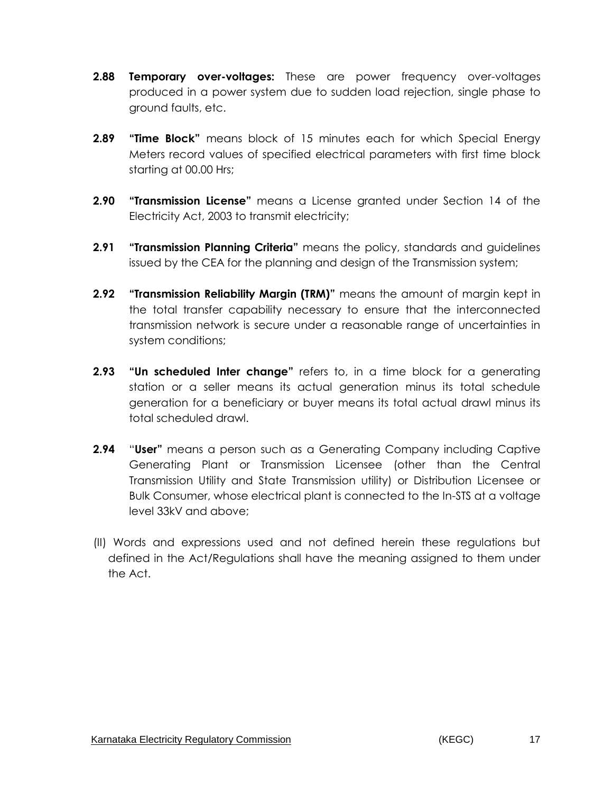- **2.88 Temporary over-voltages:** These are power frequency over-voltages produced in a power system due to sudden load rejection, single phase to ground faults, etc.
- **2.89 "Time Block"** means block of 15 minutes each for which Special Energy Meters record values of specified electrical parameters with first time block starting at 00.00 Hrs;
- **2.90 "Transmission License"** means a License granted under Section 14 of the Electricity Act, 2003 to transmit electricity;
- **2.91 "Transmission Planning Criteria"** means the policy, standards and guidelines issued by the CEA for the planning and design of the Transmission system;
- **2.92 "Transmission Reliability Margin (TRM)"** means the amount of margin kept in the total transfer capability necessary to ensure that the interconnected transmission network is secure under a reasonable range of uncertainties in system conditions;
- **2.93 "Un scheduled Inter change"** refers to, in a time block for a generating station or a seller means its actual generation minus its total schedule generation for a beneficiary or buyer means its total actual drawl minus its total scheduled drawl.
- **2.94** "**User"** means a person such as a Generating Company including Captive Generating Plant or Transmission Licensee (other than the Central Transmission Utility and State Transmission utility) or Distribution Licensee or Bulk Consumer, whose electrical plant is connected to the In-STS at a voltage level 33kV and above;
- (II) Words and expressions used and not defined herein these regulations but defined in the Act/Regulations shall have the meaning assigned to them under the Act.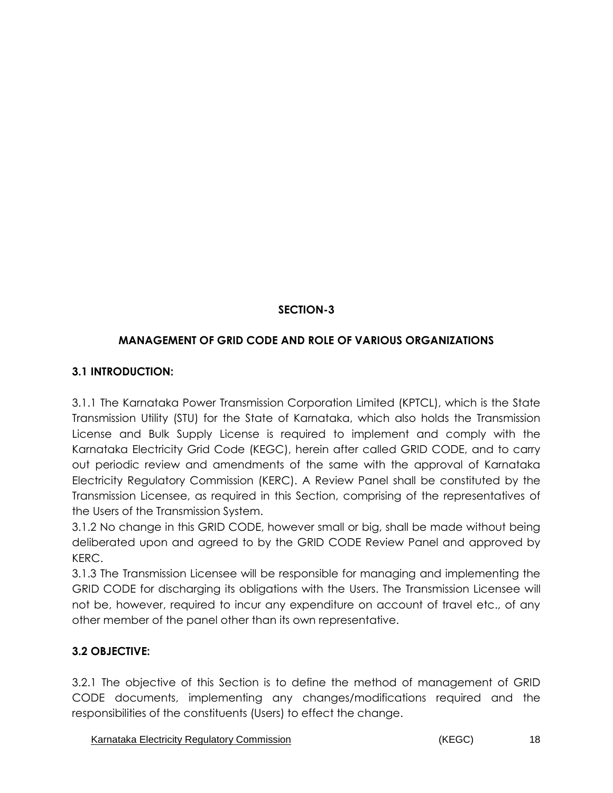# **SECTION-3**

# **MANAGEMENT OF GRID CODE AND ROLE OF VARIOUS ORGANIZATIONS**

## **3.1 INTRODUCTION:**

3.1.1 The Karnataka Power Transmission Corporation Limited (KPTCL), which is the State Transmission Utility (STU) for the State of Karnataka, which also holds the Transmission License and Bulk Supply License is required to implement and comply with the Karnataka Electricity Grid Code (KEGC), herein after called GRID CODE, and to carry out periodic review and amendments of the same with the approval of Karnataka Electricity Regulatory Commission (KERC). A Review Panel shall be constituted by the Transmission Licensee, as required in this Section, comprising of the representatives of the Users of the Transmission System.

3.1.2 No change in this GRID CODE, however small or big, shall be made without being deliberated upon and agreed to by the GRID CODE Review Panel and approved by KERC.

3.1.3 The Transmission Licensee will be responsible for managing and implementing the GRID CODE for discharging its obligations with the Users. The Transmission Licensee will not be, however, required to incur any expenditure on account of travel etc., of any other member of the panel other than its own representative.

# **3.2 OBJECTIVE:**

3.2.1 The objective of this Section is to define the method of management of GRID CODE documents, implementing any changes/modifications required and the responsibilities of the constituents (Users) to effect the change.

Karnataka Electricity Regulatory Commission **18** (KEGC) 6 (KEGC) 18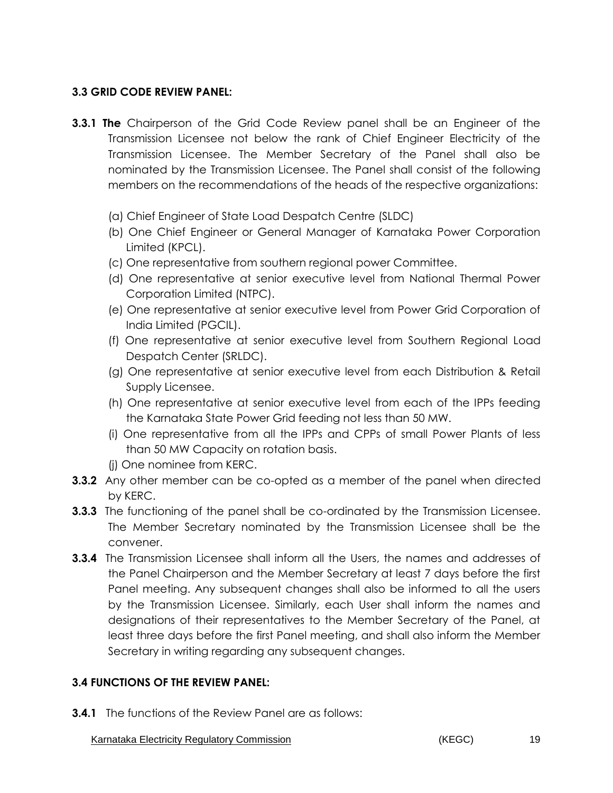### **3.3 GRID CODE REVIEW PANEL:**

- **3.3.1 The** Chairperson of the Grid Code Review panel shall be an Engineer of the Transmission Licensee not below the rank of Chief Engineer Electricity of the Transmission Licensee. The Member Secretary of the Panel shall also be nominated by the Transmission Licensee. The Panel shall consist of the following members on the recommendations of the heads of the respective organizations:
	- (a) Chief Engineer of State Load Despatch Centre (SLDC)
	- (b) One Chief Engineer or General Manager of Karnataka Power Corporation Limited (KPCL).
	- (c) One representative from southern regional power Committee.
	- (d) One representative at senior executive level from National Thermal Power Corporation Limited (NTPC).
	- (e) One representative at senior executive level from Power Grid Corporation of India Limited (PGCIL).
	- (f) One representative at senior executive level from Southern Regional Load Despatch Center (SRLDC).
	- (g) One representative at senior executive level from each Distribution & Retail Supply Licensee.
	- (h) One representative at senior executive level from each of the IPPs feeding the Karnataka State Power Grid feeding not less than 50 MW.
	- (i) One representative from all the IPPs and CPPs of small Power Plants of less than 50 MW Capacity on rotation basis.

(j) One nominee from KERC.

- **3.3.2** Any other member can be co-opted as a member of the panel when directed by KERC.
- **3.3.3** The functioning of the panel shall be co-ordinated by the Transmission Licensee. The Member Secretary nominated by the Transmission Licensee shall be the convener.
- **3.3.4** The Transmission Licensee shall inform all the Users, the names and addresses of the Panel Chairperson and the Member Secretary at least 7 days before the first Panel meeting. Any subsequent changes shall also be informed to all the users by the Transmission Licensee. Similarly, each User shall inform the names and designations of their representatives to the Member Secretary of the Panel, at least three days before the first Panel meeting, and shall also inform the Member Secretary in writing regarding any subsequent changes.

## **3.4 FUNCTIONS OF THE REVIEW PANEL:**

**3.4.1** The functions of the Review Panel are as follows:

Karnataka Electricity Regulatory Commission **19** (KEGC) 619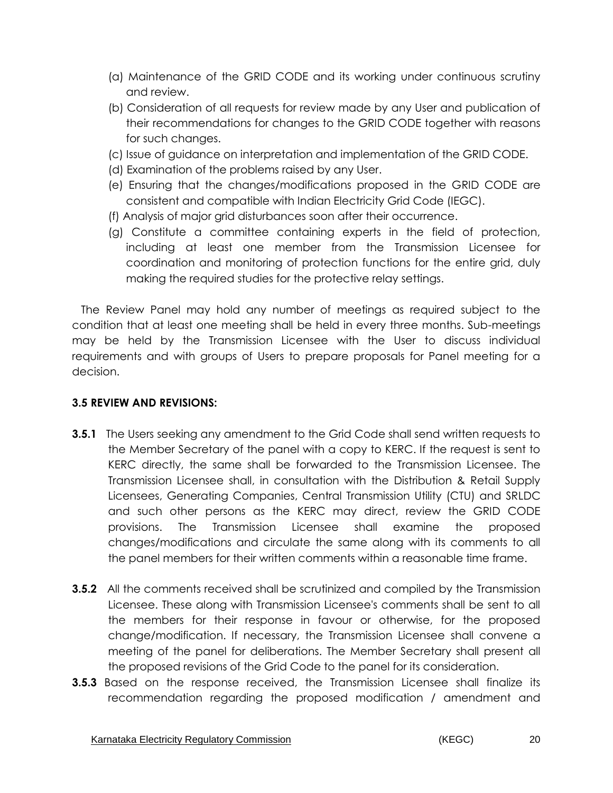- (a) Maintenance of the GRID CODE and its working under continuous scrutiny and review.
- (b) Consideration of all requests for review made by any User and publication of their recommendations for changes to the GRID CODE together with reasons for such changes.
- (c) Issue of guidance on interpretation and implementation of the GRID CODE.
- (d) Examination of the problems raised by any User.
- (e) Ensuring that the changes/modifications proposed in the GRID CODE are consistent and compatible with Indian Electricity Grid Code (IEGC).
- (f) Analysis of major grid disturbances soon after their occurrence.
- (g) Constitute a committee containing experts in the field of protection, including at least one member from the Transmission Licensee for coordination and monitoring of protection functions for the entire grid, duly making the required studies for the protective relay settings.

The Review Panel may hold any number of meetings as required subject to the condition that at least one meeting shall be held in every three months. Sub-meetings may be held by the Transmission Licensee with the User to discuss individual requirements and with groups of Users to prepare proposals for Panel meeting for a decision.

#### **3.5 REVIEW AND REVISIONS:**

- **3.5.1** The Users seeking any amendment to the Grid Code shall send written requests to the Member Secretary of the panel with a copy to KERC. If the request is sent to KERC directly, the same shall be forwarded to the Transmission Licensee. The Transmission Licensee shall, in consultation with the Distribution & Retail Supply Licensees, Generating Companies, Central Transmission Utility (CTU) and SRLDC and such other persons as the KERC may direct, review the GRID CODE provisions. The Transmission Licensee shall examine the proposed changes/modifications and circulate the same along with its comments to all the panel members for their written comments within a reasonable time frame.
- **3.5.2** All the comments received shall be scrutinized and compiled by the Transmission Licensee. These along with Transmission Licensee's comments shall be sent to all the members for their response in favour or otherwise, for the proposed change/modification. If necessary, the Transmission Licensee shall convene a meeting of the panel for deliberations. The Member Secretary shall present all the proposed revisions of the Grid Code to the panel for its consideration.
- **3.5.3** Based on the response received, the Transmission Licensee shall finalize its recommendation regarding the proposed modification / amendment and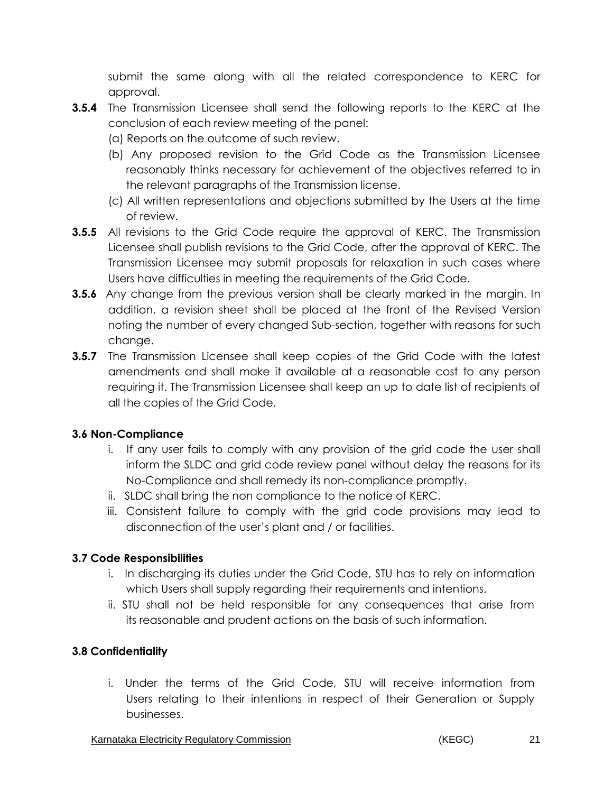submit the same along with all the related correspondence to KERC for approval.

- **3.5.4** The Transmission Licensee shall send the following reports to the KERC at the conclusion of each review meeting of the panel:
	- (a) Reports on the outcome of such review.
	- (b) Any proposed revision to the Grid Code as the Transmission Licensee reasonably thinks necessary for achievement of the objectives referred to in the relevant paragraphs of the Transmission license.
	- (c) All written representations and objections submitted by the Users at the time of review.
- **3.5.5** All revisions to the Grid Code require the approval of KERC. The Transmission Licensee shall publish revisions to the Grid Code, after the approval of KERC. The Transmission Licensee may submit proposals for relaxation in such cases where Users have difficulties in meeting the requirements of the Grid Code.
- **3.5.6** Any change from the previous version shall be clearly marked in the margin. In addition, a revision sheet shall be placed at the front of the Revised Version noting the number of every changed Sub-section, together with reasons for such change.
- **3.5.7** The Transmission Licensee shall keep copies of the Grid Code with the latest amendments and shall make it available at a reasonable cost to any person requiring it. The Transmission Licensee shall keep an up to date list of recipients of all the copies of the Grid Code.

#### **3.6 Non-Compliance**

- i. If any user fails to comply with any provision of the grid code the user shall inform the SLDC and grid code review panel without delay the reasons for its No-Compliance and shall remedy its non-compliance promptly.
- ii. SLDC shall bring the non compliance to the notice of KERC.
- iii. Consistent failure to comply with the grid code provisions may lead to disconnection of the user's plant and / or facilities.

## **3.7 Code Responsibilities**

- i. In discharging its duties under the Grid Code, STU has to rely on information which Users shall supply regarding their requirements and intentions.
- ii. STU shall not be held responsible for any consequences that arise from its reasonable and prudent actions on the basis of such information.

## **3.8 Confidentiality**

i. Under the terms of the Grid Code, STU will receive information from Users relating to their intentions in respect of their Generation or Supply businesses.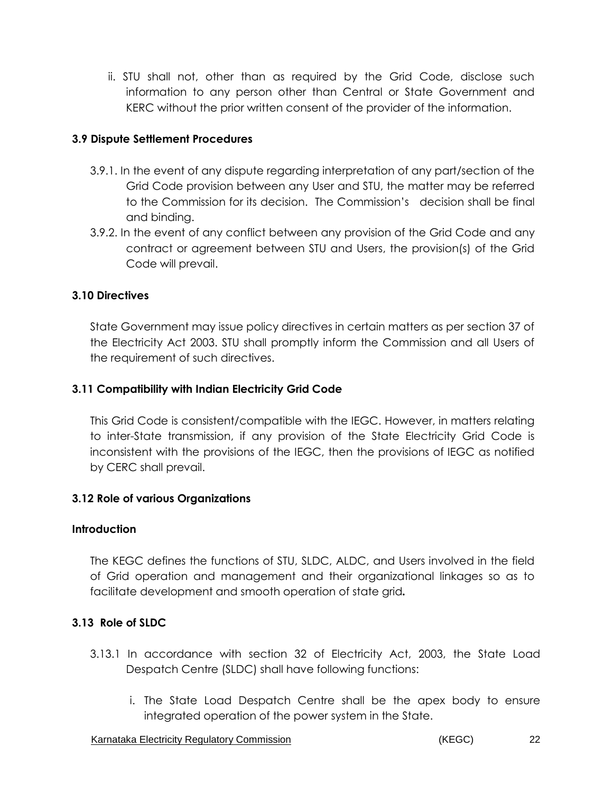ii. STU shall not, other than as required by the Grid Code, disclose such information to any person other than Central or State Government and KERC without the prior written consent of the provider of the information.

#### **3.9 Dispute Settlement Procedures**

- 3.9.1. In the event of any dispute regarding interpretation of any part/section of the Grid Code provision between any User and STU, the matter may be referred to the Commission for its decision. The Commission's decision shall be final and binding.
- 3.9.2. In the event of any conflict between any provision of the Grid Code and any contract or agreement between STU and Users, the provision(s) of the Grid Code will prevail.

### **3.10 Directives**

State Government may issue policy directives in certain matters as per section 37 of the Electricity Act 2003. STU shall promptly inform the Commission and all Users of the requirement of such directives.

#### **3.11 Compatibility with Indian Electricity Grid Code**

This Grid Code is consistent/compatible with the IEGC. However, in matters relating to inter-State transmission, if any provision of the State Electricity Grid Code is inconsistent with the provisions of the IEGC, then the provisions of IEGC as notified by CERC shall prevail.

#### **3.12 Role of various Organizations**

#### **Introduction**

The KEGC defines the functions of STU, SLDC, ALDC, and Users involved in the field of Grid operation and management and their organizational linkages so as to facilitate development and smooth operation of state grid*.*

## **3.13 Role of SLDC**

- 3.13.1 In accordance with section 32 of Electricity Act, 2003, the State Load Despatch Centre (SLDC) shall have following functions:
	- i. The State Load Despatch Centre shall be the apex body to ensure integrated operation of the power system in the State.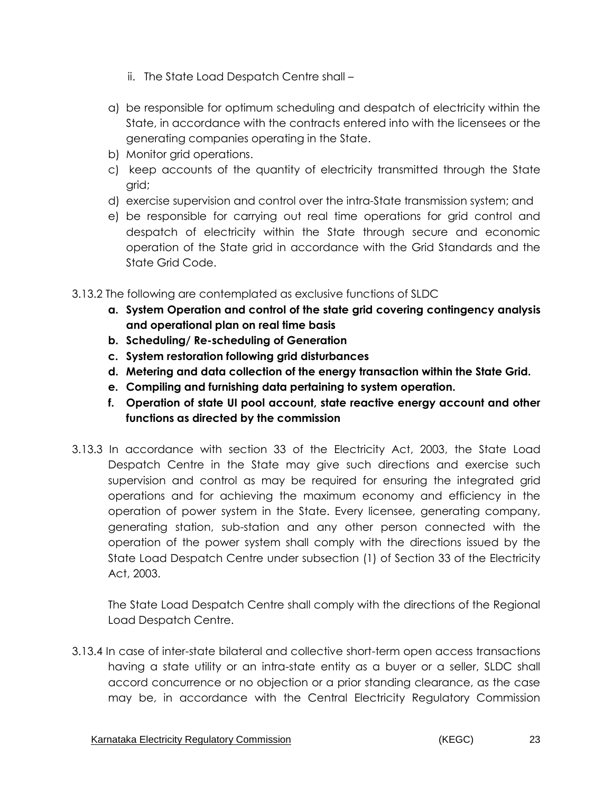- ii. The State Load Despatch Centre shall –
- a) be responsible for optimum scheduling and despatch of electricity within the State, in accordance with the contracts entered into with the licensees or the generating companies operating in the State.
- b) Monitor grid operations.
- c) keep accounts of the quantity of electricity transmitted through the State grid;
- d) exercise supervision and control over the intra-State transmission system; and
- e) be responsible for carrying out real time operations for grid control and despatch of electricity within the State through secure and economic operation of the State grid in accordance with the Grid Standards and the State Grid Code.

3.13.2 The following are contemplated as exclusive functions of SLDC

- **a. System Operation and control of the state grid covering contingency analysis and operational plan on real time basis**
- **b. Scheduling/ Re-scheduling of Generation**
- **c. System restoration following grid disturbances**
- **d. Metering and data collection of the energy transaction within the State Grid.**
- **e. Compiling and furnishing data pertaining to system operation.**
- **f. Operation of state UI pool account, state reactive energy account and other functions as directed by the commission**
- 3.13.3 In accordance with section 33 of the Electricity Act, 2003, the State Load Despatch Centre in the State may give such directions and exercise such supervision and control as may be required for ensuring the integrated grid operations and for achieving the maximum economy and efficiency in the operation of power system in the State. Every licensee, generating company, generating station, sub-station and any other person connected with the operation of the power system shall comply with the directions issued by the State Load Despatch Centre under subsection (1) of Section 33 of the Electricity Act, 2003.

The State Load Despatch Centre shall comply with the directions of the Regional Load Despatch Centre.

3.13.4 In case of inter-state bilateral and collective short-term open access transactions having a state utility or an intra-state entity as a buyer or a seller, SLDC shall accord concurrence or no objection or a prior standing clearance, as the case may be, in accordance with the Central Electricity Regulatory Commission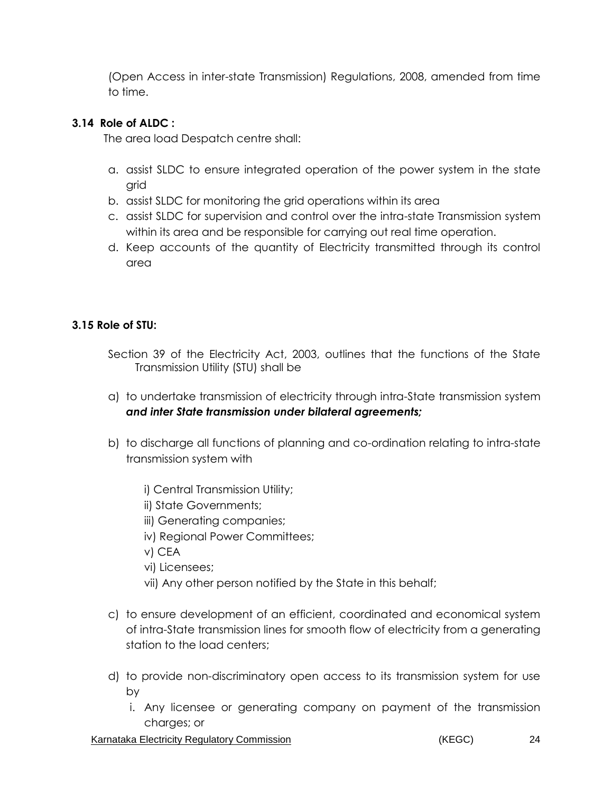(Open Access in inter-state Transmission) Regulations, 2008, amended from time to time.

### **3.14 Role of ALDC :**

The area load Despatch centre shall:

- a. assist SLDC to ensure integrated operation of the power system in the state grid
- b. assist SLDC for monitoring the grid operations within its area
- c. assist SLDC for supervision and control over the intra-state Transmission system within its area and be responsible for carrying out real time operation.
- d. Keep accounts of the quantity of Electricity transmitted through its control area

## **3.15 Role of STU:**

- Section 39 of the Electricity Act, 2003, outlines that the functions of the State Transmission Utility (STU) shall be
- a) to undertake transmission of electricity through intra-State transmission system *and inter State transmission under bilateral agreements;*
- b) to discharge all functions of planning and co-ordination relating to intra-state transmission system with
	- i) Central Transmission Utility;
	- ii) State Governments;
	- iii) Generating companies;
	- iv) Regional Power Committees;
	- v) CEA
	- vi) Licensees;
	- vii) Any other person notified by the State in this behalf;
- c) to ensure development of an efficient, coordinated and economical system of intra-State transmission lines for smooth flow of electricity from a generating station to the load centers;
- d) to provide non-discriminatory open access to its transmission system for use by
	- i. Any licensee or generating company on payment of the transmission charges; or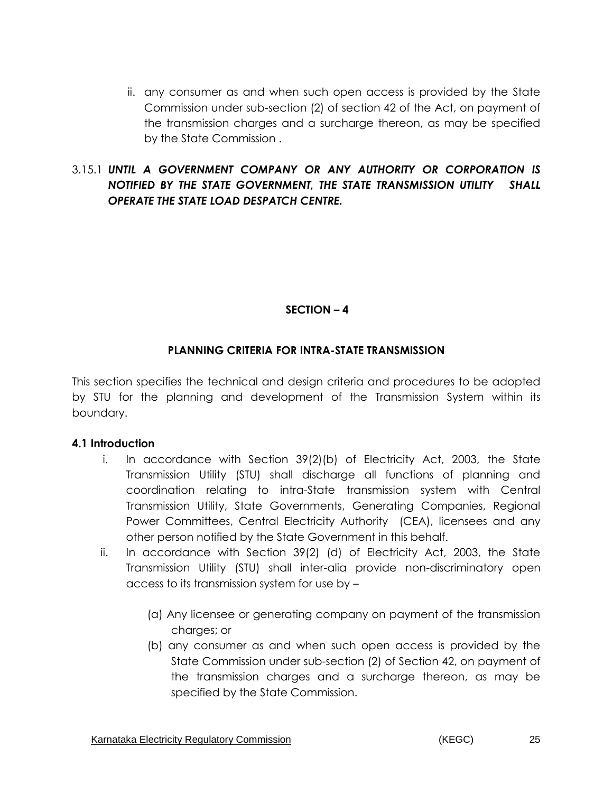ii. any consumer as and when such open access is provided by the State Commission under sub-section (2) of section 42 of the Act, on payment of the transmission charges and a surcharge thereon, as may be specified by the State Commission .

## 3.15.1 *UNTIL A GOVERNMENT COMPANY OR ANY AUTHORITY OR CORPORATION IS NOTIFIED BY THE STATE GOVERNMENT, THE STATE TRANSMISSION UTILITY SHALL OPERATE THE STATE LOAD DESPATCH CENTRE.*

## **SECTION – 4**

#### **PLANNING CRITERIA FOR INTRA-STATE TRANSMISSION**

This section specifies the technical and design criteria and procedures to be adopted by STU for the planning and development of the Transmission System within its boundary.

#### **4.1 Introduction**

- i. In accordance with Section 39(2)(b) of Electricity Act, 2003, the State Transmission Utility (STU) shall discharge all functions of planning and coordination relating to intra-State transmission system with Central Transmission Utility, State Governments, Generating Companies, Regional Power Committees, Central Electricity Authority (CEA), licensees and any other person notified by the State Government in this behalf.
- ii. In accordance with Section 39(2) (d) of Electricity Act, 2003, the State Transmission Utility (STU) shall inter-alia provide non-discriminatory open access to its transmission system for use by –
	- (a) Any licensee or generating company on payment of the transmission charges; or
	- (b) any consumer as and when such open access is provided by the State Commission under sub-section (2) of Section 42, on payment of the transmission charges and a surcharge thereon, as may be specified by the State Commission.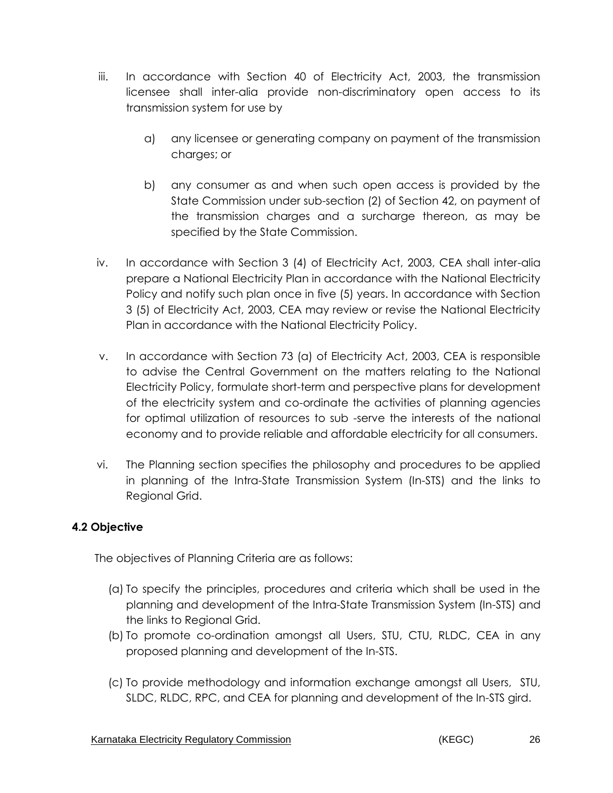- iii. In accordance with Section 40 of Electricity Act, 2003, the transmission licensee shall inter-alia provide non-discriminatory open access to its transmission system for use by
	- a) any licensee or generating company on payment of the transmission charges; or
	- b) any consumer as and when such open access is provided by the State Commission under sub-section (2) of Section 42, on payment of the transmission charges and a surcharge thereon, as may be specified by the State Commission.
- iv. In accordance with Section 3 (4) of Electricity Act, 2003, CEA shall inter-alia prepare a National Electricity Plan in accordance with the National Electricity Policy and notify such plan once in five (5) years. In accordance with Section 3 (5) of Electricity Act, 2003, CEA may review or revise the National Electricity Plan in accordance with the National Electricity Policy.
- v. In accordance with Section 73 (a) of Electricity Act, 2003, CEA is responsible to advise the Central Government on the matters relating to the National Electricity Policy, formulate short-term and perspective plans for development of the electricity system and co-ordinate the activities of planning agencies for optimal utilization of resources to sub -serve the interests of the national economy and to provide reliable and affordable electricity for all consumers.
- vi. The Planning section specifies the philosophy and procedures to be applied in planning of the Intra-State Transmission System (In-STS) and the links to Regional Grid.

## **4.2 Objective**

The objectives of Planning Criteria are as follows:

- (a) To specify the principles, procedures and criteria which shall be used in the planning and development of the Intra-State Transmission System (In-STS) and the links to Regional Grid.
- (b) To promote co-ordination amongst all Users, STU, CTU, RLDC, CEA in any proposed planning and development of the In-STS.
- (c) To provide methodology and information exchange amongst all Users, STU, SLDC, RLDC, RPC, and CEA for planning and development of the In-STS gird.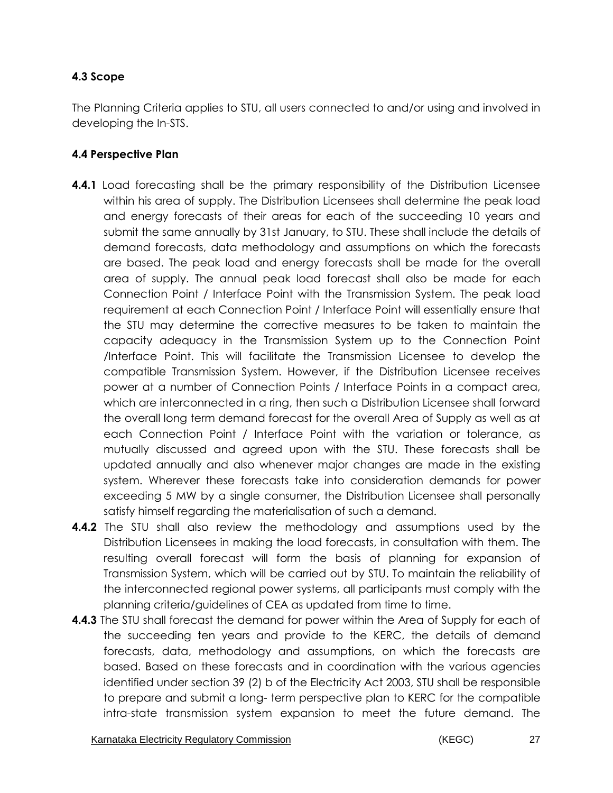## **4.3 Scope**

The Planning Criteria applies to STU, all users connected to and/or using and involved in developing the In-STS.

### **4.4 Perspective Plan**

- **4.4.1** Load forecasting shall be the primary responsibility of the Distribution Licensee within his area of supply. The Distribution Licensees shall determine the peak load and energy forecasts of their areas for each of the succeeding 10 years and submit the same annually by 31st January, to STU. These shall include the details of demand forecasts, data methodology and assumptions on which the forecasts are based. The peak load and energy forecasts shall be made for the overall area of supply. The annual peak load forecast shall also be made for each Connection Point / Interface Point with the Transmission System. The peak load requirement at each Connection Point / Interface Point will essentially ensure that the STU may determine the corrective measures to be taken to maintain the capacity adequacy in the Transmission System up to the Connection Point /Interface Point. This will facilitate the Transmission Licensee to develop the compatible Transmission System. However, if the Distribution Licensee receives power at a number of Connection Points / Interface Points in a compact area, which are interconnected in a ring, then such a Distribution Licensee shall forward the overall long term demand forecast for the overall Area of Supply as well as at each Connection Point / Interface Point with the variation or tolerance, as mutually discussed and agreed upon with the STU. These forecasts shall be updated annually and also whenever major changes are made in the existing system. Wherever these forecasts take into consideration demands for power exceeding 5 MW by a single consumer, the Distribution Licensee shall personally satisfy himself regarding the materialisation of such a demand.
- **4.4.2** The STU shall also review the methodology and assumptions used by the Distribution Licensees in making the load forecasts, in consultation with them. The resulting overall forecast will form the basis of planning for expansion of Transmission System, which will be carried out by STU. To maintain the reliability of the interconnected regional power systems, all participants must comply with the planning criteria/guidelines of CEA as updated from time to time.
- **4.4.3** The STU shall forecast the demand for power within the Area of Supply for each of the succeeding ten years and provide to the KERC, the details of demand forecasts, data, methodology and assumptions, on which the forecasts are based. Based on these forecasts and in coordination with the various agencies identified under section 39 (2) b of the Electricity Act 2003, STU shall be responsible to prepare and submit a long- term perspective plan to KERC for the compatible intra-state transmission system expansion to meet the future demand. The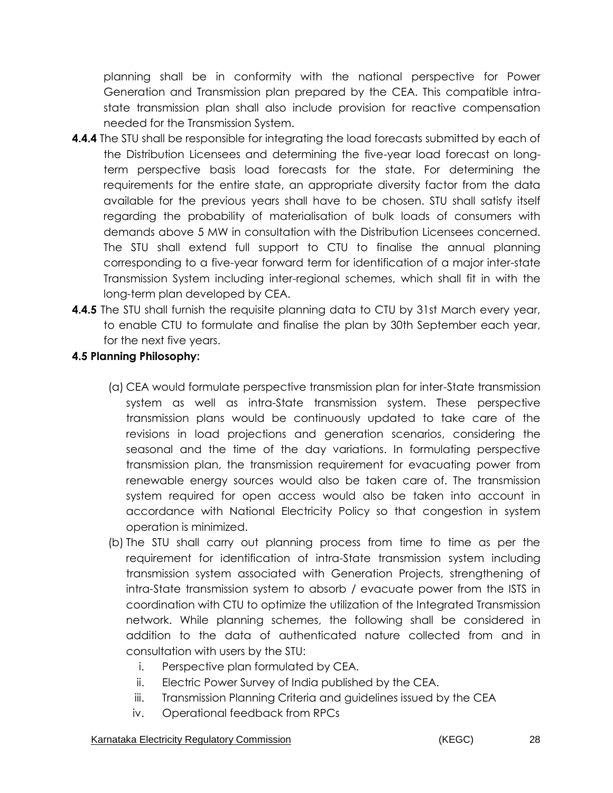planning shall be in conformity with the national perspective for Power Generation and Transmission plan prepared by the CEA. This compatible intrastate transmission plan shall also include provision for reactive compensation needed for the Transmission System.

- **4.4.4** The STU shall be responsible for integrating the load forecasts submitted by each of the Distribution Licensees and determining the five-year load forecast on longterm perspective basis load forecasts for the state. For determining the requirements for the entire state, an appropriate diversity factor from the data available for the previous years shall have to be chosen. STU shall satisfy itself regarding the probability of materialisation of bulk loads of consumers with demands above 5 MW in consultation with the Distribution Licensees concerned. The STU shall extend full support to CTU to finalise the annual planning corresponding to a five-year forward term for identification of a major inter-state Transmission System including inter-regional schemes, which shall fit in with the long-term plan developed by CEA.
- **4.4.5** The STU shall furnish the requisite planning data to CTU by 31st March every year, to enable CTU to formulate and finalise the plan by 30th September each year, for the next five years.

### **4.5 Planning Philosophy:**

- (a) CEA would formulate perspective transmission plan for inter-State transmission system as well as intra-State transmission system. These perspective transmission plans would be continuously updated to take care of the revisions in load projections and generation scenarios, considering the seasonal and the time of the day variations. In formulating perspective transmission plan, the transmission requirement for evacuating power from renewable energy sources would also be taken care of. The transmission system required for open access would also be taken into account in accordance with National Electricity Policy so that congestion in system operation is minimized.
- (b) The STU shall carry out planning process from time to time as per the requirement for identification of intra-State transmission system including transmission system associated with Generation Projects, strengthening of intra-State transmission system to absorb / evacuate power from the ISTS in coordination with CTU to optimize the utilization of the Integrated Transmission network. While planning schemes, the following shall be considered in addition to the data of authenticated nature collected from and in consultation with users by the STU:
	- i. Perspective plan formulated by CEA.
	- ii. Electric Power Survey of India published by the CEA.
	- iii. Transmission Planning Criteria and guidelines issued by the CEA
	- iv. Operational feedback from RPCs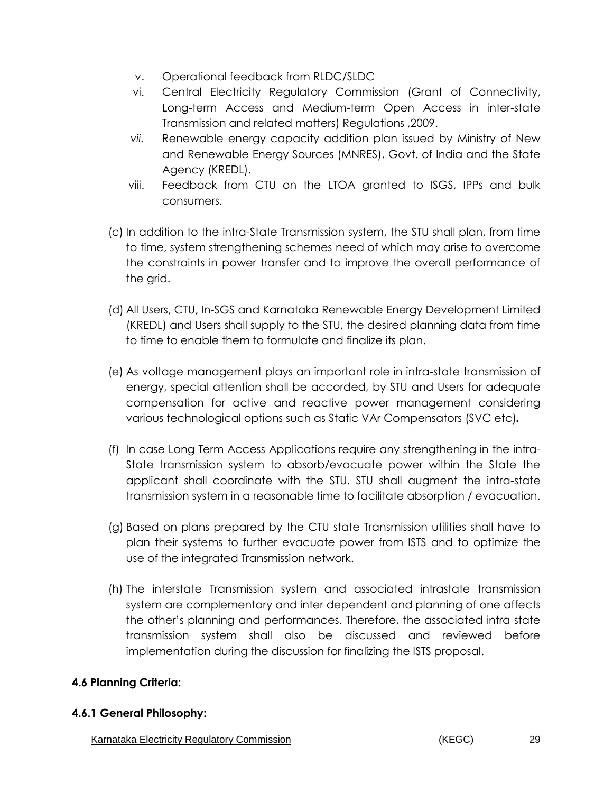- v. Operational feedback from RLDC/SLDC
- vi. Central Electricity Regulatory Commission (Grant of Connectivity, Long-term Access and Medium-term Open Access in inter-state Transmission and related matters) Regulations ,2009.
- *vii.* Renewable energy capacity addition plan issued by Ministry of New and Renewable Energy Sources (MNRES), Govt. of India and the State Agency (KREDL).
- viii. Feedback from CTU on the LTOA granted to ISGS, IPPs and bulk consumers.
- (c) In addition to the intra-State Transmission system, the STU shall plan, from time to time, system strengthening schemes need of which may arise to overcome the constraints in power transfer and to improve the overall performance of the grid.
- (d) All Users, CTU, In-SGS and Karnataka Renewable Energy Development Limited (KREDL) and Users shall supply to the STU, the desired planning data from time to time to enable them to formulate and finalize its plan.
- (e) As voltage management plays an important role in intra-state transmission of energy, special attention shall be accorded, by STU and Users for adequate compensation for active and reactive power management considering various technological options such as Static VAr Compensators (SVC etc)*.*
- (f) In case Long Term Access Applications require any strengthening in the intra-State transmission system to absorb/evacuate power within the State the applicant shall coordinate with the STU. STU shall augment the intra-state transmission system in a reasonable time to facilitate absorption / evacuation.
- (g) Based on plans prepared by the CTU state Transmission utilities shall have to plan their systems to further evacuate power from ISTS and to optimize the use of the integrated Transmission network.
- (h) The interstate Transmission system and associated intrastate transmission system are complementary and inter dependent and planning of one affects the other's planning and performances. Therefore, the associated intra state transmission system shall also be discussed and reviewed before implementation during the discussion for finalizing the ISTS proposal.

#### **4.6 Planning Criteria:**

#### **4.6.1 General Philosophy:**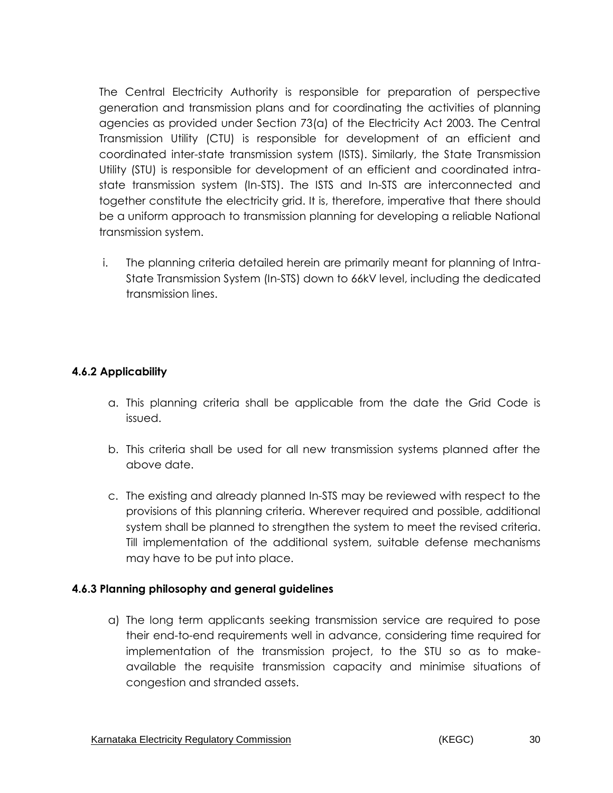The Central Electricity Authority is responsible for preparation of perspective generation and transmission plans and for coordinating the activities of planning agencies as provided under Section 73(a) of the Electricity Act 2003. The Central Transmission Utility (CTU) is responsible for development of an efficient and coordinated inter-state transmission system (ISTS). Similarly, the State Transmission Utility (STU) is responsible for development of an efficient and coordinated intrastate transmission system (In-STS). The ISTS and In-STS are interconnected and together constitute the electricity grid. It is, therefore, imperative that there should be a uniform approach to transmission planning for developing a reliable National transmission system.

i. The planning criteria detailed herein are primarily meant for planning of Intra-State Transmission System (In-STS) down to 66kV level, including the dedicated transmission lines.

## **4.6.2 Applicability**

- a. This planning criteria shall be applicable from the date the Grid Code is issued.
- b. This criteria shall be used for all new transmission systems planned after the above date.
- c. The existing and already planned In-STS may be reviewed with respect to the provisions of this planning criteria. Wherever required and possible, additional system shall be planned to strengthen the system to meet the revised criteria. Till implementation of the additional system, suitable defense mechanisms may have to be put into place.

#### **4.6.3 Planning philosophy and general guidelines**

a) The long term applicants seeking transmission service are required to pose their end-to-end requirements well in advance, considering time required for implementation of the transmission project, to the STU so as to makeavailable the requisite transmission capacity and minimise situations of congestion and stranded assets.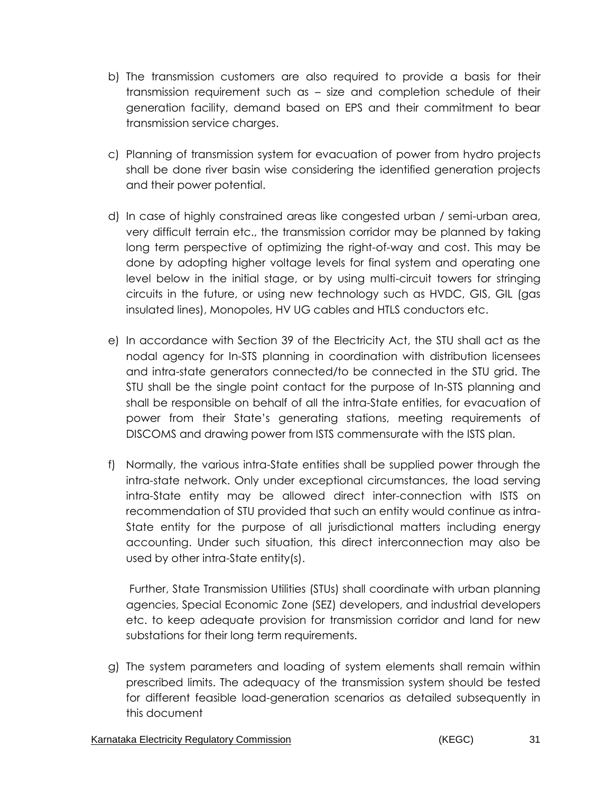- b) The transmission customers are also required to provide a basis for their transmission requirement such as – size and completion schedule of their generation facility, demand based on EPS and their commitment to bear transmission service charges.
- c) Planning of transmission system for evacuation of power from hydro projects shall be done river basin wise considering the identified generation projects and their power potential.
- d) In case of highly constrained areas like congested urban / semi-urban area, very difficult terrain etc., the transmission corridor may be planned by taking long term perspective of optimizing the right-of-way and cost. This may be done by adopting higher voltage levels for final system and operating one level below in the initial stage, or by using multi-circuit towers for stringing circuits in the future, or using new technology such as HVDC, GIS, GIL (gas insulated lines), Monopoles, HV UG cables and HTLS conductors etc.
- e) In accordance with Section 39 of the Electricity Act, the STU shall act as the nodal agency for In-STS planning in coordination with distribution licensees and intra-state generators connected/to be connected in the STU grid. The STU shall be the single point contact for the purpose of In-STS planning and shall be responsible on behalf of all the intra-State entities, for evacuation of power from their State's generating stations, meeting requirements of DISCOMS and drawing power from ISTS commensurate with the ISTS plan.
- f) Normally, the various intra-State entities shall be supplied power through the intra-state network. Only under exceptional circumstances, the load serving intra-State entity may be allowed direct inter-connection with ISTS on recommendation of STU provided that such an entity would continue as intra-State entity for the purpose of all jurisdictional matters including energy accounting. Under such situation, this direct interconnection may also be used by other intra-State entity(s).

 Further, State Transmission Utilities (STUs) shall coordinate with urban planning agencies, Special Economic Zone (SEZ) developers, and industrial developers etc. to keep adequate provision for transmission corridor and land for new substations for their long term requirements.

g) The system parameters and loading of system elements shall remain within prescribed limits. The adequacy of the transmission system should be tested for different feasible load-generation scenarios as detailed subsequently in this document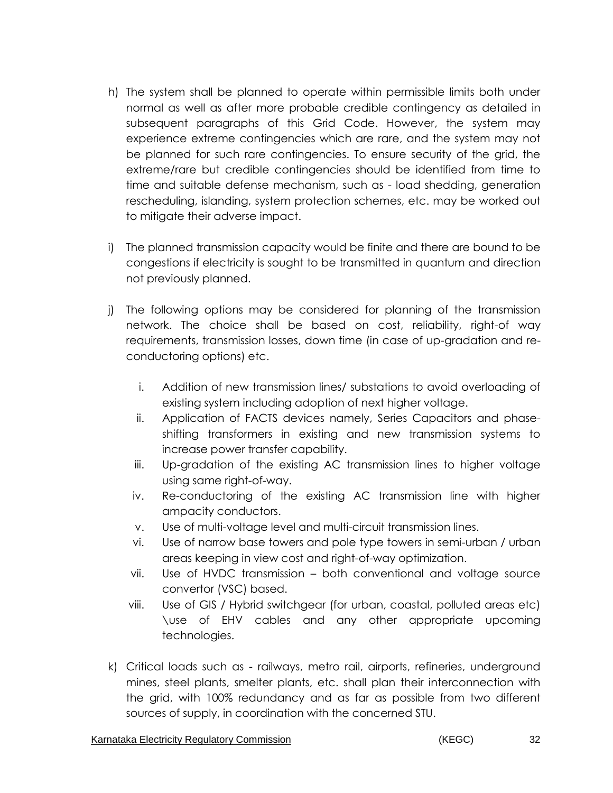- h) The system shall be planned to operate within permissible limits both under normal as well as after more probable credible contingency as detailed in subsequent paragraphs of this Grid Code. However, the system may experience extreme contingencies which are rare, and the system may not be planned for such rare contingencies. To ensure security of the grid, the extreme/rare but credible contingencies should be identified from time to time and suitable defense mechanism, such as - load shedding, generation rescheduling, islanding, system protection schemes, etc. may be worked out to mitigate their adverse impact.
- i) The planned transmission capacity would be finite and there are bound to be congestions if electricity is sought to be transmitted in quantum and direction not previously planned.
- j) The following options may be considered for planning of the transmission network. The choice shall be based on cost, reliability, right-of way requirements, transmission losses, down time (in case of up-gradation and reconductoring options) etc.
	- i. Addition of new transmission lines/ substations to avoid overloading of existing system including adoption of next higher voltage.
	- ii. Application of FACTS devices namely, Series Capacitors and phaseshifting transformers in existing and new transmission systems to increase power transfer capability.
	- iii. Up-gradation of the existing AC transmission lines to higher voltage using same right-of-way.
	- iv. Re-conductoring of the existing AC transmission line with higher ampacity conductors.
	- v. Use of multi-voltage level and multi-circuit transmission lines.
	- vi. Use of narrow base towers and pole type towers in semi-urban / urban areas keeping in view cost and right-of-way optimization.
	- vii. Use of HVDC transmission both conventional and voltage source convertor (VSC) based.
	- viii. Use of GIS / Hybrid switchgear (for urban, coastal, polluted areas etc) \use of EHV cables and any other appropriate upcoming technologies.
- k) Critical loads such as railways, metro rail, airports, refineries, underground mines, steel plants, smelter plants, etc. shall plan their interconnection with the grid, with 100% redundancy and as far as possible from two different sources of supply, in coordination with the concerned STU.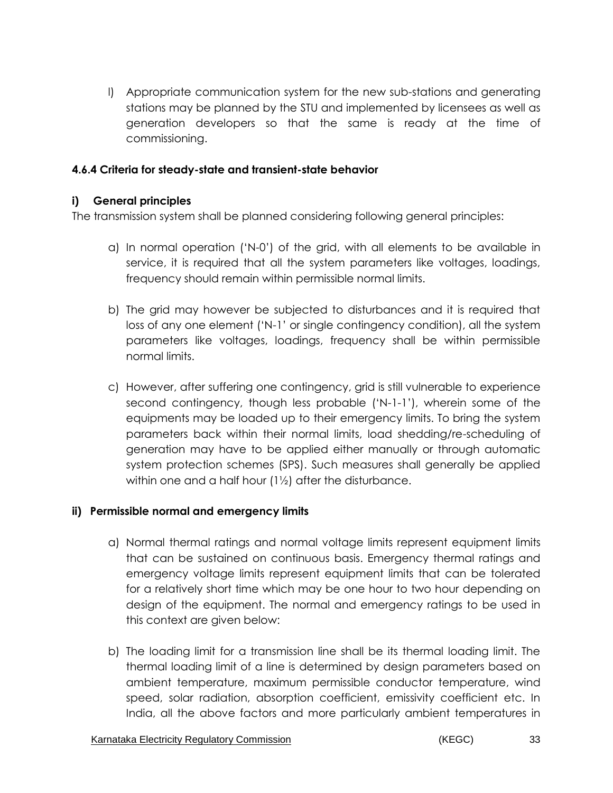l) Appropriate communication system for the new sub-stations and generating stations may be planned by the STU and implemented by licensees as well as generation developers so that the same is ready at the time of commissioning.

#### **4.6.4 Criteria for steady-state and transient-state behavior**

### **i) General principles**

The transmission system shall be planned considering following general principles:

- a) In normal operation ('N-0') of the grid, with all elements to be available in service, it is required that all the system parameters like voltages, loadings, frequency should remain within permissible normal limits.
- b) The grid may however be subjected to disturbances and it is required that loss of any one element ('N-1' or single contingency condition), all the system parameters like voltages, loadings, frequency shall be within permissible normal limits.
- c) However, after suffering one contingency, grid is still vulnerable to experience second contingency, though less probable ('N-1-1'), wherein some of the equipments may be loaded up to their emergency limits. To bring the system parameters back within their normal limits, load shedding/re-scheduling of generation may have to be applied either manually or through automatic system protection schemes (SPS). Such measures shall generally be applied within one and a half hour (1½) after the disturbance.

#### **ii) Permissible normal and emergency limits**

- a) Normal thermal ratings and normal voltage limits represent equipment limits that can be sustained on continuous basis. Emergency thermal ratings and emergency voltage limits represent equipment limits that can be tolerated for a relatively short time which may be one hour to two hour depending on design of the equipment. The normal and emergency ratings to be used in this context are given below:
- b) The loading limit for a transmission line shall be its thermal loading limit. The thermal loading limit of a line is determined by design parameters based on ambient temperature, maximum permissible conductor temperature, wind speed, solar radiation, absorption coefficient, emissivity coefficient etc. In India, all the above factors and more particularly ambient temperatures in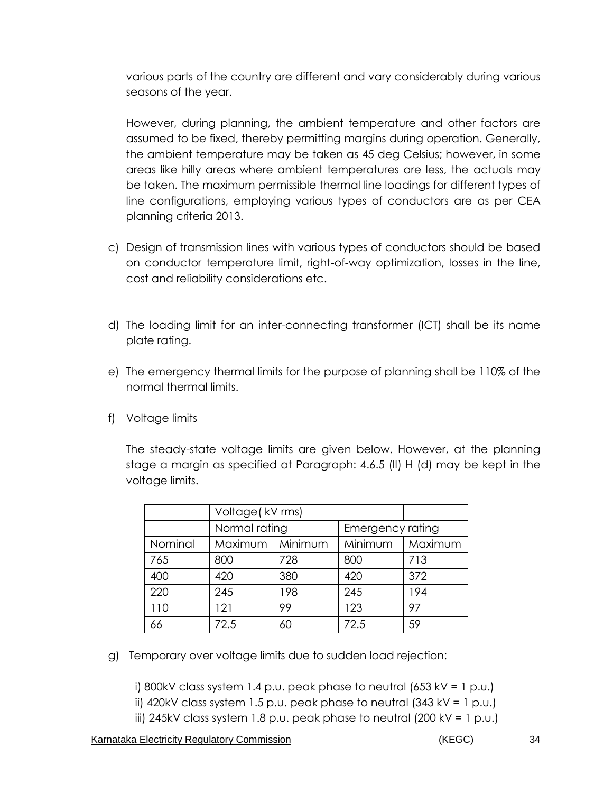various parts of the country are different and vary considerably during various seasons of the year.

However, during planning, the ambient temperature and other factors are assumed to be fixed, thereby permitting margins during operation. Generally, the ambient temperature may be taken as 45 deg Celsius; however, in some areas like hilly areas where ambient temperatures are less, the actuals may be taken. The maximum permissible thermal line loadings for different types of line configurations, employing various types of conductors are as per CEA planning criteria 2013.

- c) Design of transmission lines with various types of conductors should be based on conductor temperature limit, right-of-way optimization, losses in the line, cost and reliability considerations etc.
- d) The loading limit for an inter-connecting transformer (ICT) shall be its name plate rating.
- e) The emergency thermal limits for the purpose of planning shall be 110% of the normal thermal limits.
- f) Voltage limits

The steady-state voltage limits are given below. However, at the planning stage a margin as specified at Paragraph: 4.6.5 (II) H (d) may be kept in the voltage limits.

|         | Voltage (kV rms) |         |                  |         |
|---------|------------------|---------|------------------|---------|
|         | Normal rating    |         | Emergency rating |         |
| Nominal | Maximum          | Minimum | Minimum          | Maximum |
| 765     | 800              | 728     | 800              | 713     |
| 400     | 420              | 380     | 420              | 372     |
| 220     | 245              | 198     | 245              | 194     |
| 110     | 121              | 99      | 123              | 97      |
|         | 72.5             | 60      | 72.5             | 59      |

g) Temporary over voltage limits due to sudden load rejection:

i) 800kV class system 1.4 p.u. peak phase to neutral  $(653 \text{ kV} = 1 \text{ p.u.})$ ii) 420kV class system 1.5 p.u. peak phase to neutral  $(343 \text{ kV} = 1 \text{ p.u.})$ iii) 245kV class system 1.8 p.u. peak phase to neutral (200 kV = 1 p.u.)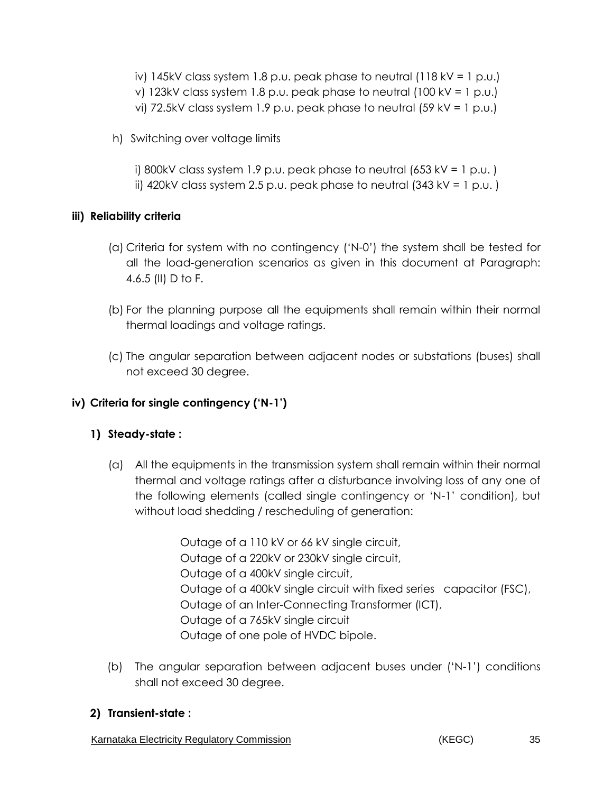- iv) 145kV class system 1.8 p.u. peak phase to neutral  $(118$  kV = 1 p.u.) v) 123kV class system 1.8 p.u. peak phase to neutral (100 kV = 1 p.u.)
- vi) 72.5kV class system 1.9 p.u. peak phase to neutral (59 kV = 1 p.u.)
- h) Switching over voltage limits

i) 800kV class system 1.9 p.u. peak phase to neutral  $(653$  kV = 1 p.u.) ii) 420kV class system 2.5 p.u. peak phase to neutral  $(343 \text{ kV} = 1 \text{ p.u.})$ 

## **iii) Reliability criteria**

- (a) Criteria for system with no contingency ('N-0') the system shall be tested for all the load-generation scenarios as given in this document at Paragraph: 4.6.5 (II) D to F.
- (b) For the planning purpose all the equipments shall remain within their normal thermal loadings and voltage ratings.
- (c) The angular separation between adjacent nodes or substations (buses) shall not exceed 30 degree.

# **iv) Criteria for single contingency ('N-1')**

# **1) Steady-state :**

(a) All the equipments in the transmission system shall remain within their normal thermal and voltage ratings after a disturbance involving loss of any one of the following elements (called single contingency or 'N-1' condition), but without load shedding / rescheduling of generation:

> Outage of a 110 kV or 66 kV single circuit, Outage of a 220kV or 230kV single circuit, Outage of a 400kV single circuit, Outage of a 400kV single circuit with fixed series capacitor (FSC), Outage of an Inter-Connecting Transformer (ICT), Outage of a 765kV single circuit Outage of one pole of HVDC bipole.

(b) The angular separation between adjacent buses under ('N-1') conditions shall not exceed 30 degree.

## **2) Transient-state :**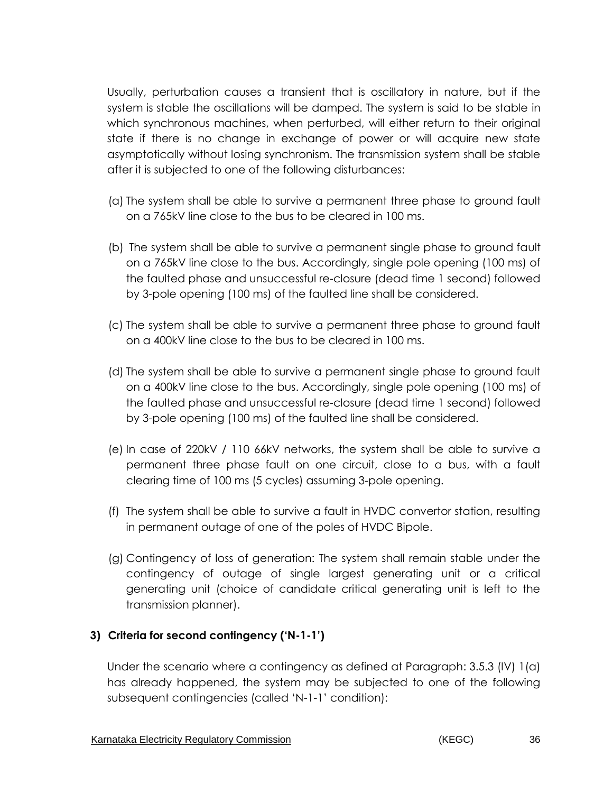Usually, perturbation causes a transient that is oscillatory in nature, but if the system is stable the oscillations will be damped. The system is said to be stable in which synchronous machines, when perturbed, will either return to their original state if there is no change in exchange of power or will acquire new state asymptotically without losing synchronism. The transmission system shall be stable after it is subjected to one of the following disturbances:

- (a) The system shall be able to survive a permanent three phase to ground fault on a 765kV line close to the bus to be cleared in 100 ms.
- (b) The system shall be able to survive a permanent single phase to ground fault on a 765kV line close to the bus. Accordingly, single pole opening (100 ms) of the faulted phase and unsuccessful re-closure (dead time 1 second) followed by 3-pole opening (100 ms) of the faulted line shall be considered.
- (c) The system shall be able to survive a permanent three phase to ground fault on a 400kV line close to the bus to be cleared in 100 ms.
- (d) The system shall be able to survive a permanent single phase to ground fault on a 400kV line close to the bus. Accordingly, single pole opening (100 ms) of the faulted phase and unsuccessful re-closure (dead time 1 second) followed by 3-pole opening (100 ms) of the faulted line shall be considered.
- (e) In case of 220kV / 110 66kV networks, the system shall be able to survive a permanent three phase fault on one circuit, close to a bus, with a fault clearing time of 100 ms (5 cycles) assuming 3-pole opening.
- (f) The system shall be able to survive a fault in HVDC convertor station, resulting in permanent outage of one of the poles of HVDC Bipole.
- (g) Contingency of loss of generation: The system shall remain stable under the contingency of outage of single largest generating unit or a critical generating unit (choice of candidate critical generating unit is left to the transmission planner).

## **3) Criteria for second contingency ('N-1-1')**

Under the scenario where a contingency as defined at Paragraph: 3.5.3 (IV) 1(a) has already happened, the system may be subjected to one of the following subsequent contingencies (called 'N-1-1' condition):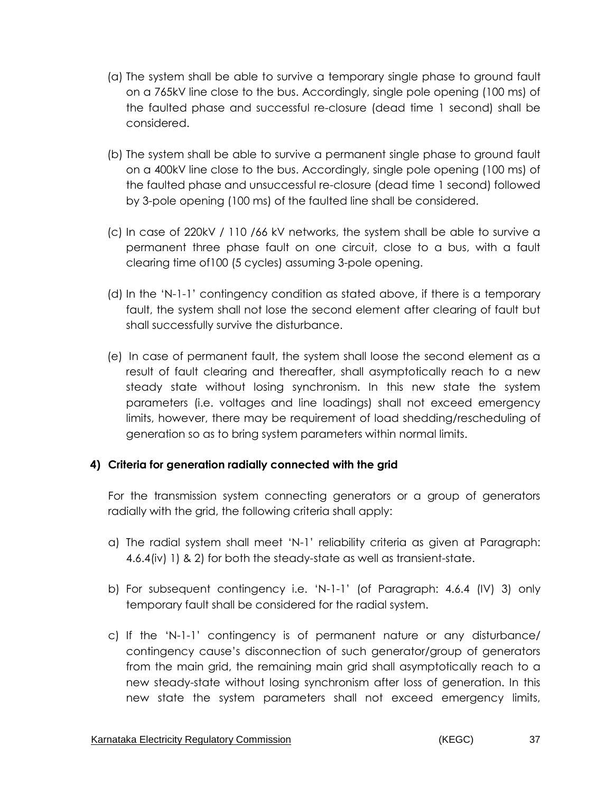- (a) The system shall be able to survive a temporary single phase to ground fault on a 765kV line close to the bus. Accordingly, single pole opening (100 ms) of the faulted phase and successful re-closure (dead time 1 second) shall be considered.
- (b) The system shall be able to survive a permanent single phase to ground fault on a 400kV line close to the bus. Accordingly, single pole opening (100 ms) of the faulted phase and unsuccessful re-closure (dead time 1 second) followed by 3-pole opening (100 ms) of the faulted line shall be considered.
- (c) In case of 220kV / 110 /66 kV networks, the system shall be able to survive a permanent three phase fault on one circuit, close to a bus, with a fault clearing time of100 (5 cycles) assuming 3-pole opening.
- (d) In the 'N-1-1' contingency condition as stated above, if there is a temporary fault, the system shall not lose the second element after clearing of fault but shall successfully survive the disturbance.
- (e) In case of permanent fault, the system shall loose the second element as a result of fault clearing and thereafter, shall asymptotically reach to a new steady state without losing synchronism. In this new state the system parameters (i.e. voltages and line loadings) shall not exceed emergency limits, however, there may be requirement of load shedding/rescheduling of generation so as to bring system parameters within normal limits.

# **4) Criteria for generation radially connected with the grid**

For the transmission system connecting generators or a group of generators radially with the grid, the following criteria shall apply:

- a) The radial system shall meet 'N-1' reliability criteria as given at Paragraph: 4.6.4(iv) 1) & 2) for both the steady-state as well as transient-state.
- b) For subsequent contingency i.e. 'N-1-1' (of Paragraph: 4.6.4 (IV) 3) only temporary fault shall be considered for the radial system.
- c) If the 'N-1-1' contingency is of permanent nature or any disturbance/ contingency cause's disconnection of such generator/group of generators from the main grid, the remaining main grid shall asymptotically reach to a new steady-state without losing synchronism after loss of generation. In this new state the system parameters shall not exceed emergency limits,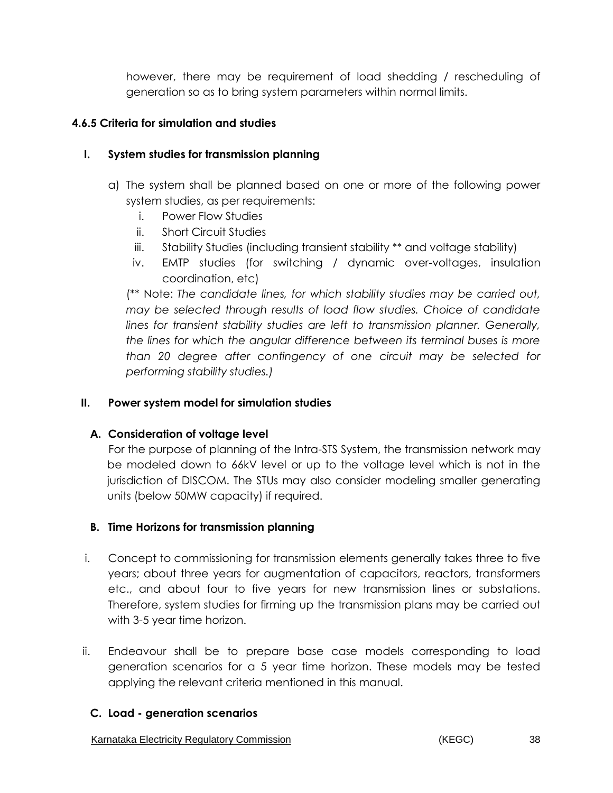however, there may be requirement of load shedding / rescheduling of generation so as to bring system parameters within normal limits.

### **4.6.5 Criteria for simulation and studies**

## **I. System studies for transmission planning**

- a) The system shall be planned based on one or more of the following power system studies, as per requirements:
	- i. Power Flow Studies
	- ii. Short Circuit Studies
	- iii. Stability Studies (including transient stability \*\* and voltage stability)
	- iv. EMTP studies (for switching / dynamic over-voltages, insulation coordination, etc)

(\*\* Note: *The candidate lines, for which stability studies may be carried out, may be selected through results of load flow studies. Choice of candidate lines for transient stability studies are left to transmission planner. Generally, the lines for which the angular difference between its terminal buses is more than 20 degree after contingency of one circuit may be selected for performing stability studies.)*

#### **II. Power system model for simulation studies**

### **A. Consideration of voltage level**

 For the purpose of planning of the Intra-STS System, the transmission network may be modeled down to 66kV level or up to the voltage level which is not in the jurisdiction of DISCOM. The STUs may also consider modeling smaller generating units (below 50MW capacity) if required.

### **B. Time Horizons for transmission planning**

- i. Concept to commissioning for transmission elements generally takes three to five years; about three years for augmentation of capacitors, reactors, transformers etc., and about four to five years for new transmission lines or substations. Therefore, system studies for firming up the transmission plans may be carried out with 3-5 year time horizon.
- ii. Endeavour shall be to prepare base case models corresponding to load generation scenarios for a 5 year time horizon. These models may be tested applying the relevant criteria mentioned in this manual.

### **C. Load - generation scenarios**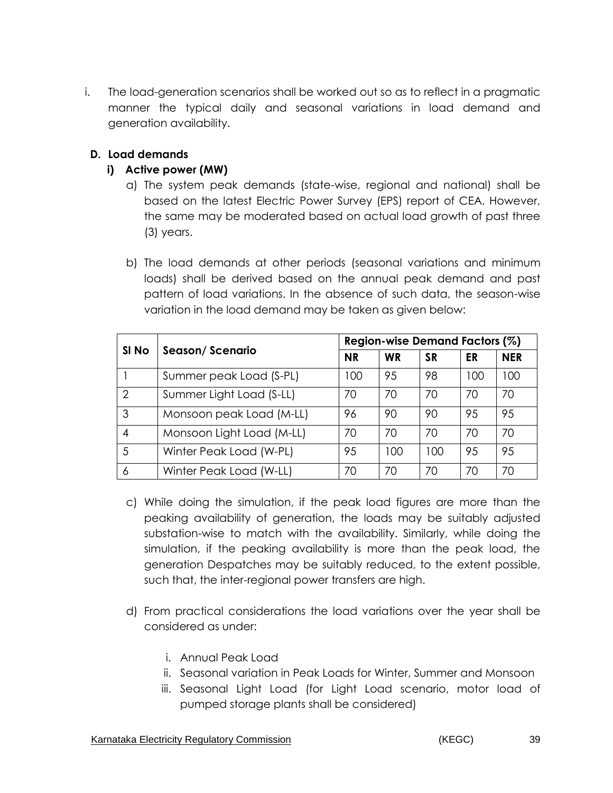i. The load-generation scenarios shall be worked out so as to reflect in a pragmatic manner the typical daily and seasonal variations in load demand and generation availability.

## **D. Load demands**

# **i) Active power (MW)**

- a) The system peak demands (state-wise, regional and national) shall be based on the latest Electric Power Survey (EPS) report of CEA. However, the same may be moderated based on actual load growth of past three (3) years.
- b) The load demands at other periods (seasonal variations and minimum loads) shall be derived based on the annual peak demand and past pattern of load variations. In the absence of such data, the season-wise variation in the load demand may be taken as given below:

|       |                           | Region-wise Demand Factors (%) |           |           |     |            |
|-------|---------------------------|--------------------------------|-----------|-----------|-----|------------|
| SI No | Season/Scenario           | <b>NR</b>                      | <b>WR</b> | <b>SR</b> | ER  | <b>NER</b> |
|       | Summer peak Load (S-PL)   | 100                            | 95        | 98        | 100 | 100        |
| 2     | Summer Light Load (S-LL)  | 70                             | 70        | 70        | 70  | 70         |
| 3     | Monsoon peak Load (M-LL)  | 96                             | 90        | 90        | 95  | 95         |
| 4     | Monsoon Light Load (M-LL) | 70                             | 70        | 70        | 70  | 70         |
| 5     | Winter Peak Load (W-PL)   | 95                             | 100       | 100       | 95  | 95         |
| 6     | Winter Peak Load (W-LL)   | 70                             | 70        | 70        | 70  | 70         |

- c) While doing the simulation, if the peak load figures are more than the peaking availability of generation, the loads may be suitably adjusted substation-wise to match with the availability. Similarly, while doing the simulation, if the peaking availability is more than the peak load, the generation Despatches may be suitably reduced, to the extent possible, such that, the inter-regional power transfers are high.
- d) From practical considerations the load variations over the year shall be considered as under:
	- i. Annual Peak Load
	- ii. Seasonal variation in Peak Loads for Winter, Summer and Monsoon
	- iii. Seasonal Light Load (for Light Load scenario, motor load of pumped storage plants shall be considered)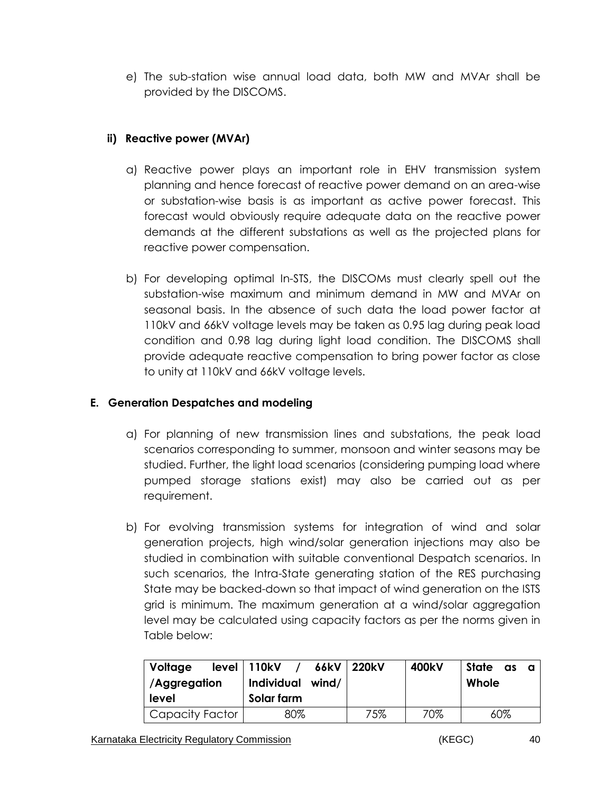e) The sub-station wise annual load data, both MW and MVAr shall be provided by the DISCOMS.

# **ii) Reactive power (MVAr)**

- a) Reactive power plays an important role in EHV transmission system planning and hence forecast of reactive power demand on an area-wise or substation-wise basis is as important as active power forecast. This forecast would obviously require adequate data on the reactive power demands at the different substations as well as the projected plans for reactive power compensation.
- b) For developing optimal In-STS, the DISCOMs must clearly spell out the substation-wise maximum and minimum demand in MW and MVAr on seasonal basis. In the absence of such data the load power factor at 110kV and 66kV voltage levels may be taken as 0.95 lag during peak load condition and 0.98 lag during light load condition. The DISCOMS shall provide adequate reactive compensation to bring power factor as close to unity at 110kV and 66kV voltage levels.

# **E. Generation Despatches and modeling**

- a) For planning of new transmission lines and substations, the peak load scenarios corresponding to summer, monsoon and winter seasons may be studied. Further, the light load scenarios (considering pumping load where pumped storage stations exist) may also be carried out as per requirement.
- b) For evolving transmission systems for integration of wind and solar generation projects, high wind/solar generation injections may also be studied in combination with suitable conventional Despatch scenarios. In such scenarios, the Intra-State generating station of the RES purchasing State may be backed-down so that impact of wind generation on the ISTS grid is minimum. The maximum generation at a wind/solar aggregation level may be calculated using capacity factors as per the norms given in Table below:

| Voltage<br>/Aggregation<br>level | $level \mid 110kV$<br>66kV<br>Individual wind/<br>Solar farm | $\mid$ 220kV | 400kV | State<br>as<br>a<br>Whole |
|----------------------------------|--------------------------------------------------------------|--------------|-------|---------------------------|
| Capacity Factor                  | 80%                                                          | 75%          | 70%   | $60\%$                    |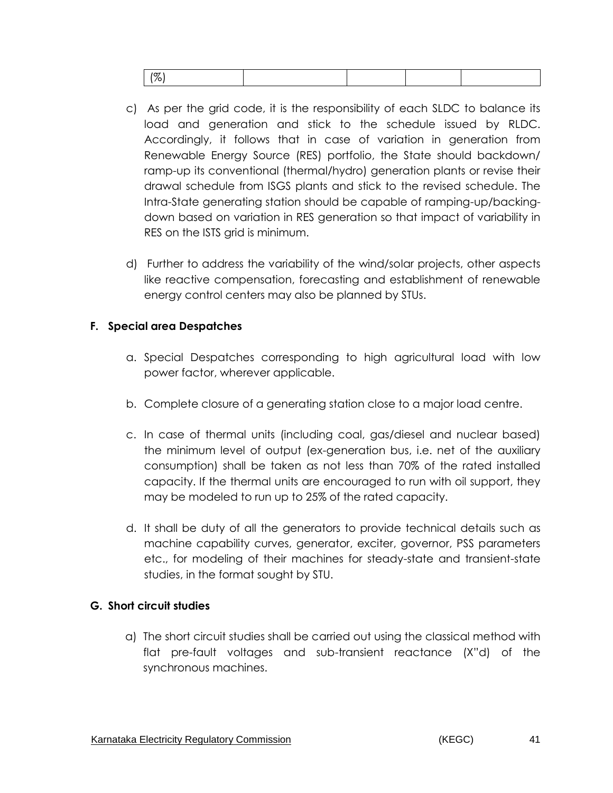| $\sim$ |  |  |  |  |  |  |
|--------|--|--|--|--|--|--|
|--------|--|--|--|--|--|--|

- c) As per the grid code, it is the responsibility of each SLDC to balance its load and generation and stick to the schedule issued by RLDC. Accordingly, it follows that in case of variation in generation from Renewable Energy Source (RES) portfolio, the State should backdown/ ramp-up its conventional (thermal/hydro) generation plants or revise their drawal schedule from ISGS plants and stick to the revised schedule. The Intra-State generating station should be capable of ramping-up/backingdown based on variation in RES generation so that impact of variability in RES on the ISTS grid is minimum.
- d) Further to address the variability of the wind/solar projects, other aspects like reactive compensation, forecasting and establishment of renewable energy control centers may also be planned by STUs.

### **F. Special area Despatches**

- a. Special Despatches corresponding to high agricultural load with low power factor, wherever applicable.
- b. Complete closure of a generating station close to a major load centre.
- c. In case of thermal units (including coal, gas/diesel and nuclear based) the minimum level of output (ex-generation bus, i.e. net of the auxiliary consumption) shall be taken as not less than 70% of the rated installed capacity. If the thermal units are encouraged to run with oil support, they may be modeled to run up to 25% of the rated capacity.
- d. It shall be duty of all the generators to provide technical details such as machine capability curves, generator, exciter, governor, PSS parameters etc., for modeling of their machines for steady-state and transient-state studies, in the format sought by STU.

### **G. Short circuit studies**

a) The short circuit studies shall be carried out using the classical method with flat pre-fault voltages and sub-transient reactance (X"d) of the synchronous machines.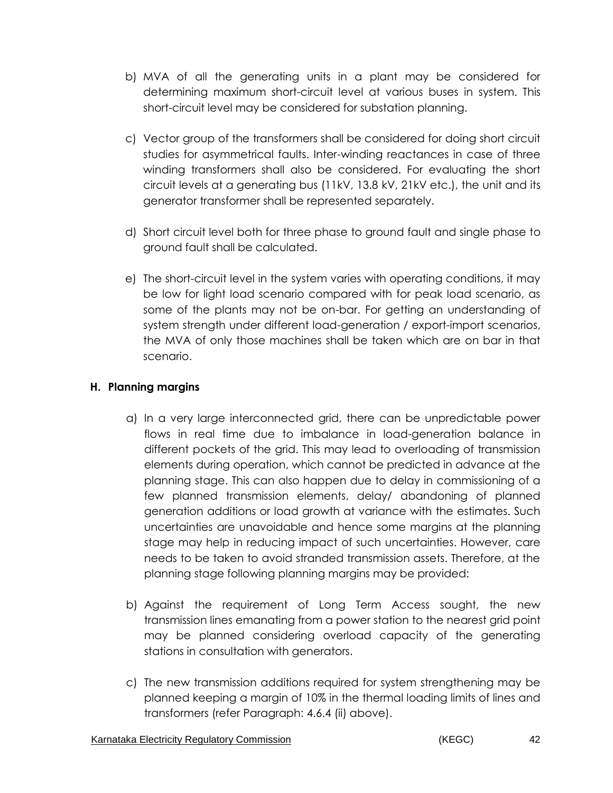- b) MVA of all the generating units in a plant may be considered for determining maximum short-circuit level at various buses in system. This short-circuit level may be considered for substation planning.
- c) Vector group of the transformers shall be considered for doing short circuit studies for asymmetrical faults. Inter-winding reactances in case of three winding transformers shall also be considered. For evaluating the short circuit levels at a generating bus (11kV, 13.8 kV, 21kV etc.), the unit and its generator transformer shall be represented separately.
- d) Short circuit level both for three phase to ground fault and single phase to ground fault shall be calculated.
- e) The short-circuit level in the system varies with operating conditions, it may be low for light load scenario compared with for peak load scenario, as some of the plants may not be on-bar. For getting an understanding of system strength under different load-generation / export-import scenarios, the MVA of only those machines shall be taken which are on bar in that scenario.

# **H. Planning margins**

- a) In a very large interconnected grid, there can be unpredictable power flows in real time due to imbalance in load-generation balance in different pockets of the grid. This may lead to overloading of transmission elements during operation, which cannot be predicted in advance at the planning stage. This can also happen due to delay in commissioning of a few planned transmission elements, delay/ abandoning of planned generation additions or load growth at variance with the estimates. Such uncertainties are unavoidable and hence some margins at the planning stage may help in reducing impact of such uncertainties. However, care needs to be taken to avoid stranded transmission assets. Therefore, at the planning stage following planning margins may be provided:
- b) Against the requirement of Long Term Access sought, the new transmission lines emanating from a power station to the nearest grid point may be planned considering overload capacity of the generating stations in consultation with generators.
- c) The new transmission additions required for system strengthening may be planned keeping a margin of 10% in the thermal loading limits of lines and transformers (refer Paragraph: 4.6.4 (ii) above).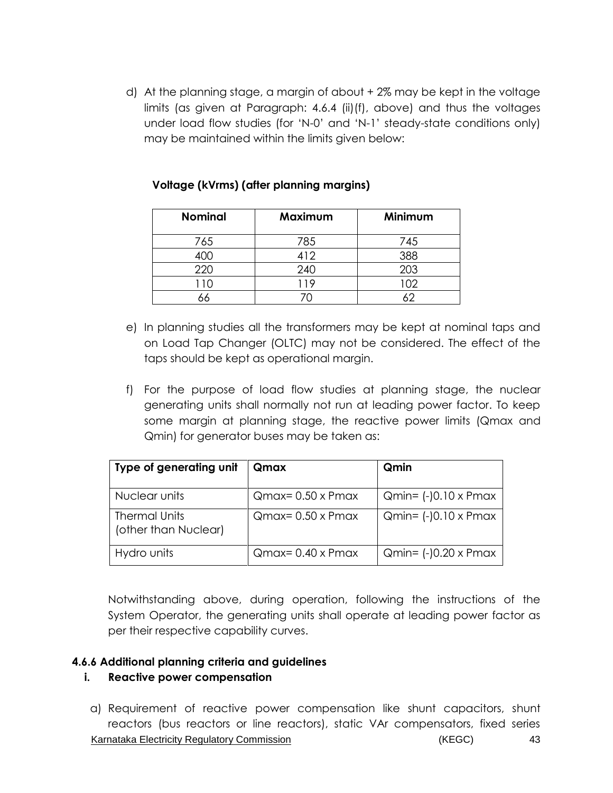d) At the planning stage, a margin of about + 2% may be kept in the voltage limits (as given at Paragraph: 4.6.4 (ii)(f), above) and thus the voltages under load flow studies (for 'N-0' and 'N-1' steady-state conditions only) may be maintained within the limits given below:

| <b>Nominal</b> | Maximum | Minimum |
|----------------|---------|---------|
| 765            | 785     | 745     |
|                | 412     | 388     |
| 220            | 240     | 203     |
| 10             | 19      | 02      |
|                |         |         |

#### **Voltage (kVrms) (after planning margins)**

- e) In planning studies all the transformers may be kept at nominal taps and on Load Tap Changer (OLTC) may not be considered. The effect of the taps should be kept as operational margin.
- f) For the purpose of load flow studies at planning stage, the nuclear generating units shall normally not run at leading power factor. To keep some margin at planning stage, the reactive power limits (Qmax and Qmin) for generator buses may be taken as:

| Type of generating unit                      | Qmax                      | Qmin                         |
|----------------------------------------------|---------------------------|------------------------------|
| Nuclear units                                | $Qmax = 0.50 \times Pmax$ | $Qmin = (-)0.10 \times Pmax$ |
| <b>Thermal Units</b><br>(other than Nuclear) | $Qmax = 0.50 \times Pmax$ | $Qmin = (-0.10 \times Pmax$  |
| Hydro units                                  | $Qmax = 0.40 \times Pmax$ | $Qmin = (-0.20 \times Pmax$  |

Notwithstanding above, during operation, following the instructions of the System Operator, the generating units shall operate at leading power factor as per their respective capability curves.

#### **4.6.6 Additional planning criteria and guidelines**

### **i. Reactive power compensation**

Karnataka Electricity Regulatory Commission **Example 2018** (KEGC) 43 a) Requirement of reactive power compensation like shunt capacitors, shunt reactors (bus reactors or line reactors), static VAr compensators, fixed series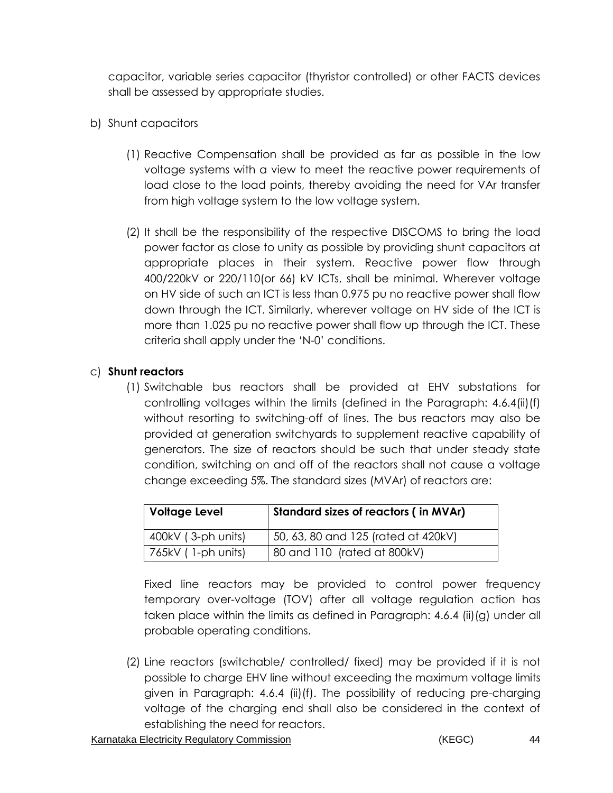capacitor, variable series capacitor (thyristor controlled) or other FACTS devices shall be assessed by appropriate studies.

- b) Shunt capacitors
	- (1) Reactive Compensation shall be provided as far as possible in the low voltage systems with a view to meet the reactive power requirements of load close to the load points, thereby avoiding the need for VAr transfer from high voltage system to the low voltage system.
	- (2) It shall be the responsibility of the respective DISCOMS to bring the load power factor as close to unity as possible by providing shunt capacitors at appropriate places in their system. Reactive power flow through 400/220kV or 220/110(or 66) kV ICTs, shall be minimal. Wherever voltage on HV side of such an ICT is less than 0.975 pu no reactive power shall flow down through the ICT. Similarly, wherever voltage on HV side of the ICT is more than 1.025 pu no reactive power shall flow up through the ICT. These criteria shall apply under the 'N-0' conditions.

# c) **Shunt reactors**

(1) Switchable bus reactors shall be provided at EHV substations for controlling voltages within the limits (defined in the Paragraph: 4.6.4(ii)(f) without resorting to switching-off of lines. The bus reactors may also be provided at generation switchyards to supplement reactive capability of generators. The size of reactors should be such that under steady state condition, switching on and off of the reactors shall not cause a voltage change exceeding 5%. The standard sizes (MVAr) of reactors are:

| <b>Voltage Level</b> | Standard sizes of reactors (in MVAr) |
|----------------------|--------------------------------------|
| 400kV (3-ph units)   | 50, 63, 80 and 125 (rated at 420kV)  |
| 765kV (1-ph units)   | 80 and 110 (rated at 800kV)          |

Fixed line reactors may be provided to control power frequency temporary over-voltage (TOV) after all voltage regulation action has taken place within the limits as defined in Paragraph: 4.6.4 (ii)(g) under all probable operating conditions.

(2) Line reactors (switchable/ controlled/ fixed) may be provided if it is not possible to charge EHV line without exceeding the maximum voltage limits given in Paragraph: 4.6.4 (ii)(f). The possibility of reducing pre-charging voltage of the charging end shall also be considered in the context of establishing the need for reactors.

Karnataka Electricity Regulatory Commission **Example 2018** (KEGC) 44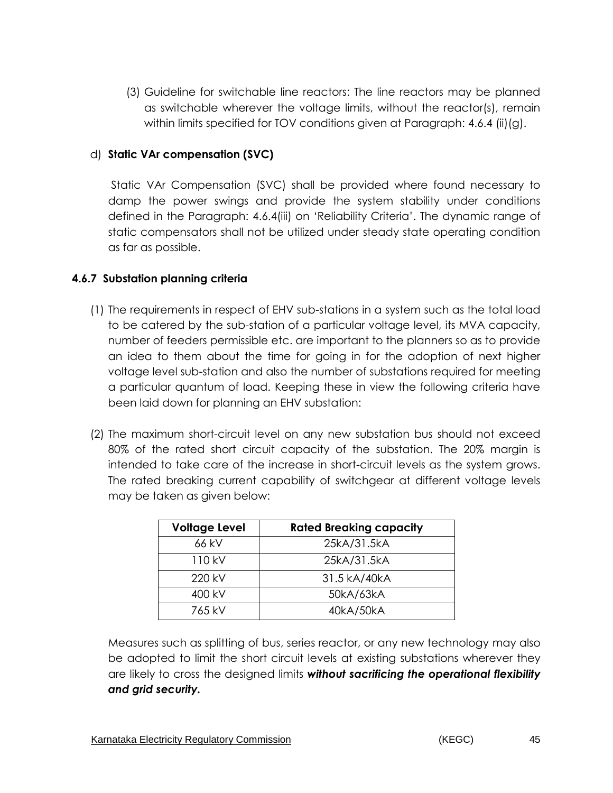(3) Guideline for switchable line reactors: The line reactors may be planned as switchable wherever the voltage limits, without the reactor(s), remain within limits specified for TOV conditions given at Paragraph: 4.6.4 (ii)(g).

### d) **Static VAr compensation (SVC)**

Static VAr Compensation (SVC) shall be provided where found necessary to damp the power swings and provide the system stability under conditions defined in the Paragraph: 4.6.4(iii) on 'Reliability Criteria'. The dynamic range of static compensators shall not be utilized under steady state operating condition as far as possible.

## **4.6.7 Substation planning criteria**

- (1) The requirements in respect of EHV sub-stations in a system such as the total load to be catered by the sub-station of a particular voltage level, its MVA capacity, number of feeders permissible etc. are important to the planners so as to provide an idea to them about the time for going in for the adoption of next higher voltage level sub-station and also the number of substations required for meeting a particular quantum of load. Keeping these in view the following criteria have been laid down for planning an EHV substation:
- (2) The maximum short-circuit level on any new substation bus should not exceed 80% of the rated short circuit capacity of the substation. The 20% margin is intended to take care of the increase in short-circuit levels as the system grows. The rated breaking current capability of switchgear at different voltage levels may be taken as given below:

| <b>Voltage Level</b> | <b>Rated Breaking capacity</b> |
|----------------------|--------------------------------|
| 66 kV                | 25kA/31.5kA                    |
| 110 kV               | 25kA/31.5kA                    |
| 220 kV               | 31.5 kA/40kA                   |
| 400 kV               | 50kA/63kA                      |
| 765 kV               | 40kA/50kA                      |

Measures such as splitting of bus, series reactor, or any new technology may also be adopted to limit the short circuit levels at existing substations wherever they are likely to cross the designed limits *without sacrificing the operational flexibility and grid security.*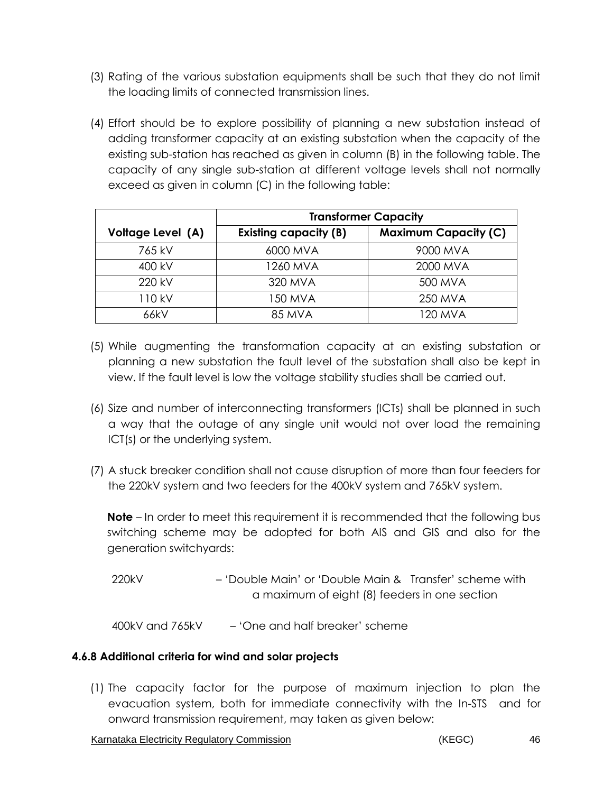- (3) Rating of the various substation equipments shall be such that they do not limit the loading limits of connected transmission lines.
- (4) Effort should be to explore possibility of planning a new substation instead of adding transformer capacity at an existing substation when the capacity of the existing sub-station has reached as given in column (B) in the following table. The capacity of any single sub-station at different voltage levels shall not normally exceed as given in column (C) in the following table:

|                   | <b>Transformer Capacity</b>  |                             |  |  |
|-------------------|------------------------------|-----------------------------|--|--|
| Voltage Level (A) | <b>Existing capacity (B)</b> | <b>Maximum Capacity (C)</b> |  |  |
| 765 kV            | 6000 MVA                     | 9000 MVA                    |  |  |
| 400 kV            | 1260 MVA                     | 2000 MVA                    |  |  |
| 220 kV            | 320 MVA                      | 500 MVA                     |  |  |
| 110 kV            | 150 MVA                      | <b>250 MVA</b>              |  |  |
| 66kV              | <b>85 MVA</b>                | 120 MVA                     |  |  |

- (5) While augmenting the transformation capacity at an existing substation or planning a new substation the fault level of the substation shall also be kept in view. If the fault level is low the voltage stability studies shall be carried out.
- (6) Size and number of interconnecting transformers (ICTs) shall be planned in such a way that the outage of any single unit would not over load the remaining ICT(s) or the underlying system.
- (7) A stuck breaker condition shall not cause disruption of more than four feeders for the 220kV system and two feeders for the 400kV system and 765kV system.

**Note** – In order to meet this requirement it is recommended that the following bus switching scheme may be adopted for both AIS and GIS and also for the generation switchyards:

220kV – 'Double Main' or 'Double Main & Transfer' scheme with a maximum of eight (8) feeders in one section

400kV and 765kV – 'One and half breaker' scheme

### **4.6.8 Additional criteria for wind and solar projects**

(1) The capacity factor for the purpose of maximum injection to plan the evacuation system, both for immediate connectivity with the In-STS and for onward transmission requirement, may taken as given below:

Karnataka Electricity Regulatory Commission **Accord Contract Contract Contract Contract Contract Contract Contract Contract Contract Contract Contract Contract Contract Contract Contract Contract Contract Contract Contract**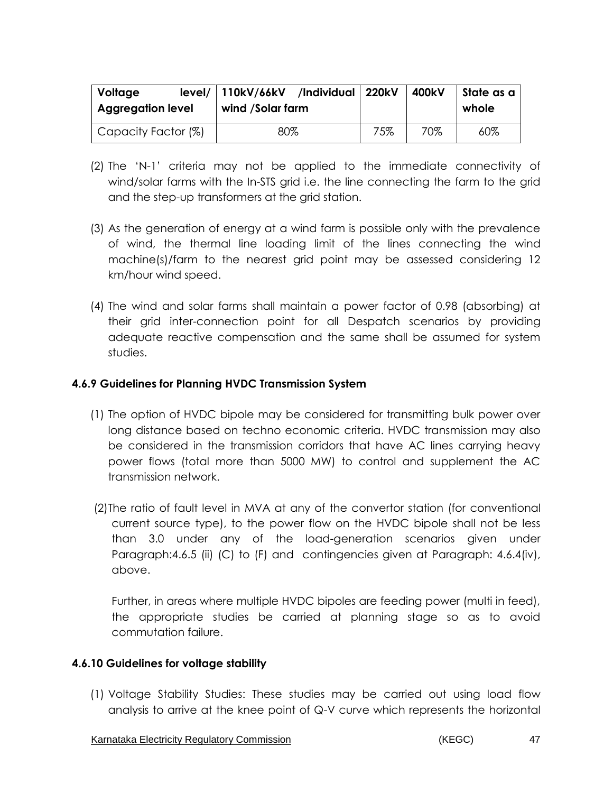| Voltage<br><b>Aggregation level</b> | level/   110kV/66kV /Individual   220kV<br>wind /Solar farm |     | 400kV | State as a<br>whole |
|-------------------------------------|-------------------------------------------------------------|-----|-------|---------------------|
| Capacity Factor (%)                 | 80%                                                         | 75% | 70%   | $60\%$              |

- (2) The 'N-1' criteria may not be applied to the immediate connectivity of wind/solar farms with the In-STS grid i.e. the line connecting the farm to the grid and the step-up transformers at the grid station.
- (3) As the generation of energy at a wind farm is possible only with the prevalence of wind, the thermal line loading limit of the lines connecting the wind machine(s)/farm to the nearest grid point may be assessed considering 12 km/hour wind speed.
- (4) The wind and solar farms shall maintain a power factor of 0.98 (absorbing) at their grid inter-connection point for all Despatch scenarios by providing adequate reactive compensation and the same shall be assumed for system studies.

### **4.6.9 Guidelines for Planning HVDC Transmission System**

- (1) The option of HVDC bipole may be considered for transmitting bulk power over long distance based on techno economic criteria. HVDC transmission may also be considered in the transmission corridors that have AC lines carrying heavy power flows (total more than 5000 MW) to control and supplement the AC transmission network.
- (2)The ratio of fault level in MVA at any of the convertor station (for conventional current source type), to the power flow on the HVDC bipole shall not be less than 3.0 under any of the load-generation scenarios given under Paragraph:4.6.5 (ii) (C) to (F) and contingencies given at Paragraph: 4.6.4(iv), above.

Further, in areas where multiple HVDC bipoles are feeding power (multi in feed), the appropriate studies be carried at planning stage so as to avoid commutation failure.

### **4.6.10 Guidelines for voltage stability**

(1) Voltage Stability Studies: These studies may be carried out using load flow analysis to arrive at the knee point of Q-V curve which represents the horizontal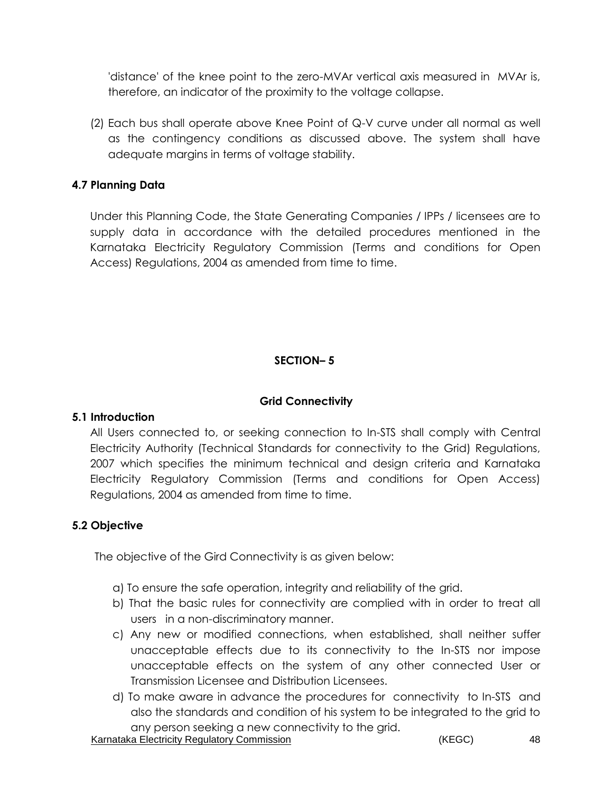'distance' of the knee point to the zero-MVAr vertical axis measured in MVAr is, therefore, an indicator of the proximity to the voltage collapse.

(2) Each bus shall operate above Knee Point of Q-V curve under all normal as well as the contingency conditions as discussed above. The system shall have adequate margins in terms of voltage stability.

### **4.7 Planning Data**

 Under this Planning Code, the State Generating Companies / IPPs / licensees are to supply data in accordance with the detailed procedures mentioned in the Karnataka Electricity Regulatory Commission (Terms and conditions for Open Access) Regulations, 2004 as amended from time to time.

# **SECTION– 5**

### **Grid Connectivity**

### **5.1 Introduction**

All Users connected to, or seeking connection to In-STS shall comply with Central Electricity Authority (Technical Standards for connectivity to the Grid) Regulations, 2007 which specifies the minimum technical and design criteria and Karnataka Electricity Regulatory Commission (Terms and conditions for Open Access) Regulations, 2004 as amended from time to time.

### **5.2 Objective**

The objective of the Gird Connectivity is as given below:

- a) To ensure the safe operation, integrity and reliability of the grid.
- b) That the basic rules for connectivity are complied with in order to treat all users in a non-discriminatory manner.
- c) Any new or modified connections, when established, shall neither suffer unacceptable effects due to its connectivity to the In-STS nor impose unacceptable effects on the system of any other connected User or Transmission Licensee and Distribution Licensees.
- d) To make aware in advance the procedures for connectivity to In-STS and also the standards and condition of his system to be integrated to the grid to any person seeking a new connectivity to the grid.

Karnataka Electricity Regulatory Commission **Example 2018** (KEGC) 48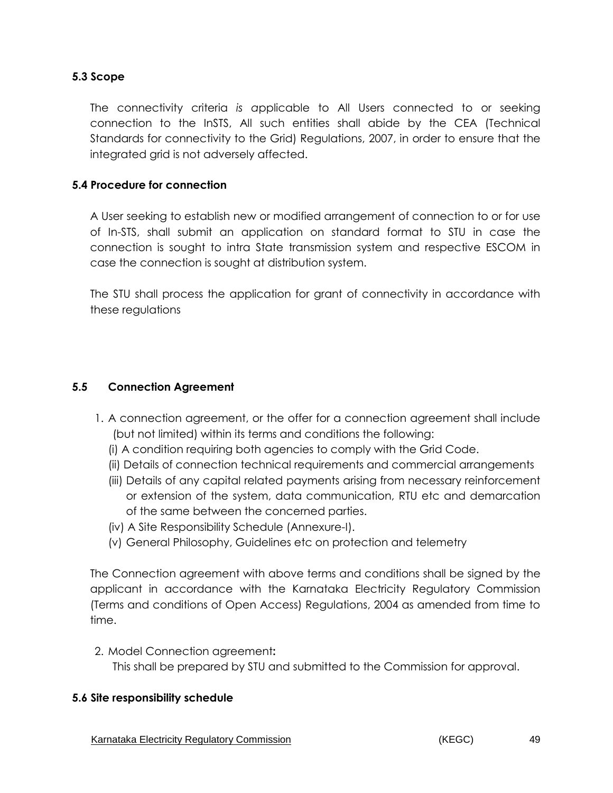# **5.3 Scope**

The connectivity criteria *is a*pplicable to All Users connected to or seeking connection to the InSTS, All such entities shall abide by the CEA (Technical Standards for connectivity to the Grid) Regulations, 2007, in order to ensure that the integrated grid is not adversely affected.

### **5.4 Procedure for connection**

A User seeking to establish new or modified arrangement of connection to or for use of In-STS, shall submit an application on standard format to STU in case the connection is sought to intra State transmission system and respective ESCOM in case the connection is sought at distribution system.

The STU shall process the application for grant of connectivity in accordance with these regulations

### **5.5 Connection Agreement**

- 1. A connection agreement, or the offer for a connection agreement shall include (but not limited) within its terms and conditions the following:
	- (i) A condition requiring both agencies to comply with the Grid Code.
	- (ii) Details of connection technical requirements and commercial arrangements
	- (iii) Details of any capital related payments arising from necessary reinforcement or extension of the system, data communication, RTU etc and demarcation of the same between the concerned parties.
	- (iv) A Site Responsibility Schedule (Annexure-I).
	- (v) General Philosophy, Guidelines etc on protection and telemetry

The Connection agreement with above terms and conditions shall be signed by the applicant in accordance with the Karnataka Electricity Regulatory Commission (Terms and conditions of Open Access) Regulations, 2004 as amended from time to time.

2. Model Connection agreement**:** 

This shall be prepared by STU and submitted to the Commission for approval.

#### **5.6 Site responsibility schedule**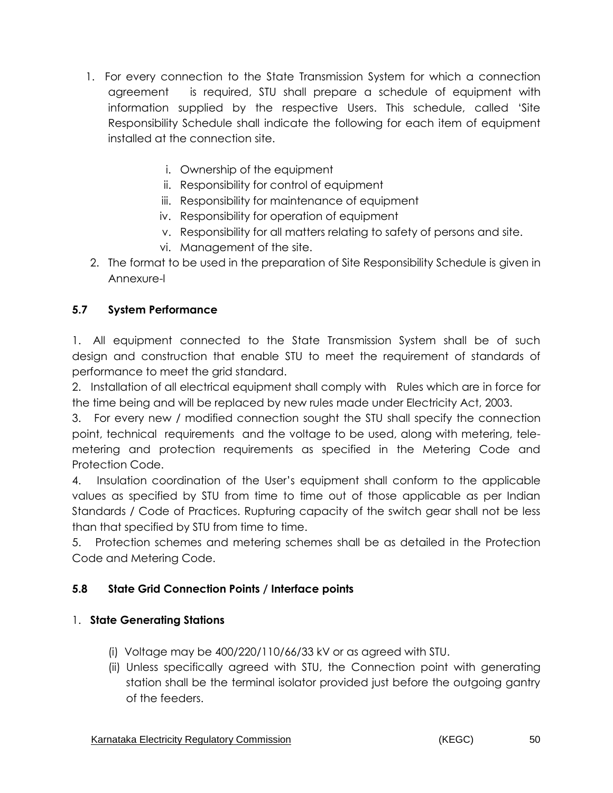- 1. For every connection to the State Transmission System for which a connection agreement is required, STU shall prepare a schedule of equipment with information supplied by the respective Users. This schedule, called 'Site Responsibility Schedule shall indicate the following for each item of equipment installed at the connection site.
	- i. Ownership of the equipment
	- ii. Responsibility for control of equipment
	- iii. Responsibility for maintenance of equipment
	- iv. Responsibility for operation of equipment
	- v. Responsibility for all matters relating to safety of persons and site.
	- vi. Management of the site.
- 2. The format to be used in the preparation of Site Responsibility Schedule is given in Annexure-I

# **5.7 System Performance**

1. All equipment connected to the State Transmission System shall be of such design and construction that enable STU to meet the requirement of standards of performance to meet the grid standard.

2. Installation of all electrical equipment shall comply with Rules which are in force for the time being and will be replaced by new rules made under Electricity Act, 2003.

3. For every new / modified connection sought the STU shall specify the connection point, technical requirements and the voltage to be used, along with metering, telemetering and protection requirements as specified in the Metering Code and Protection Code.

4. Insulation coordination of the User's equipment shall conform to the applicable values as specified by STU from time to time out of those applicable as per Indian Standards / Code of Practices. Rupturing capacity of the switch gear shall not be less than that specified by STU from time to time.

5. Protection schemes and metering schemes shall be as detailed in the Protection Code and Metering Code.

# **5.8 State Grid Connection Points / Interface points**

# 1. **State Generating Stations**

- (i) Voltage may be 400/220/110/66/33 kV or as agreed with STU.
- (ii) Unless specifically agreed with STU, the Connection point with generating station shall be the terminal isolator provided just before the outgoing gantry of the feeders.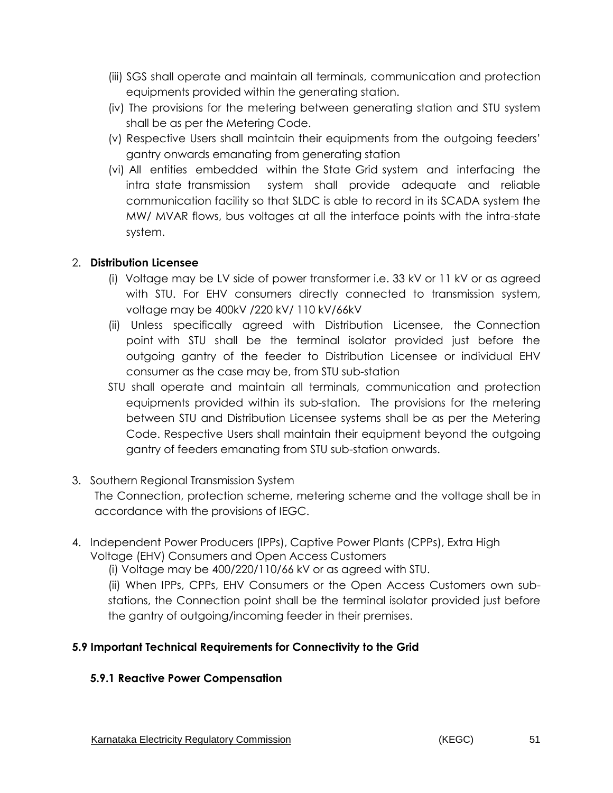- (iii) SGS shall operate and maintain all terminals, communication and protection equipments provided within the generating station.
- (iv) The provisions for the metering between generating station and STU system shall be as per the Metering Code.
- (v) Respective Users shall maintain their equipments from the outgoing feeders' gantry onwards emanating from generating station
- (vi) All entities embedded within the State Grid system and interfacing the intra state transmission system shall provide adequate and reliable communication facility so that SLDC is able to record in its SCADA system the MW/ MVAR flows, bus voltages at all the interface points with the intra-state system.

## 2. **Distribution Licensee**

- (i) Voltage may be LV side of power transformer i.e. 33 kV or 11 kV or as agreed with STU. For EHV consumers directly connected to transmission system, voltage may be 400kV /220 kV/ 110 kV/66kV
- (ii) Unless specifically agreed with Distribution Licensee, the Connection point with STU shall be the terminal isolator provided just before the outgoing gantry of the feeder to Distribution Licensee or individual EHV consumer as the case may be, from STU sub-station
- STU shall operate and maintain all terminals, communication and protection equipments provided within its sub-station. The provisions for the metering between STU and Distribution Licensee systems shall be as per the Metering Code. Respective Users shall maintain their equipment beyond the outgoing gantry of feeders emanating from STU sub-station onwards.
- 3. Southern Regional Transmission System

The Connection, protection scheme, metering scheme and the voltage shall be in accordance with the provisions of IEGC.

4. Independent Power Producers (IPPs), Captive Power Plants (CPPs), Extra High Voltage (EHV) Consumers and Open Access Customers

(i) Voltage may be 400/220/110/66 kV or as agreed with STU.

(ii) When IPPs, CPPs, EHV Consumers or the Open Access Customers own substations, the Connection point shall be the terminal isolator provided just before the gantry of outgoing/incoming feeder in their premises.

# **5.9 Important Technical Requirements for Connectivity to the Grid**

### **5.9.1 Reactive Power Compensation**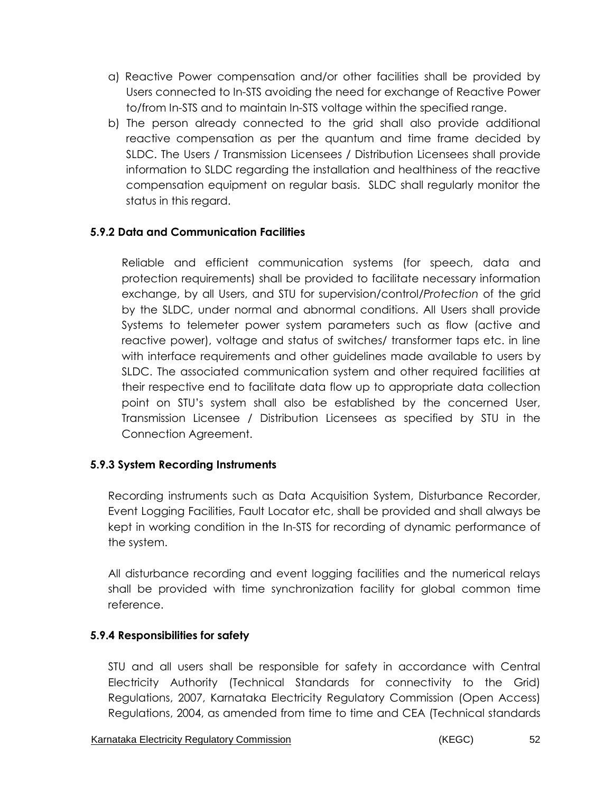- a) Reactive Power compensation and/or other facilities shall be provided by Users connected to In-STS avoiding the need for exchange of Reactive Power to/from In-STS and to maintain In-STS voltage within the specified range.
- b) The person already connected to the grid shall also provide additional reactive compensation as per the quantum and time frame decided by SLDC. The Users / Transmission Licensees / Distribution Licensees shall provide information to SLDC regarding the installation and healthiness of the reactive compensation equipment on regular basis. SLDC shall regularly monitor the status in this regard.

## **5.9.2 Data and Communication Facilities**

Reliable and efficient communication systems (for speech, data and protection requirements) shall be provided to facilitate necessary information exchange, by all Users, and STU for supervision/control/*Protection* of the grid by the SLDC, under normal and abnormal conditions. All Users shall provide Systems to telemeter power system parameters such as flow (active and reactive power), voltage and status of switches/ transformer taps etc. in line with interface requirements and other guidelines made available to users by SLDC. The associated communication system and other required facilities at their respective end to facilitate data flow up to appropriate data collection point on STU's system shall also be established by the concerned User, Transmission Licensee / Distribution Licensees as specified by STU in the Connection Agreement.

### **5.9.3 System Recording Instruments**

Recording instruments such as Data Acquisition System, Disturbance Recorder, Event Logging Facilities, Fault Locator etc, shall be provided and shall always be kept in working condition in the In-STS for recording of dynamic performance of the system.

All disturbance recording and event logging facilities and the numerical relays shall be provided with time synchronization facility for global common time reference.

### **5.9.4 Responsibilities for safety**

STU and all users shall be responsible for safety in accordance with Central Electricity Authority (Technical Standards for connectivity to the Grid) Regulations, 2007, Karnataka Electricity Regulatory Commission (Open Access) Regulations, 2004, as amended from time to time and CEA (Technical standards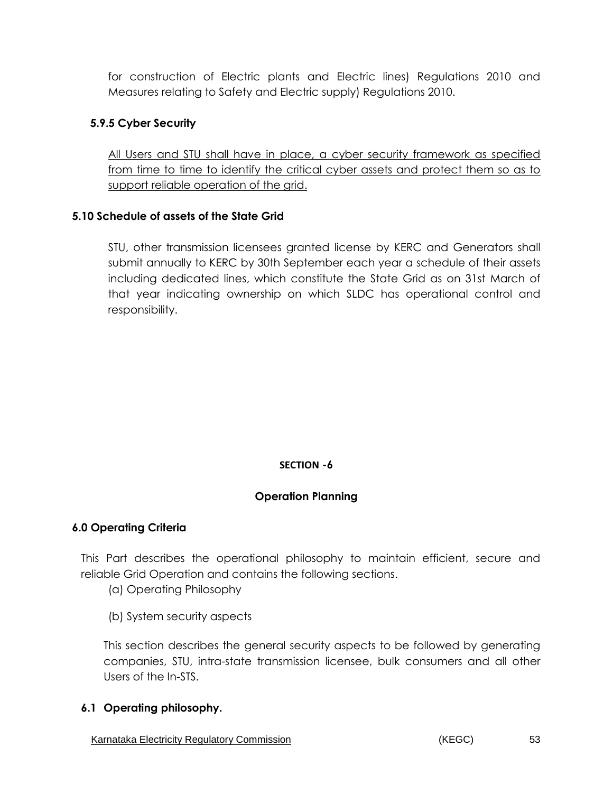for construction of Electric plants and Electric lines) Regulations 2010 and Measures relating to Safety and Electric supply) Regulations 2010.

## **5.9.5 Cyber Security**

All Users and STU shall have in place, a cyber security framework as specified from time to time to identify the critical cyber assets and protect them so as to support reliable operation of the grid.

### **5.10 Schedule of assets of the State Grid**

STU, other transmission licensees granted license by KERC and Generators shall submit annually to KERC by 30th September each year a schedule of their assets including dedicated lines, which constitute the State Grid as on 31st March of that year indicating ownership on which SLDC has operational control and responsibility.

### **SECTION -6**

### **Operation Planning**

### **6.0 Operating Criteria**

This Part describes the operational philosophy to maintain efficient, secure and reliable Grid Operation and contains the following sections.

- (a) Operating Philosophy
- (b) System security aspects

This section describes the general security aspects to be followed by generating companies, STU, intra-state transmission licensee, bulk consumers and all other Users of the In-STS.

### **6.1 Operating philosophy.**

Karnataka Electricity Regulatory Commission **Example 20** (KEGC) 63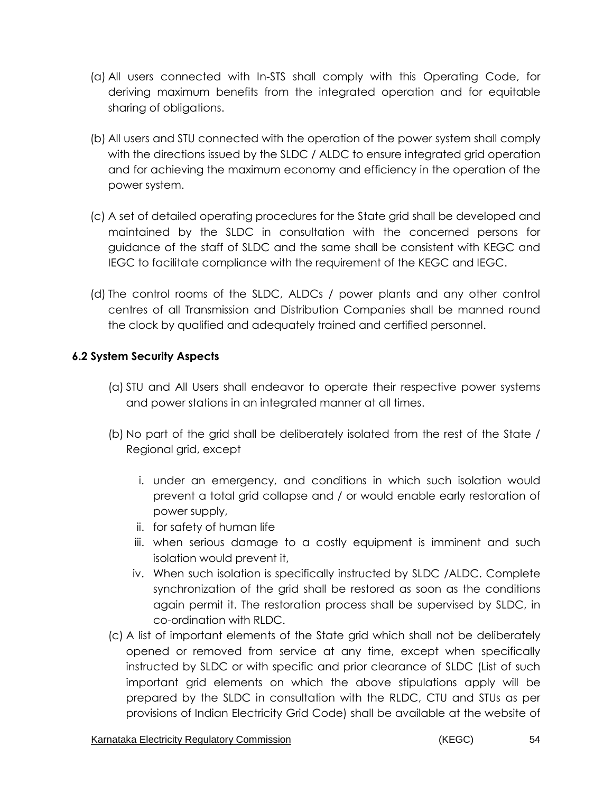- (a) All users connected with In-STS shall comply with this Operating Code, for deriving maximum benefits from the integrated operation and for equitable sharing of obligations.
- (b) All users and STU connected with the operation of the power system shall comply with the directions issued by the SLDC / ALDC to ensure integrated grid operation and for achieving the maximum economy and efficiency in the operation of the power system.
- (c) A set of detailed operating procedures for the State grid shall be developed and maintained by the SLDC in consultation with the concerned persons for guidance of the staff of SLDC and the same shall be consistent with KEGC and IEGC to facilitate compliance with the requirement of the KEGC and IEGC.
- (d) The control rooms of the SLDC, ALDCs / power plants and any other control centres of all Transmission and Distribution Companies shall be manned round the clock by qualified and adequately trained and certified personnel.

# **6.2 System Security Aspects**

- (a) STU and All Users shall endeavor to operate their respective power systems and power stations in an integrated manner at all times.
- (b) No part of the grid shall be deliberately isolated from the rest of the State / Regional grid, except
	- i. under an emergency, and conditions in which such isolation would prevent a total grid collapse and / or would enable early restoration of power supply,
	- ii. for safety of human life
	- iii. when serious damage to a costly equipment is imminent and such isolation would prevent it,
	- iv. When such isolation is specifically instructed by SLDC /ALDC. Complete synchronization of the grid shall be restored as soon as the conditions again permit it. The restoration process shall be supervised by SLDC, in co-ordination with RLDC.
- (c) A list of important elements of the State grid which shall not be deliberately opened or removed from service at any time, except when specifically instructed by SLDC or with specific and prior clearance of SLDC (List of such important grid elements on which the above stipulations apply will be prepared by the SLDC in consultation with the RLDC, CTU and STUs as per provisions of Indian Electricity Grid Code) shall be available at the website of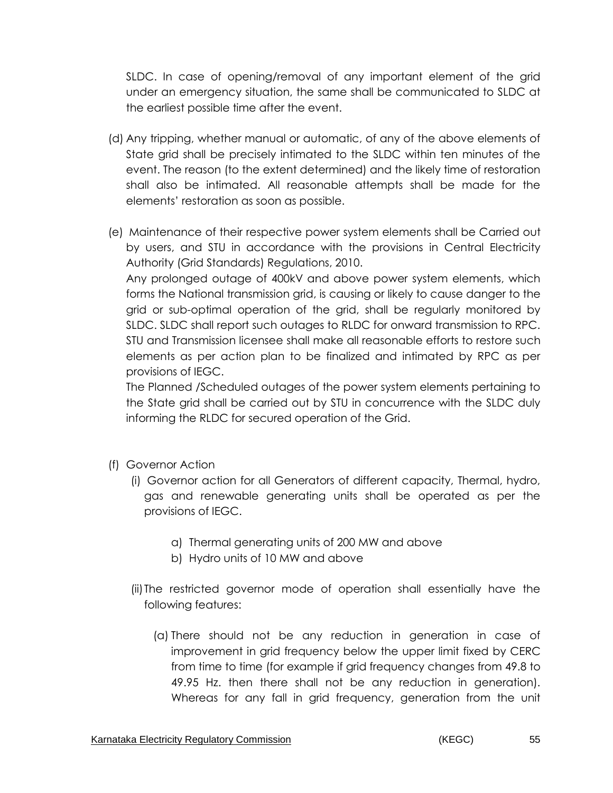SLDC. In case of opening/removal of any important element of the grid under an emergency situation, the same shall be communicated to SLDC at the earliest possible time after the event.

- (d) Any tripping, whether manual or automatic, of any of the above elements of State grid shall be precisely intimated to the SLDC within ten minutes of the event. The reason (to the extent determined) and the likely time of restoration shall also be intimated. All reasonable attempts shall be made for the elements' restoration as soon as possible.
- (e) Maintenance of their respective power system elements shall be Carried out by users, and STU in accordance with the provisions in Central Electricity Authority (Grid Standards) Regulations, 2010.

Any prolonged outage of 400kV and above power system elements, which forms the National transmission grid, is causing or likely to cause danger to the grid or sub-optimal operation of the grid, shall be regularly monitored by SLDC. SLDC shall report such outages to RLDC for onward transmission to RPC. STU and Transmission licensee shall make all reasonable efforts to restore such elements as per action plan to be finalized and intimated by RPC as per provisions of IEGC.

The Planned /Scheduled outages of the power system elements pertaining to the State grid shall be carried out by STU in concurrence with the SLDC duly informing the RLDC for secured operation of the Grid.

- (f) Governor Action
	- (i) Governor action for all Generators of different capacity, Thermal, hydro, gas and renewable generating units shall be operated as per the provisions of IEGC.
		- a) Thermal generating units of 200 MW and above
		- b) Hydro units of 10 MW and above
	- (ii)The restricted governor mode of operation shall essentially have the following features:
		- (a) There should not be any reduction in generation in case of improvement in grid frequency below the upper limit fixed by CERC from time to time (for example if grid frequency changes from 49.8 to 49.95 Hz. then there shall not be any reduction in generation). Whereas for any fall in grid frequency, generation from the unit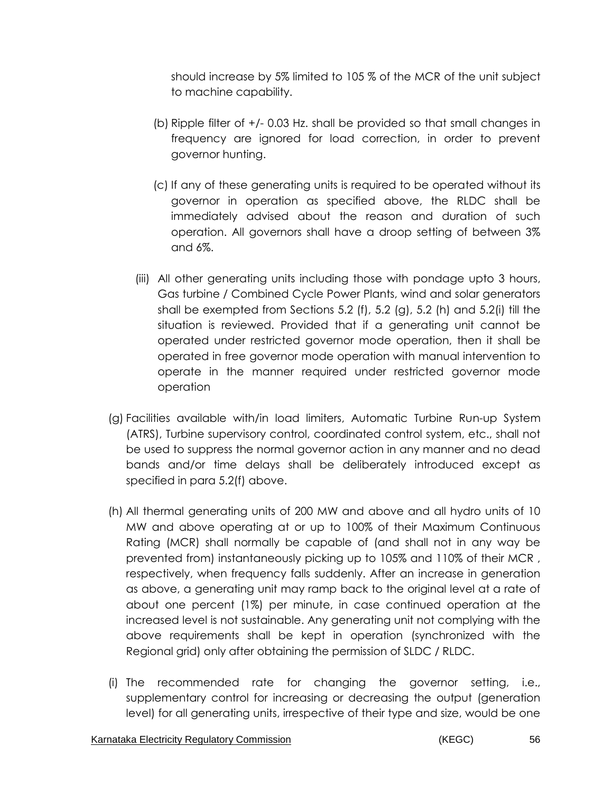should increase by 5% limited to 105 % of the MCR of the unit subject to machine capability.

- (b) Ripple filter of +/- 0.03 Hz. shall be provided so that small changes in frequency are ignored for load correction, in order to prevent governor hunting.
- (c) If any of these generating units is required to be operated without its governor in operation as specified above, the RLDC shall be immediately advised about the reason and duration of such operation. All governors shall have a droop setting of between 3% and 6%.
- (iii) All other generating units including those with pondage upto 3 hours, Gas turbine / Combined Cycle Power Plants, wind and solar generators shall be exempted from Sections 5.2 (f), 5.2 (g), 5.2 (h) and 5.2(i) till the situation is reviewed. Provided that if a generating unit cannot be operated under restricted governor mode operation, then it shall be operated in free governor mode operation with manual intervention to operate in the manner required under restricted governor mode operation
- (g) Facilities available with/in load limiters, Automatic Turbine Run-up System (ATRS), Turbine supervisory control, coordinated control system, etc., shall not be used to suppress the normal governor action in any manner and no dead bands and/or time delays shall be deliberately introduced except as specified in para 5.2(f) above.
- (h) All thermal generating units of 200 MW and above and all hydro units of 10 MW and above operating at or up to 100% of their Maximum Continuous Rating (MCR) shall normally be capable of (and shall not in any way be prevented from) instantaneously picking up to 105% and 110% of their MCR , respectively, when frequency falls suddenly. After an increase in generation as above, a generating unit may ramp back to the original level at a rate of about one percent (1%) per minute, in case continued operation at the increased level is not sustainable. Any generating unit not complying with the above requirements shall be kept in operation (synchronized with the Regional grid) only after obtaining the permission of SLDC / RLDC.
- (i) The recommended rate for changing the governor setting, i.e., supplementary control for increasing or decreasing the output (generation level) for all generating units, irrespective of their type and size, would be one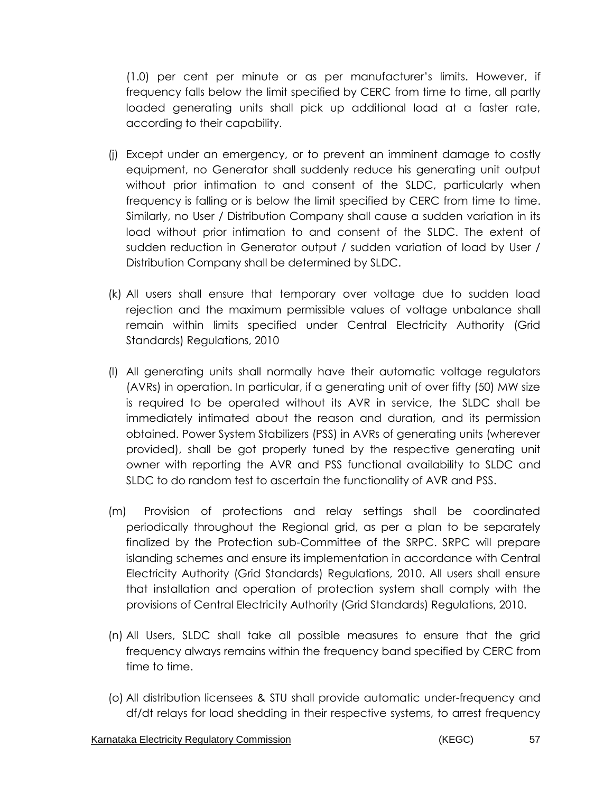(1.0) per cent per minute or as per manufacturer's limits. However, if frequency falls below the limit specified by CERC from time to time, all partly loaded generating units shall pick up additional load at a faster rate, according to their capability.

- (j) Except under an emergency, or to prevent an imminent damage to costly equipment, no Generator shall suddenly reduce his generating unit output without prior intimation to and consent of the SLDC, particularly when frequency is falling or is below the limit specified by CERC from time to time. Similarly, no User / Distribution Company shall cause a sudden variation in its load without prior intimation to and consent of the SLDC. The extent of sudden reduction in Generator output / sudden variation of load by User / Distribution Company shall be determined by SLDC.
- (k) All users shall ensure that temporary over voltage due to sudden load rejection and the maximum permissible values of voltage unbalance shall remain within limits specified under Central Electricity Authority (Grid Standards) Regulations, 2010
- (l) All generating units shall normally have their automatic voltage regulators (AVRs) in operation. In particular, if a generating unit of over fifty (50) MW size is required to be operated without its AVR in service, the SLDC shall be immediately intimated about the reason and duration, and its permission obtained. Power System Stabilizers (PSS) in AVRs of generating units (wherever provided), shall be got properly tuned by the respective generating unit owner with reporting the AVR and PSS functional availability to SLDC and SLDC to do random test to ascertain the functionality of AVR and PSS.
- (m) Provision of protections and relay settings shall be coordinated periodically throughout the Regional grid, as per a plan to be separately finalized by the Protection sub-Committee of the SRPC. SRPC will prepare islanding schemes and ensure its implementation in accordance with Central Electricity Authority (Grid Standards) Regulations, 2010. All users shall ensure that installation and operation of protection system shall comply with the provisions of Central Electricity Authority (Grid Standards) Regulations, 2010.
- (n) All Users, SLDC shall take all possible measures to ensure that the grid frequency always remains within the frequency band specified by CERC from time to time.
- (o) All distribution licensees & STU shall provide automatic under-frequency and df/dt relays for load shedding in their respective systems, to arrest frequency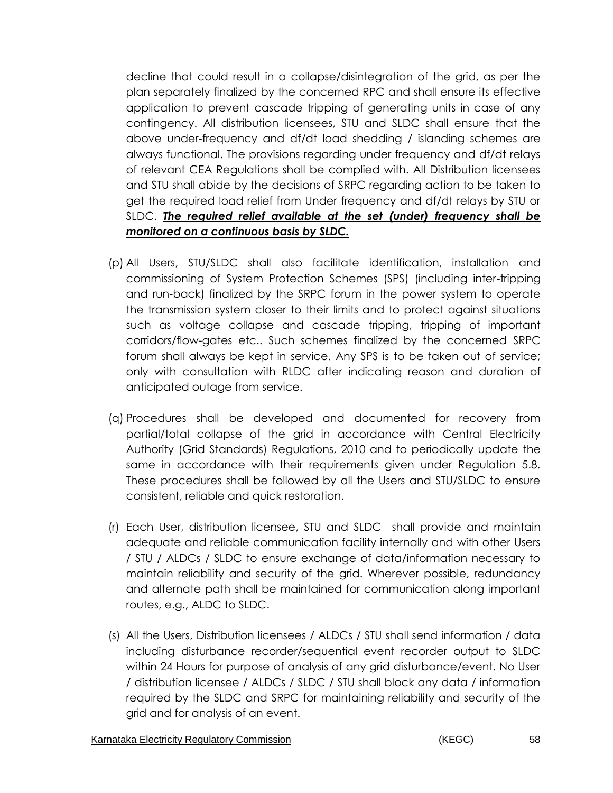decline that could result in a collapse/disintegration of the grid, as per the plan separately finalized by the concerned RPC and shall ensure its effective application to prevent cascade tripping of generating units in case of any contingency. All distribution licensees, STU and SLDC shall ensure that the above under-frequency and df/dt load shedding / islanding schemes are always functional. The provisions regarding under frequency and df/dt relays of relevant CEA Regulations shall be complied with. All Distribution licensees and STU shall abide by the decisions of SRPC regarding action to be taken to get the required load relief from Under frequency and df/dt relays by STU or SLDC. *The required relief available at the set (under) frequency shall be monitored on a continuous basis by SLDC.*

- (p) All Users, STU/SLDC shall also facilitate identification, installation and commissioning of System Protection Schemes (SPS) (including inter-tripping and run-back) finalized by the SRPC forum in the power system to operate the transmission system closer to their limits and to protect against situations such as voltage collapse and cascade tripping, tripping of important corridors/flow-gates etc.. Such schemes finalized by the concerned SRPC forum shall always be kept in service. Any SPS is to be taken out of service; only with consultation with RLDC after indicating reason and duration of anticipated outage from service.
- (q) Procedures shall be developed and documented for recovery from partial/total collapse of the grid in accordance with Central Electricity Authority (Grid Standards) Regulations, 2010 and to periodically update the same in accordance with their requirements given under Regulation 5.8. These procedures shall be followed by all the Users and STU/SLDC to ensure consistent, reliable and quick restoration.
- (r) Each User, distribution licensee, STU and SLDC shall provide and maintain adequate and reliable communication facility internally and with other Users / STU / ALDCs / SLDC to ensure exchange of data/information necessary to maintain reliability and security of the grid. Wherever possible, redundancy and alternate path shall be maintained for communication along important routes, e.g., ALDC to SLDC.
- (s) All the Users, Distribution licensees / ALDCs / STU shall send information / data including disturbance recorder/sequential event recorder output to SLDC within 24 Hours for purpose of analysis of any grid disturbance/event. No User / distribution licensee / ALDCs / SLDC / STU shall block any data / information required by the SLDC and SRPC for maintaining reliability and security of the grid and for analysis of an event.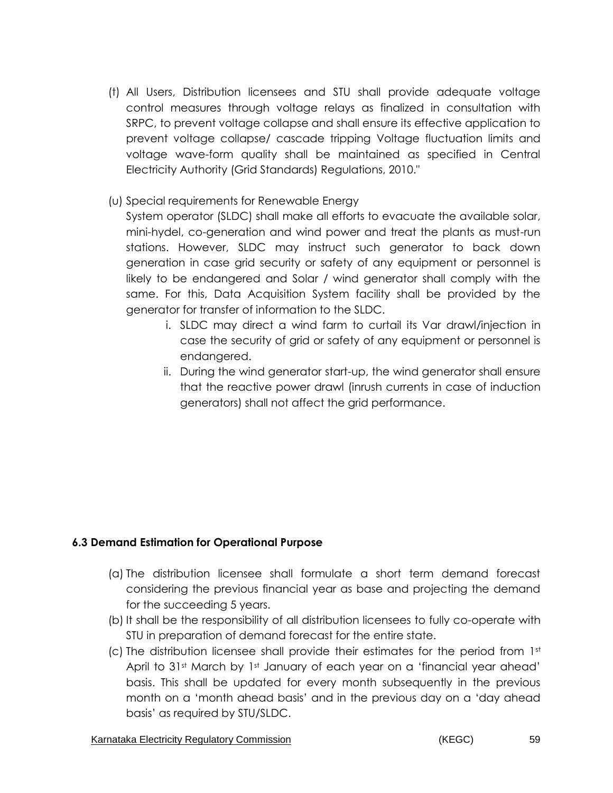- (t) All Users, Distribution licensees and STU shall provide adequate voltage control measures through voltage relays as finalized in consultation with SRPC, to prevent voltage collapse and shall ensure its effective application to prevent voltage collapse/ cascade tripping Voltage fluctuation limits and voltage wave-form quality shall be maintained as specified in Central Electricity Authority (Grid Standards) Regulations, 2010."
- (u) Special requirements for Renewable Energy

System operator (SLDC) shall make all efforts to evacuate the available solar, mini-hydel, co-generation and wind power and treat the plants as must-run stations. However, SLDC may instruct such generator to back down generation in case grid security or safety of any equipment or personnel is likely to be endangered and Solar / wind generator shall comply with the same. For this, Data Acquisition System facility shall be provided by the generator for transfer of information to the SLDC.

- i. SLDC may direct a wind farm to curtail its Var drawl/injection in case the security of grid or safety of any equipment or personnel is endangered.
- ii. During the wind generator start-up, the wind generator shall ensure that the reactive power drawl (inrush currents in case of induction generators) shall not affect the grid performance.

# **6.3 Demand Estimation for Operational Purpose**

- (a) The distribution licensee shall formulate a short term demand forecast considering the previous financial year as base and projecting the demand for the succeeding 5 years.
- (b) It shall be the responsibility of all distribution licensees to fully co-operate with STU in preparation of demand forecast for the entire state.
- (c) The distribution licensee shall provide their estimates for the period from  $1<sup>st</sup>$ April to 31st March by 1st January of each year on a 'financial year ahead' basis. This shall be updated for every month subsequently in the previous month on a 'month ahead basis' and in the previous day on a 'day ahead basis' as required by STU/SLDC.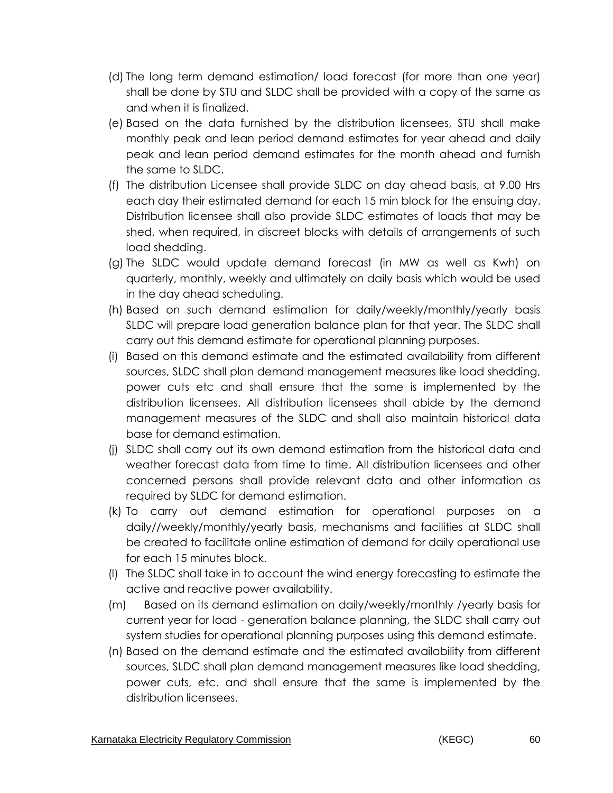- (d) The long term demand estimation/ load forecast (for more than one year) shall be done by STU and SLDC shall be provided with a copy of the same as and when it is finalized.
- (e) Based on the data furnished by the distribution licensees, STU shall make monthly peak and lean period demand estimates for year ahead and daily peak and lean period demand estimates for the month ahead and furnish the same to SLDC.
- (f) The distribution Licensee shall provide SLDC on day ahead basis, at 9.00 Hrs each day their estimated demand for each 15 min block for the ensuing day. Distribution licensee shall also provide SLDC estimates of loads that may be shed, when required, in discreet blocks with details of arrangements of such load shedding.
- (g) The SLDC would update demand forecast (in MW as well as Kwh) on quarterly, monthly, weekly and ultimately on daily basis which would be used in the day ahead scheduling.
- (h) Based on such demand estimation for daily/weekly/monthly/yearly basis SLDC will prepare load generation balance plan for that year. The SLDC shall carry out this demand estimate for operational planning purposes.
- (i) Based on this demand estimate and the estimated availability from different sources, SLDC shall plan demand management measures like load shedding, power cuts etc and shall ensure that the same is implemented by the distribution licensees. All distribution licensees shall abide by the demand management measures of the SLDC and shall also maintain historical data base for demand estimation.
- (j) SLDC shall carry out its own demand estimation from the historical data and weather forecast data from time to time. All distribution licensees and other concerned persons shall provide relevant data and other information as required by SLDC for demand estimation.
- (k) To carry out demand estimation for operational purposes on a daily//weekly/monthly/yearly basis, mechanisms and facilities at SLDC shall be created to facilitate online estimation of demand for daily operational use for each 15 minutes block.
- (l) The SLDC shall take in to account the wind energy forecasting to estimate the active and reactive power availability.
- (m) Based on its demand estimation on daily/weekly/monthly /yearly basis for current year for load - generation balance planning, the SLDC shall carry out system studies for operational planning purposes using this demand estimate.
- (n) Based on the demand estimate and the estimated availability from different sources, SLDC shall plan demand management measures like load shedding, power cuts, etc. and shall ensure that the same is implemented by the distribution licensees.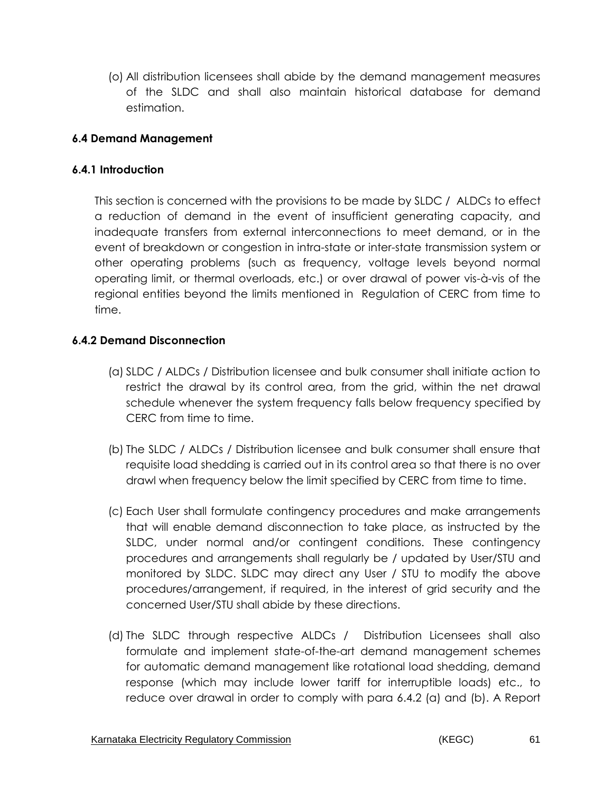(o) All distribution licensees shall abide by the demand management measures of the SLDC and shall also maintain historical database for demand estimation.

## **6.4 Demand Management**

### **6.4.1 Introduction**

This section is concerned with the provisions to be made by SLDC / ALDCs to effect a reduction of demand in the event of insufficient generating capacity, and inadequate transfers from external interconnections to meet demand, or in the event of breakdown or congestion in intra-state or inter-state transmission system or other operating problems (such as frequency, voltage levels beyond normal operating limit, or thermal overloads, etc.) or over drawal of power vis-à-vis of the regional entities beyond the limits mentioned in Regulation of CERC from time to time.

## **6.4.2 Demand Disconnection**

- (a) SLDC / ALDCs / Distribution licensee and bulk consumer shall initiate action to restrict the drawal by its control area, from the grid, within the net drawal schedule whenever the system frequency falls below frequency specified by CERC from time to time.
- (b) The SLDC / ALDCs / Distribution licensee and bulk consumer shall ensure that requisite load shedding is carried out in its control area so that there is no over drawl when frequency below the limit specified by CERC from time to time.
- (c) Each User shall formulate contingency procedures and make arrangements that will enable demand disconnection to take place, as instructed by the SLDC, under normal and/or contingent conditions. These contingency procedures and arrangements shall regularly be / updated by User/STU and monitored by SLDC. SLDC may direct any User / STU to modify the above procedures/arrangement, if required, in the interest of grid security and the concerned User/STU shall abide by these directions.
- (d) The SLDC through respective ALDCs / Distribution Licensees shall also formulate and implement state-of-the-art demand management schemes for automatic demand management like rotational load shedding, demand response (which may include lower tariff for interruptible loads) etc., to reduce over drawal in order to comply with para 6.4.2 (a) and (b). A Report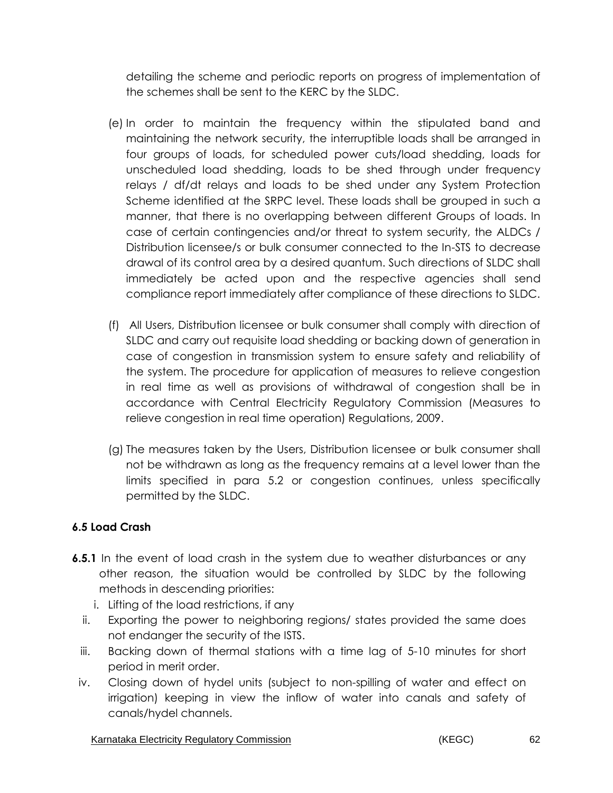detailing the scheme and periodic reports on progress of implementation of the schemes shall be sent to the KERC by the SLDC.

- (e) In order to maintain the frequency within the stipulated band and maintaining the network security, the interruptible loads shall be arranged in four groups of loads, for scheduled power cuts/load shedding, loads for unscheduled load shedding, loads to be shed through under frequency relays / df/dt relays and loads to be shed under any System Protection Scheme identified at the SRPC level. These loads shall be grouped in such a manner, that there is no overlapping between different Groups of loads. In case of certain contingencies and/or threat to system security, the ALDCs / Distribution licensee/s or bulk consumer connected to the In-STS to decrease drawal of its control area by a desired quantum. Such directions of SLDC shall immediately be acted upon and the respective agencies shall send compliance report immediately after compliance of these directions to SLDC.
- (f) All Users, Distribution licensee or bulk consumer shall comply with direction of SLDC and carry out requisite load shedding or backing down of generation in case of congestion in transmission system to ensure safety and reliability of the system. The procedure for application of measures to relieve congestion in real time as well as provisions of withdrawal of congestion shall be in accordance with Central Electricity Regulatory Commission (Measures to relieve congestion in real time operation) Regulations, 2009.
- (g) The measures taken by the Users, Distribution licensee or bulk consumer shall not be withdrawn as long as the frequency remains at a level lower than the limits specified in para 5.2 or congestion continues, unless specifically permitted by the SLDC.

# **6.5 Load Crash**

- **6.5.1** In the event of load crash in the system due to weather disturbances or any other reason, the situation would be controlled by SLDC by the following methods in descending priorities:
	- i. Lifting of the load restrictions, if any
	- ii. Exporting the power to neighboring regions/ states provided the same does not endanger the security of the ISTS.
	- iii. Backing down of thermal stations with a time lag of 5-10 minutes for short period in merit order.
- iv. Closing down of hydel units (subject to non-spilling of water and effect on irrigation) keeping in view the inflow of water into canals and safety of canals/hydel channels.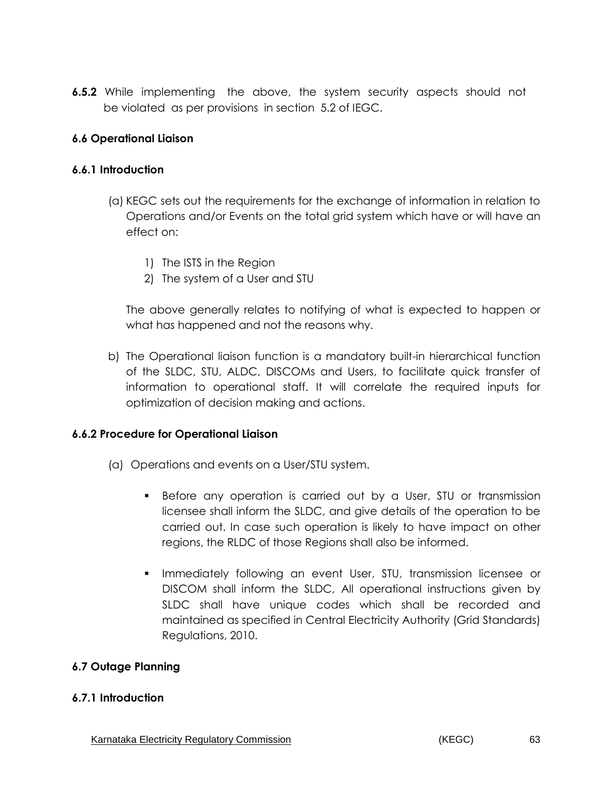**6.5.2** While implementing the above, the system security aspects should not be violated as per provisions in section 5.2 of IEGC.

### **6.6 Operational Liaison**

### **6.6.1 Introduction**

- (a) KEGC sets out the requirements for the exchange of information in relation to Operations and/or Events on the total grid system which have or will have an effect on:
	- 1) The ISTS in the Region
	- 2) The system of a User and STU

The above generally relates to notifying of what is expected to happen or what has happened and not the reasons why.

b) The Operational liaison function is a mandatory built-in hierarchical function of the SLDC, STU, ALDC, DISCOMs and Users, to facilitate quick transfer of information to operational staff. It will correlate the required inputs for optimization of decision making and actions.

# **6.6.2 Procedure for Operational Liaison**

- (a) Operations and events on a User/STU system.
	- Before any operation is carried out by a User, STU or transmission licensee shall inform the SLDC, and give details of the operation to be carried out. In case such operation is likely to have impact on other regions, the RLDC of those Regions shall also be informed.
	- **Immediately following an event User, STU, transmission licensee or** DISCOM shall inform the SLDC, All operational instructions given by SLDC shall have unique codes which shall be recorded and maintained as specified in Central Electricity Authority (Grid Standards) Regulations, 2010.

# **6.7 Outage Planning**

### **6.7.1 Introduction**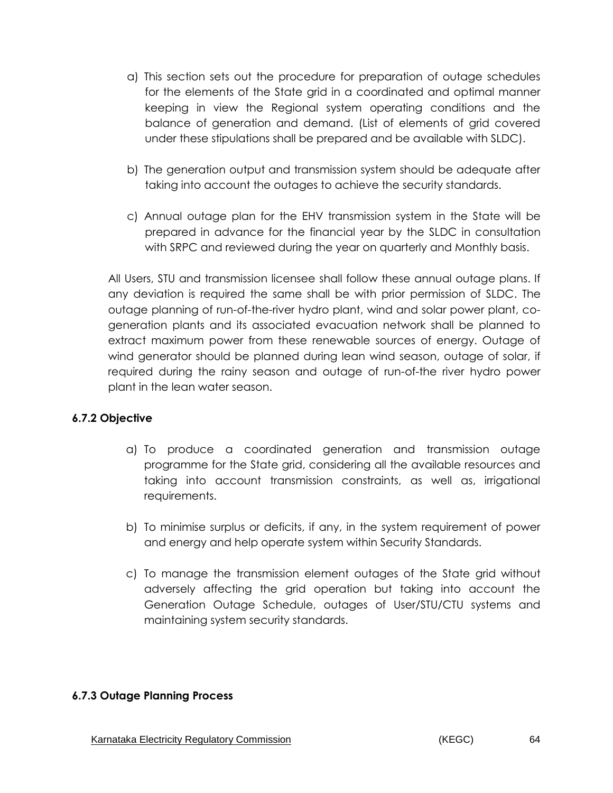- a) This section sets out the procedure for preparation of outage schedules for the elements of the State grid in a coordinated and optimal manner keeping in view the Regional system operating conditions and the balance of generation and demand. (List of elements of grid covered under these stipulations shall be prepared and be available with SLDC).
- b) The generation output and transmission system should be adequate after taking into account the outages to achieve the security standards.
- c) Annual outage plan for the EHV transmission system in the State will be prepared in advance for the financial year by the SLDC in consultation with SRPC and reviewed during the year on quarterly and Monthly basis.

All Users, STU and transmission licensee shall follow these annual outage plans. If any deviation is required the same shall be with prior permission of SLDC. The outage planning of run-of-the-river hydro plant, wind and solar power plant, cogeneration plants and its associated evacuation network shall be planned to extract maximum power from these renewable sources of energy. Outage of wind generator should be planned during lean wind season, outage of solar, if required during the rainy season and outage of run-of-the river hydro power plant in the lean water season.

### **6.7.2 Objective**

- a) To produce a coordinated generation and transmission outage programme for the State grid, considering all the available resources and taking into account transmission constraints, as well as, irrigational requirements.
- b) To minimise surplus or deficits, if any, in the system requirement of power and energy and help operate system within Security Standards.
- c) To manage the transmission element outages of the State grid without adversely affecting the grid operation but taking into account the Generation Outage Schedule, outages of User/STU/CTU systems and maintaining system security standards.

#### **6.7.3 Outage Planning Process**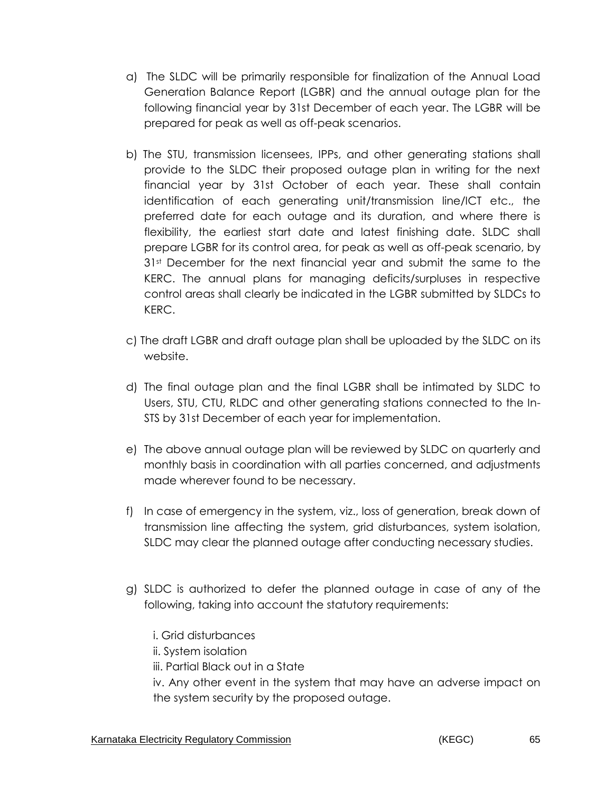- a) The SLDC will be primarily responsible for finalization of the Annual Load Generation Balance Report (LGBR) and the annual outage plan for the following financial year by 31st December of each year. The LGBR will be prepared for peak as well as off-peak scenarios.
- b) The STU, transmission licensees, IPPs, and other generating stations shall provide to the SLDC their proposed outage plan in writing for the next financial year by 31st October of each year. These shall contain identification of each generating unit/transmission line/ICT etc., the preferred date for each outage and its duration, and where there is flexibility, the earliest start date and latest finishing date. SLDC shall prepare LGBR for its control area, for peak as well as off-peak scenario, by 3<sup>1st</sup> December for the next financial year and submit the same to the KERC. The annual plans for managing deficits/surpluses in respective control areas shall clearly be indicated in the LGBR submitted by SLDCs to KERC.
- c) The draft LGBR and draft outage plan shall be uploaded by the SLDC on its website.
- d) The final outage plan and the final LGBR shall be intimated by SLDC to Users, STU, CTU, RLDC and other generating stations connected to the In-STS by 31st December of each year for implementation.
- e) The above annual outage plan will be reviewed by SLDC on quarterly and monthly basis in coordination with all parties concerned, and adjustments made wherever found to be necessary.
- f) In case of emergency in the system, viz., loss of generation, break down of transmission line affecting the system, grid disturbances, system isolation, SLDC may clear the planned outage after conducting necessary studies.
- g) SLDC is authorized to defer the planned outage in case of any of the following, taking into account the statutory requirements:
	- i. Grid disturbances
	- ii. System isolation
	- iii. Partial Black out in a State

iv. Any other event in the system that may have an adverse impact on the system security by the proposed outage.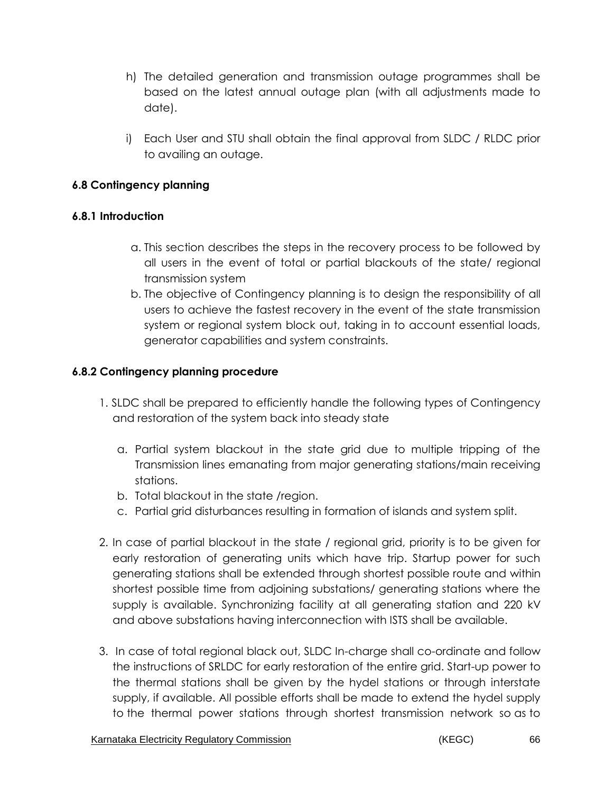- h) The detailed generation and transmission outage programmes shall be based on the latest annual outage plan (with all adjustments made to date).
- i) Each User and STU shall obtain the final approval from SLDC / RLDC prior to availing an outage.

# **6.8 Contingency planning**

### **6.8.1 Introduction**

- a. This section describes the steps in the recovery process to be followed by all users in the event of total or partial blackouts of the state/ regional transmission system
- b. The objective of Contingency planning is to design the responsibility of all users to achieve the fastest recovery in the event of the state transmission system or regional system block out, taking in to account essential loads, generator capabilities and system constraints.

## **6.8.2 Contingency planning procedure**

- 1. SLDC shall be prepared to efficiently handle the following types of Contingency and restoration of the system back into steady state
	- a. Partial system blackout in the state grid due to multiple tripping of the Transmission lines emanating from major generating stations/main receiving stations.
	- b. Total blackout in the state /region.
	- c. Partial grid disturbances resulting in formation of islands and system split.
- 2. In case of partial blackout in the state / regional grid, priority is to be given for early restoration of generating units which have trip. Startup power for such generating stations shall be extended through shortest possible route and within shortest possible time from adjoining substations/ generating stations where the supply is available. Synchronizing facility at all generating station and 220 kV and above substations having interconnection with ISTS shall be available.
- 3. In case of total regional black out, SLDC In-charge shall co-ordinate and follow the instructions of SRLDC for early restoration of the entire grid. Start-up power to the thermal stations shall be given by the hydel stations or through interstate supply, if available. All possible efforts shall be made to extend the hydel supply to the thermal power stations through shortest transmission network so as to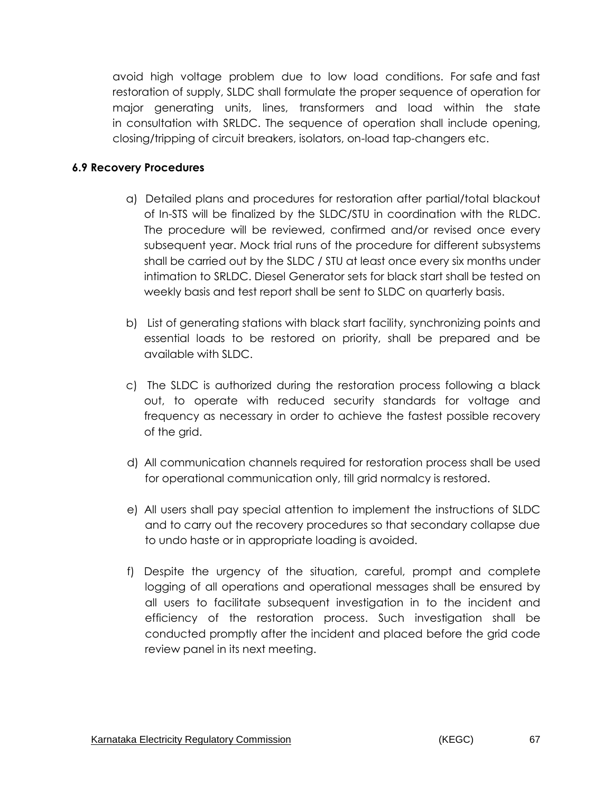avoid high voltage problem due to low load conditions. For safe and fast restoration of supply, SLDC shall formulate the proper sequence of operation for major generating units, lines, transformers and load within the state in consultation with SRLDC. The sequence of operation shall include opening, closing/tripping of circuit breakers, isolators, on-load tap-changers etc.

#### **6.9 Recovery Procedures**

- a) Detailed plans and procedures for restoration after partial/total blackout of In-STS will be finalized by the SLDC/STU in coordination with the RLDC. The procedure will be reviewed, confirmed and/or revised once every subsequent year. Mock trial runs of the procedure for different subsystems shall be carried out by the SLDC / STU at least once every six months under intimation to SRLDC. Diesel Generator sets for black start shall be tested on weekly basis and test report shall be sent to SLDC on quarterly basis.
- b) List of generating stations with black start facility, synchronizing points and essential loads to be restored on priority, shall be prepared and be available with SLDC.
- c) The SLDC is authorized during the restoration process following a black out, to operate with reduced security standards for voltage and frequency as necessary in order to achieve the fastest possible recovery of the grid.
- d) All communication channels required for restoration process shall be used for operational communication only, till grid normalcy is restored.
- e) All users shall pay special attention to implement the instructions of SLDC and to carry out the recovery procedures so that secondary collapse due to undo haste or in appropriate loading is avoided.
- f) Despite the urgency of the situation, careful, prompt and complete logging of all operations and operational messages shall be ensured by all users to facilitate subsequent investigation in to the incident and efficiency of the restoration process. Such investigation shall be conducted promptly after the incident and placed before the grid code review panel in its next meeting.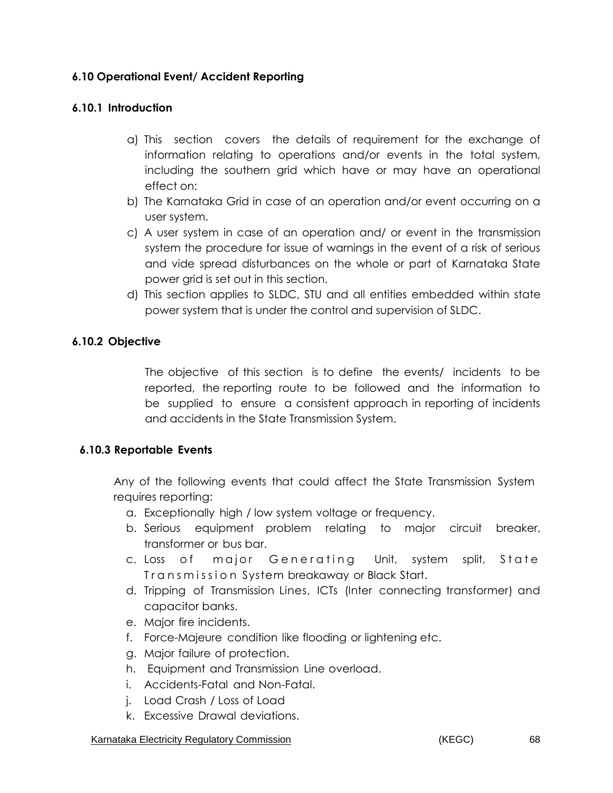# **6.10 Operational Event/ Accident Reporting**

#### **6.10.1 Introduction**

- a) This section covers the details of requirement for the exchange of information relating to operations and/or events in the total system, including the southern grid which have or may have an operational effect on:
- b) The Karnataka Grid in case of an operation and/or event occurring on a user system.
- c) A user system in case of an operation and/ or event in the transmission system the procedure for issue of warnings in the event of a risk of serious and vide spread disturbances on the whole or part of Karnataka State power grid is set out in this section.
- d) This section applies to SLDC, STU and all entities embedded within state power system that is under the control and supervision of SLDC.

### **6.10.2 Objective**

The objective of this section is to define the events/ incidents to be reported, the reporting route to be followed and the information to be supplied to ensure a consistent approach in reporting of incidents and accidents in the State Transmission System.

### **6.10.3 Reportable Events**

Any of the following events that could affect the State Transmission System requires reporting:

- a. Exceptionally high / low system voltage or frequency.
- b. Serious equipment problem relating to major circuit breaker, transformer or bus bar.
- c. Loss of major Generating Unit, system split, State Transmission System breakaway or Black Start.
- d. Tripping of Transmission Lines, ICTs (Inter connecting transformer) and capacitor banks.
- e. Major fire incidents.
- f. Force-Majeure condition like flooding or lightening etc.
- g. Major failure of protection.
- h. Equipment and Transmission Line overload.
- i. Accidents-Fatal and Non-Fatal.
- j. Load Crash / Loss of Load
- k. Excessive Drawal deviations.

#### Karnataka Electricity Regulatory Commission **Example 20 and Electricity Regulatory Commission 68**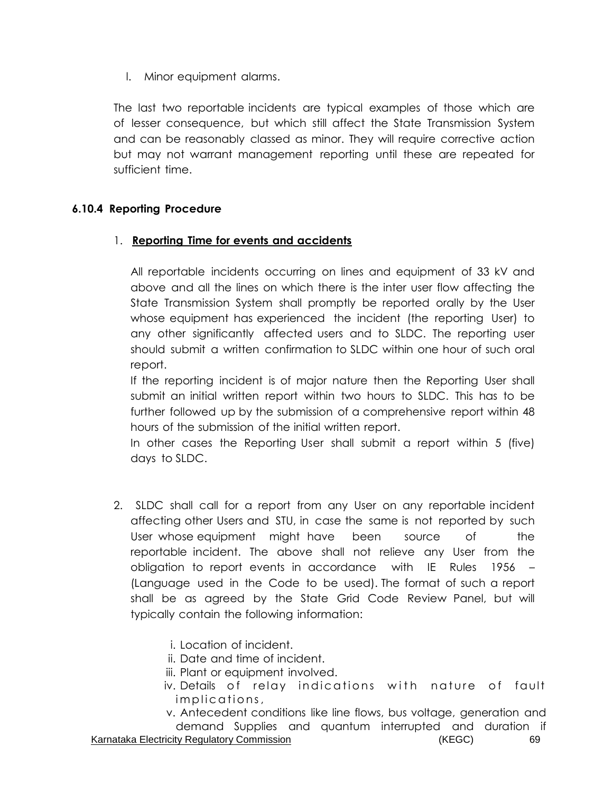l. Minor equipment alarms.

The last two reportable incidents are typical examples of those which are of lesser consequence, but which still affect the State Transmission System and can be reasonably classed as minor. They will require corrective action but may not warrant management reporting until these are repeated for sufficient time.

### **6.10.4 Reporting Procedure**

## 1. **Reporting Time for events and accidents**

All reportable incidents occurring on lines and equipment of 33 kV and above and all the lines on which there is the inter user flow affecting the State Transmission System shall promptly be reported orally by the User whose equipment has experienced the incident (the reporting User) to any other significantly affected users and to SLDC. The reporting user should submit a written confirmation to SLDC within one hour of such oral report.

If the reporting incident is of major nature then the Reporting User shall submit an initial written report within two hours to SLDC. This has to be further followed up by the submission of a comprehensive report within 48 hours of the submission of the initial written report.

In other cases the Reporting User shall submit a report within 5 (five) days to SLDC.

- 2. SLDC shall call for a report from any User on any reportable incident affecting other Users and STU, in case the same is not reported by such User whose equipment might have been source of the reportable incident. The above shall not relieve any User from the obligation to report events in accordance with IE Rules 1956 – (Language used in the Code to be used). The format of such a report shall be as agreed by the State Grid Code Review Panel, but will typically contain the following information:
	- i. Location of incident.
	- ii. Date and time of incident.
	- iii. Plant or equipment involved.
	- iv. Details of relay indications with nature of fault implications,
	- v. Antecedent conditions like line flows, bus voltage, generation and demand Supplies and quantum interrupted and duration if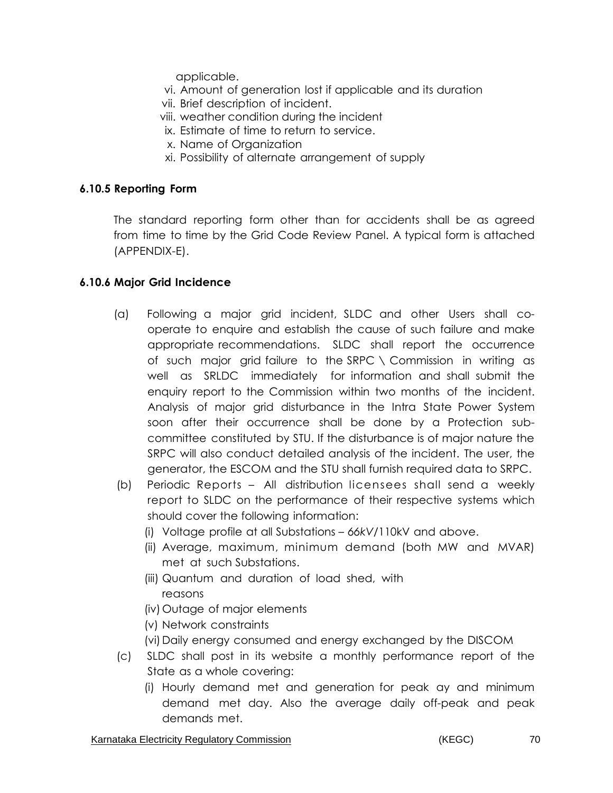applicable.

- vi. Amount of generation lost if applicable and its duration
- vii. Brief description of incident.
- viii. weather condition during the incident
- ix. Estimate of time to return to service.
- x. Name of Organization
- xi. Possibility of alternate arrangement of supply

### **6.10.5 Reporting Form**

The standard reporting form other than for accidents shall be as agreed from time to time by the Grid Code Review Panel. A typical form is attached (APPENDIX-E).

## **6.10.6 Major Grid Incidence**

- (a) Following a major grid incident, SLDC and other Users shall cooperate to enquire and establish the cause of such failure and make appropriate recommendations. SLDC shall report the occurrence of such major grid failure to the SRPC \ Commission in writing as well as SRLDC immediately for information and shall submit the enquiry report to the Commission within two months of the incident. Analysis of major grid disturbance in the Intra State Power System soon after their occurrence shall be done by a Protection subcommittee constituted by STU. If the disturbance is of major nature the SRPC will also conduct detailed analysis of the incident. The user, the generator, the ESCOM and the STU shall furnish required data to SRPC.
- (b) Periodic Reports All distribution licensees shall send a weekly report to SLDC on the performance of their respective systems which should cover the following information:
	- (i) Voltage profile at all Substations *66kV/*110kV and above.
	- (ii) Average, maximum, minimum demand (both MW and MVAR) met at such Substations.
	- (iii) Quantum and duration of load shed, with reasons
	- (iv) Outage of major elements
	- (v) Network constraints
	- (vi) Daily energy consumed and energy exchanged by the DISCOM
- (c) SLDC shall post in its website a monthly performance report of the State as a whole covering:
	- (i) Hourly demand met and generation for peak ay and minimum demand met day. Also the average daily off-peak and peak demands met.

Karnataka Electricity Regulatory Commission **Example 20 THS** (KEGC) 6 THS 70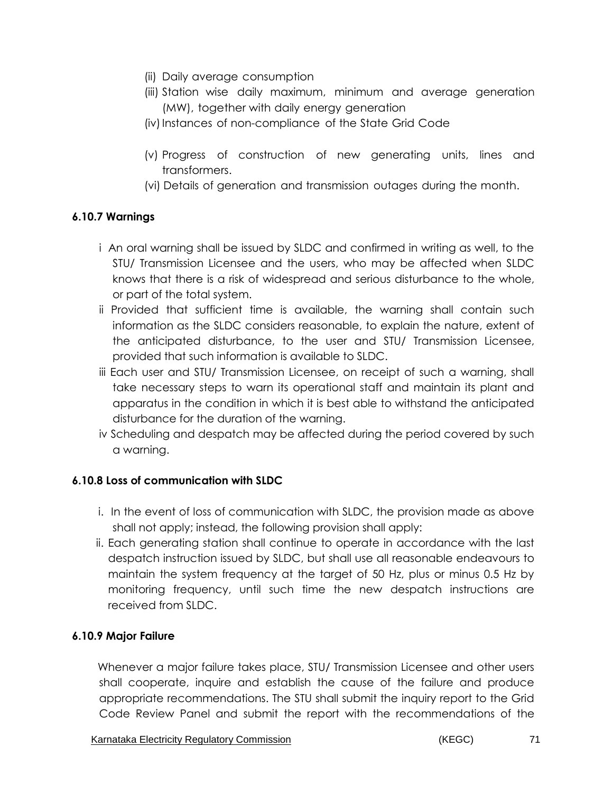- (ii) Daily average consumption
- (iii) Station wise daily maximum, minimum and average generation (MW), together with daily energy generation
- (iv) Instances of non-compliance of the State Grid Code
- (v) Progress of construction of new generating units, lines and transformers.
- (vi) Details of generation and transmission outages during the month.

# **6.10.7 Warnings**

- i An oral warning shall be issued by SLDC and confirmed in writing as well, to the STU/ Transmission Licensee and the users, who may be affected when SLDC knows that there is a risk of widespread and serious disturbance to the whole, or part of the total system.
- ii Provided that sufficient time is available, the warning shall contain such information as the SLDC considers reasonable, to explain the nature, extent of the anticipated disturbance, to the user and STU/ Transmission Licensee, provided that such information is available to SLDC.
- iii Each user and STU/ Transmission Licensee, on receipt of such a warning, shall take necessary steps to warn its operational staff and maintain its plant and apparatus in the condition in which it is best able to withstand the anticipated disturbance for the duration of the warning.
- iv Scheduling and despatch may be affected during the period covered by such a warning.

# **6.10.8 Loss of communication with SLDC**

- i. In the event of loss of communication with SLDC, the provision made as above shall not apply; instead, the following provision shall apply:
- ii. Each generating station shall continue to operate in accordance with the last despatch instruction issued by SLDC, but shall use all reasonable endeavours to maintain the system frequency at the target of 50 Hz, plus or minus 0.5 Hz by monitoring frequency, until such time the new despatch instructions are received from SLDC.

# **6.10.9 Major Failure**

Whenever a major failure takes place, STU/ Transmission Licensee and other users shall cooperate, inquire and establish the cause of the failure and produce appropriate recommendations. The STU shall submit the inquiry report to the Grid Code Review Panel and submit the report with the recommendations of the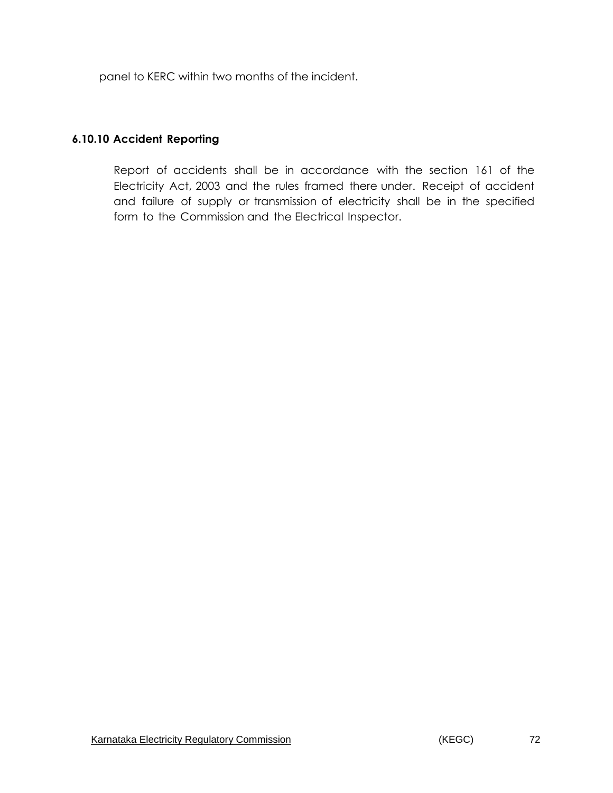panel to KERC within two months of the incident.

# **6.10.10 Accident Reporting**

Report of accidents shall be in accordance with the section 161 of the Electricity Act, 2003 and the rules framed there under. Receipt of accident and failure of supply or transmission of electricity shall be in the specified form to the Commission and the Electrical Inspector.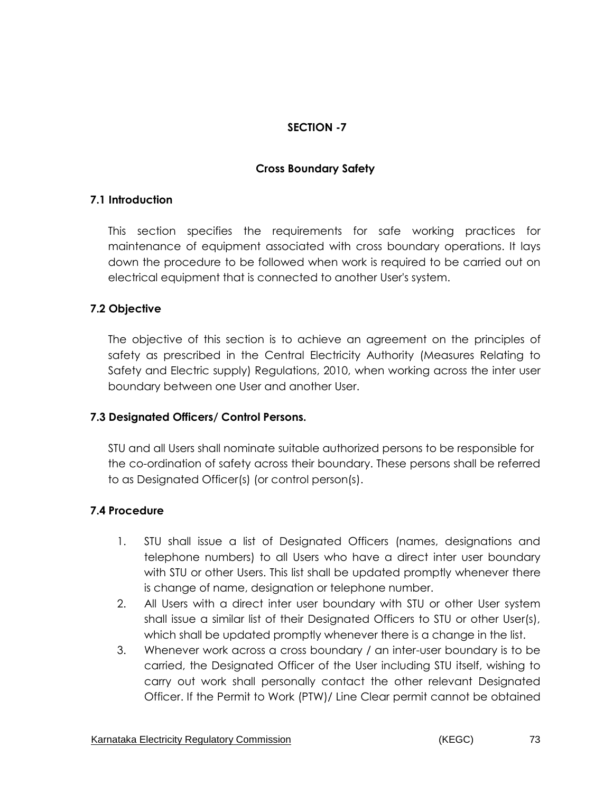# **SECTION -7**

### **Cross Boundary Safety**

### **7.1 Introduction**

This section specifies the requirements for safe working practices for maintenance of equipment associated with cross boundary operations. It lays down the procedure to be followed when work is required to be carried out on electrical equipment that is connected to another User's system.

## **7.2 Objective**

The objective of this section is to achieve an agreement on the principles of safety as prescribed in the Central Electricity Authority (Measures Relating to Safety and Electric supply) Regulations, 2010, when working across the inter user boundary between one User and another User.

### **7.3 Designated Officers/ Control Persons.**

STU and all Users shall nominate suitable authorized persons to be responsible for the co-ordination of safety across their boundary. These persons shall be referred to as Designated Officer(s) (or control person(s).

### **7.4 Procedure**

- 1. STU shall issue a list of Designated Officers (names, designations and telephone numbers) to all Users who have a direct inter user boundary with STU or other Users. This list shall be updated promptly whenever there is change of name, designation or telephone number.
- 2. All Users with a direct inter user boundary with STU or other User system shall issue a similar list of their Designated Officers to STU or other User(s), which shall be updated promptly whenever there is a change in the list.
- 3. Whenever work across a cross boundary / an inter-user boundary is to be carried, the Designated Officer of the User including STU itself, wishing to carry out work shall personally contact the other relevant Designated Officer. If the Permit to Work (PTW)/ Line Clear permit cannot be obtained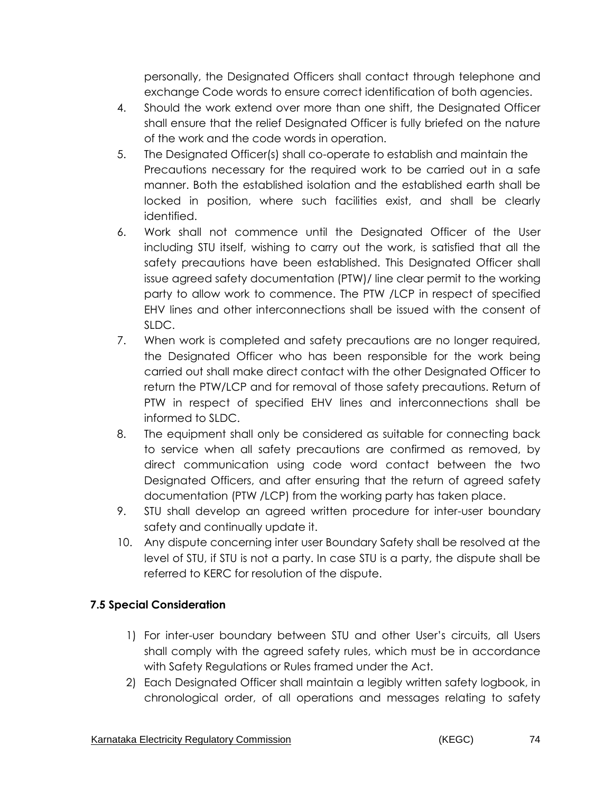personally, the Designated Officers shall contact through telephone and exchange Code words to ensure correct identification of both agencies.

- 4. Should the work extend over more than one shift, the Designated Officer shall ensure that the relief Designated Officer is fully briefed on the nature of the work and the code words in operation.
- 5. The Designated Officer(s) shall co-operate to establish and maintain the Precautions necessary for the required work to be carried out in a safe manner. Both the established isolation and the established earth shall be locked in position, where such facilities exist, and shall be clearly identified.
- 6. Work shall not commence until the Designated Officer of the User including STU itself, wishing to carry out the work, is satisfied that all the safety precautions have been established. This Designated Officer shall issue agreed safety documentation (PTW)/ line clear permit to the working party to allow work to commence. The PTW /LCP in respect of specified EHV lines and other interconnections shall be issued with the consent of SLDC.
- 7. When work is completed and safety precautions are no longer required, the Designated Officer who has been responsible for the work being carried out shall make direct contact with the other Designated Officer to return the PTW/LCP and for removal of those safety precautions. Return of PTW in respect of specified EHV lines and interconnections shall be informed to SLDC.
- 8. The equipment shall only be considered as suitable for connecting back to service when all safety precautions are confirmed as removed, by direct communication using code word contact between the two Designated Officers, and after ensuring that the return of agreed safety documentation (PTW /LCP) from the working party has taken place.
- 9. STU shall develop an agreed written procedure for inter-user boundary safety and continually update it.
- 10. Any dispute concerning inter user Boundary Safety shall be resolved at the level of STU, if STU is not a party. In case STU is a party, the dispute shall be referred to KERC for resolution of the dispute.

## **7.5 Special Consideration**

- 1) For inter-user boundary between STU and other User's circuits, all Users shall comply with the agreed safety rules, which must be in accordance with Safety Regulations or Rules framed under the Act.
- 2) Each Designated Officer shall maintain a legibly written safety logbook, in chronological order, of all operations and messages relating to safety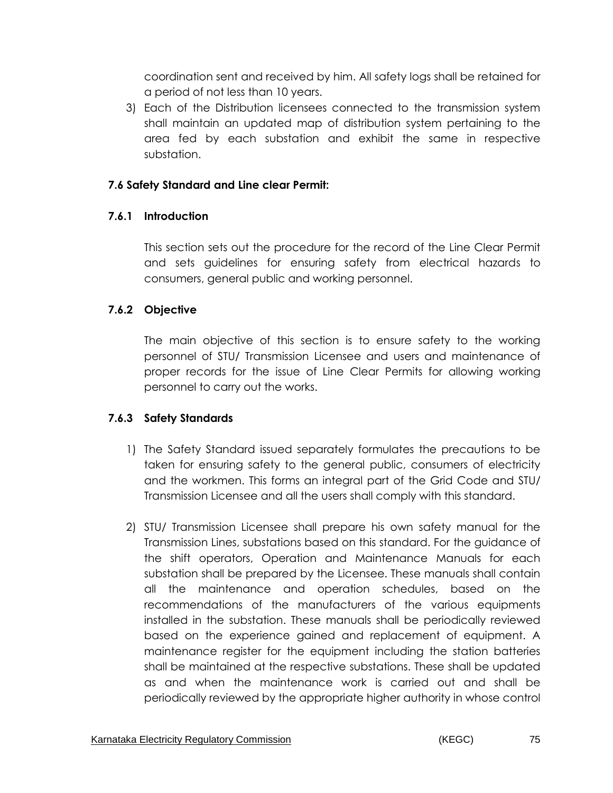coordination sent and received by him. All safety logs shall be retained for a period of not less than 10 years.

3) Each of the Distribution licensees connected to the transmission system shall maintain an updated map of distribution system pertaining to the area fed by each substation and exhibit the same in respective substation.

### **7.6 Safety Standard and Line clear Permit:**

### **7.6.1 Introduction**

This section sets out the procedure for the record of the Line Clear Permit and sets guidelines for ensuring safety from electrical hazards to consumers, general public and working personnel.

### **7.6.2 Objective**

The main objective of this section is to ensure safety to the working personnel of STU/ Transmission Licensee and users and maintenance of proper records for the issue of Line Clear Permits for allowing working personnel to carry out the works.

### **7.6.3 Safety Standards**

- 1) The Safety Standard issued separately formulates the precautions to be taken for ensuring safety to the general public, consumers of electricity and the workmen. This forms an integral part of the Grid Code and STU/ Transmission Licensee and all the users shall comply with this standard.
- 2) STU/ Transmission Licensee shall prepare his own safety manual for the Transmission Lines, substations based on this standard. For the guidance of the shift operators, Operation and Maintenance Manuals for each substation shall be prepared by the Licensee. These manuals shall contain all the maintenance and operation schedules, based on the recommendations of the manufacturers of the various equipments installed in the substation. These manuals shall be periodically reviewed based on the experience gained and replacement of equipment. A maintenance register for the equipment including the station batteries shall be maintained at the respective substations. These shall be updated as and when the maintenance work is carried out and shall be periodically reviewed by the appropriate higher authority in whose control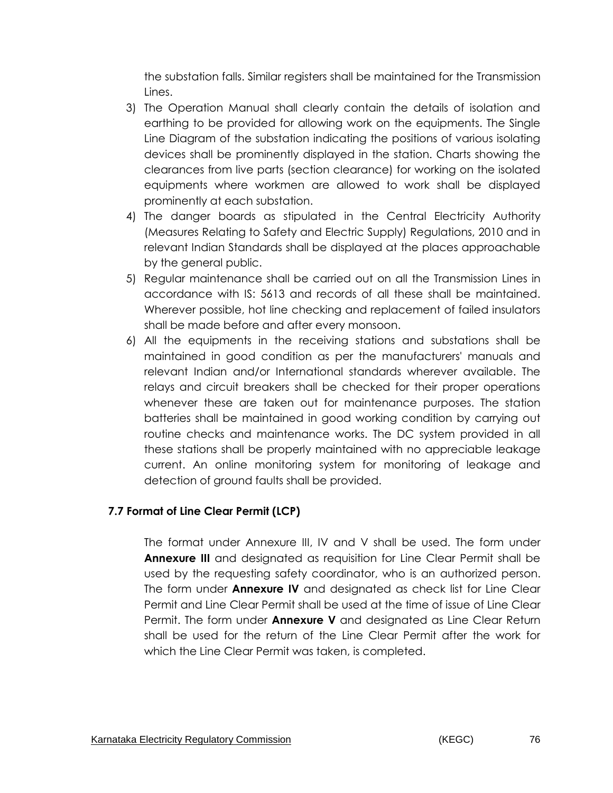the substation falls. Similar registers shall be maintained for the Transmission Lines.

- 3) The Operation Manual shall clearly contain the details of isolation and earthing to be provided for allowing work on the equipments. The Single Line Diagram of the substation indicating the positions of various isolating devices shall be prominently displayed in the station. Charts showing the clearances from live parts (section clearance) for working on the isolated equipments where workmen are allowed to work shall be displayed prominently at each substation.
- 4) The danger boards as stipulated in the Central Electricity Authority (Measures Relating to Safety and Electric Supply) Regulations, 2010 and in relevant Indian Standards shall be displayed at the places approachable by the general public.
- 5) Regular maintenance shall be carried out on all the Transmission Lines in accordance with IS: 5613 and records of all these shall be maintained. Wherever possible, hot line checking and replacement of failed insulators shall be made before and after every monsoon.
- 6) All the equipments in the receiving stations and substations shall be maintained in good condition as per the manufacturers' manuals and relevant Indian and/or International standards wherever available. The relays and circuit breakers shall be checked for their proper operations whenever these are taken out for maintenance purposes. The station batteries shall be maintained in good working condition by carrying out routine checks and maintenance works. The DC system provided in all these stations shall be properly maintained with no appreciable leakage current. An online monitoring system for monitoring of leakage and detection of ground faults shall be provided.

## **7.7 Format of Line Clear Permit (LCP)**

The format under Annexure III, IV and V shall be used. The form under **Annexure III** and designated as requisition for Line Clear Permit shall be used by the requesting safety coordinator, who is an authorized person. The form under **Annexure IV** and designated as check list for Line Clear Permit and Line Clear Permit shall be used at the time of issue of Line Clear Permit. The form under **Annexure V** and designated as Line Clear Return shall be used for the return of the Line Clear Permit after the work for which the Line Clear Permit was taken, is completed.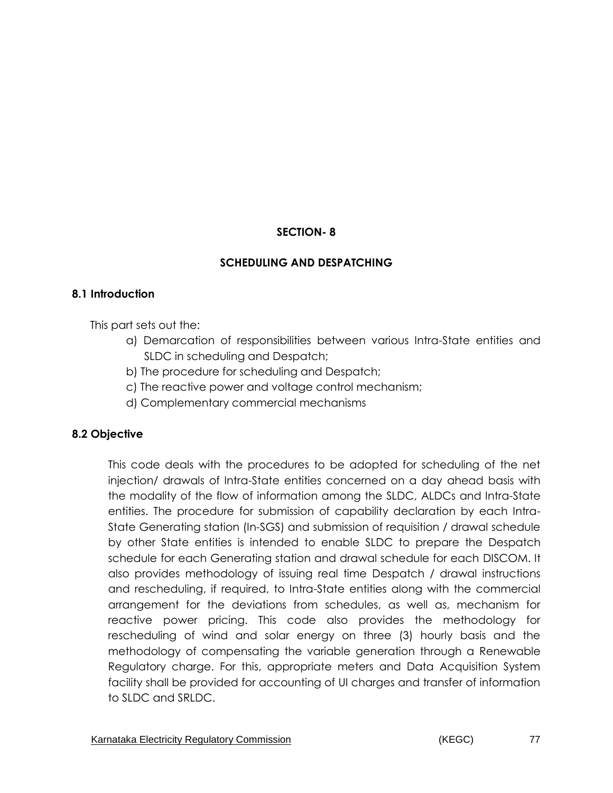### **SECTION- 8**

### **SCHEDULING AND DESPATCHING**

### **8.1 Introduction**

This part sets out the:

- a) Demarcation of responsibilities between various Intra-State entities and SLDC in scheduling and Despatch;
- b) The procedure for scheduling and Despatch;
- c) The reactive power and voltage control mechanism;
- d) Complementary commercial mechanisms

### **8.2 Objective**

This code deals with the procedures to be adopted for scheduling of the net injection/ drawals of Intra-State entities concerned on a day ahead basis with the modality of the flow of information among the SLDC, ALDCs and Intra-State entities. The procedure for submission of capability declaration by each Intra-State Generating station (In-SGS) and submission of requisition / drawal schedule by other State entities is intended to enable SLDC to prepare the Despatch schedule for each Generating station and drawal schedule for each DISCOM. It also provides methodology of issuing real time Despatch / drawal instructions and rescheduling, if required, to Intra-State entities along with the commercial arrangement for the deviations from schedules, as well as, mechanism for reactive power pricing. This code also provides the methodology for rescheduling of wind and solar energy on three (3) hourly basis and the methodology of compensating the variable generation through a Renewable Regulatory charge. For this, appropriate meters and Data Acquisition System facility shall be provided for accounting of UI charges and transfer of information to SLDC and SRLDC.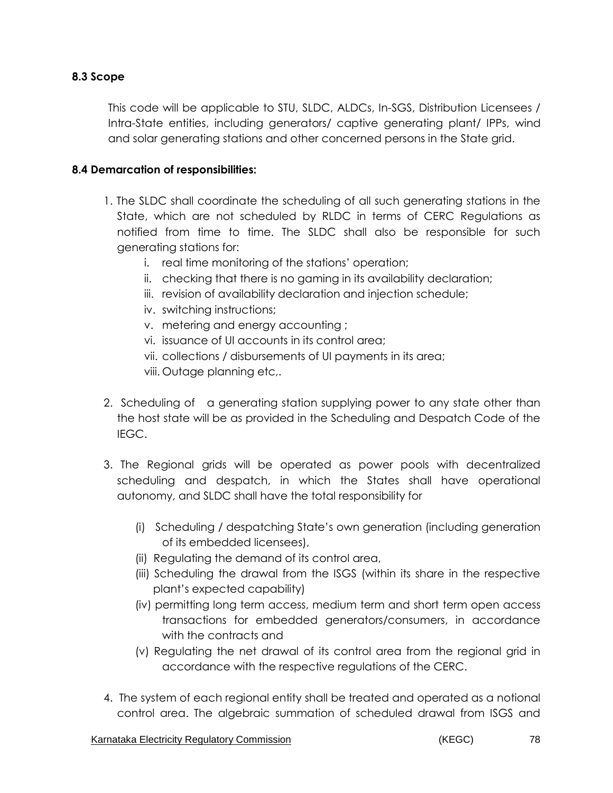### **8.3 Scope**

This code will be applicable to STU, SLDC, ALDCs, In-SGS, Distribution Licensees / Intra-State entities, including generators/ captive generating plant/ IPPs, wind and solar generating stations and other concerned persons in the State grid.

### **8.4 Demarcation of responsibilities:**

- 1. The SLDC shall coordinate the scheduling of all such generating stations in the State, which are not scheduled by RLDC in terms of CERC Regulations as notified from time to time. The SLDC shall also be responsible for such generating stations for:
	- i. real time monitoring of the stations' operation;
	- ii. checking that there is no gaming in its availability declaration;
	- iii. revision of availability declaration and injection schedule;
	- iv. switching instructions;
	- v. metering and energy accounting ;
	- vi. issuance of UI accounts in its control area;
	- vii. collections / disbursements of UI payments in its area;
	- viii. Outage planning etc,.
- 2. Scheduling of a generating station supplying power to any state other than the host state will be as provided in the Scheduling and Despatch Code of the IEGC.
- 3. The Regional grids will be operated as power pools with decentralized scheduling and despatch, in which the States shall have operational autonomy, and SLDC shall have the total responsibility for
	- (i) Scheduling / despatching State's own generation (including generation of its embedded licensees),
	- (ii) Regulating the demand of its control area,
	- (iii) Scheduling the drawal from the ISGS (within its share in the respective plant's expected capability)
	- (iv) permitting long term access, medium term and short term open access transactions for embedded generators/consumers, in accordance with the contracts and
	- (v) Regulating the net drawal of its control area from the regional grid in accordance with the respective regulations of the CERC.
- 4. The system of each regional entity shall be treated and operated as a notional control area. The algebraic summation of scheduled drawal from ISGS and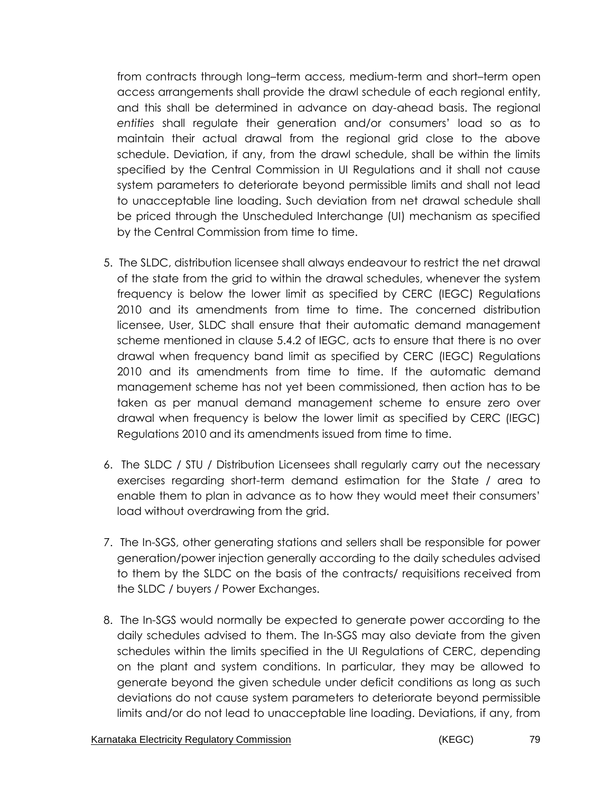from contracts through long–term access, medium-term and short–term open access arrangements shall provide the drawl schedule of each regional entity, and this shall be determined in advance on day-ahead basis. The regional *entities* shall regulate their generation and/or consumers' load so as to maintain their actual drawal from the regional grid close to the above schedule. Deviation, if any, from the drawl schedule, shall be within the limits specified by the Central Commission in UI Regulations and it shall not cause system parameters to deteriorate beyond permissible limits and shall not lead to unacceptable line loading. Such deviation from net drawal schedule shall be priced through the Unscheduled Interchange (UI) mechanism as specified by the Central Commission from time to time.

- 5. The SLDC, distribution licensee shall always endeavour to restrict the net drawal of the state from the grid to within the drawal schedules, whenever the system frequency is below the lower limit as specified by CERC (IEGC) Regulations 2010 and its amendments from time to time. The concerned distribution licensee, User, SLDC shall ensure that their automatic demand management scheme mentioned in clause 5.4.2 of IEGC, acts to ensure that there is no over drawal when frequency band limit as specified by CERC (IEGC) Regulations 2010 and its amendments from time to time. If the automatic demand management scheme has not yet been commissioned, then action has to be taken as per manual demand management scheme to ensure zero over drawal when frequency is below the lower limit as specified by CERC (IEGC) Regulations 2010 and its amendments issued from time to time.
- 6. The SLDC / STU / Distribution Licensees shall regularly carry out the necessary exercises regarding short-term demand estimation for the State / area to enable them to plan in advance as to how they would meet their consumers' load without overdrawing from the grid.
- 7. The In-SGS, other generating stations and sellers shall be responsible for power generation/power injection generally according to the daily schedules advised to them by the SLDC on the basis of the contracts/ requisitions received from the SLDC / buyers / Power Exchanges.
- 8. The In-SGS would normally be expected to generate power according to the daily schedules advised to them. The In-SGS may also deviate from the given schedules within the limits specified in the UI Regulations of CERC, depending on the plant and system conditions. In particular, they may be allowed to generate beyond the given schedule under deficit conditions as long as such deviations do not cause system parameters to deteriorate beyond permissible limits and/or do not lead to unacceptable line loading. Deviations, if any, from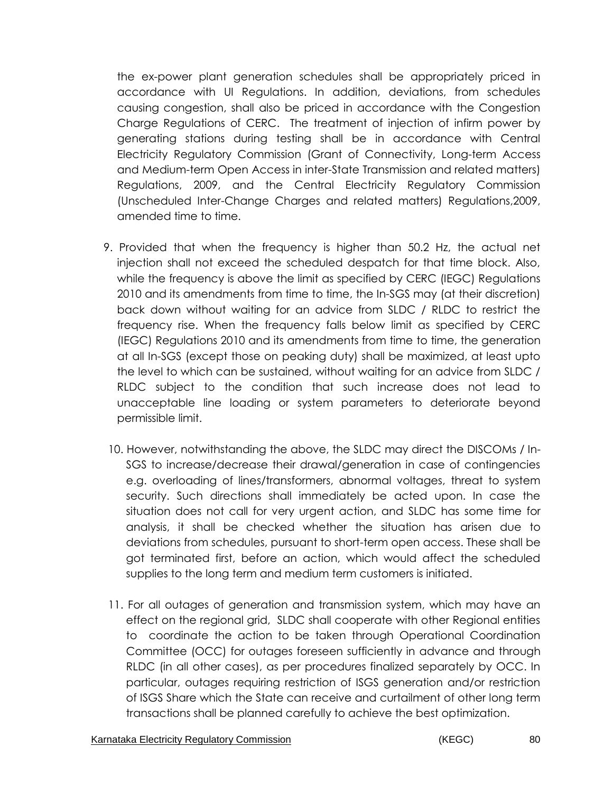the ex-power plant generation schedules shall be appropriately priced in accordance with UI Regulations. In addition, deviations, from schedules causing congestion, shall also be priced in accordance with the Congestion Charge Regulations of CERC. The treatment of injection of infirm power by generating stations during testing shall be in accordance with Central Electricity Regulatory Commission (Grant of Connectivity, Long-term Access and Medium-term Open Access in inter-State Transmission and related matters) Regulations, 2009, and the Central Electricity Regulatory Commission (Unscheduled Inter-Change Charges and related matters) Regulations,2009, amended time to time.

- 9. Provided that when the frequency is higher than 50.2 Hz, the actual net injection shall not exceed the scheduled despatch for that time block. Also, while the frequency is above the limit as specified by CERC (IEGC) Regulations 2010 and its amendments from time to time, the In-SGS may (at their discretion) back down without waiting for an advice from SLDC / RLDC to restrict the frequency rise. When the frequency falls below limit as specified by CERC (IEGC) Regulations 2010 and its amendments from time to time, the generation at all In-SGS (except those on peaking duty) shall be maximized, at least upto the level to which can be sustained, without waiting for an advice from SLDC / RLDC subject to the condition that such increase does not lead to unacceptable line loading or system parameters to deteriorate beyond permissible limit.
- 10. However, notwithstanding the above, the SLDC may direct the DISCOMs / In-SGS to increase/decrease their drawal/generation in case of contingencies e.g. overloading of lines/transformers, abnormal voltages, threat to system security. Such directions shall immediately be acted upon. In case the situation does not call for very urgent action, and SLDC has some time for analysis, it shall be checked whether the situation has arisen due to deviations from schedules, pursuant to short-term open access. These shall be got terminated first, before an action, which would affect the scheduled supplies to the long term and medium term customers is initiated.
- 11. For all outages of generation and transmission system, which may have an effect on the regional grid, SLDC shall cooperate with other Regional entities to coordinate the action to be taken through Operational Coordination Committee (OCC) for outages foreseen sufficiently in advance and through RLDC (in all other cases), as per procedures finalized separately by OCC. In particular, outages requiring restriction of ISGS generation and/or restriction of ISGS Share which the State can receive and curtailment of other long term transactions shall be planned carefully to achieve the best optimization.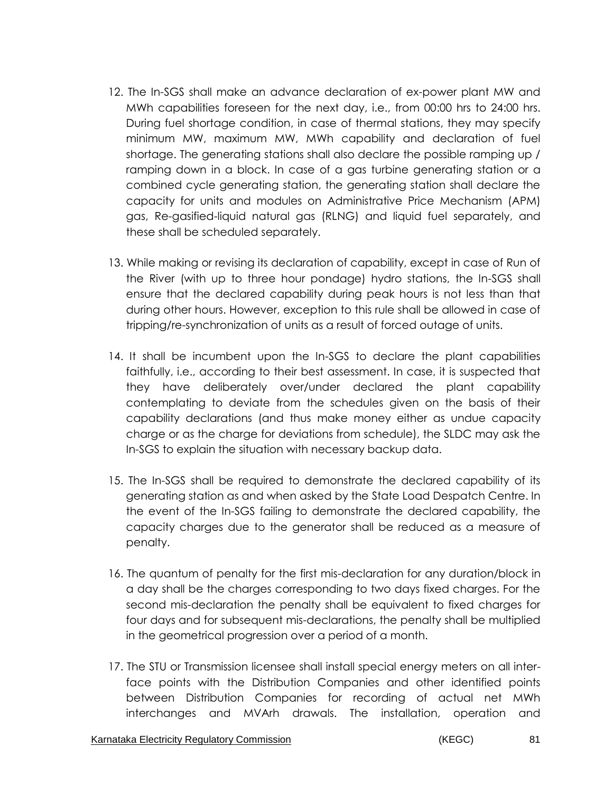- 12. The In-SGS shall make an advance declaration of ex-power plant MW and MWh capabilities foreseen for the next day, i.e., from 00:00 hrs to 24:00 hrs. During fuel shortage condition, in case of thermal stations, they may specify minimum MW, maximum MW, MWh capability and declaration of fuel shortage. The generating stations shall also declare the possible ramping up / ramping down in a block. In case of a gas turbine generating station or a combined cycle generating station, the generating station shall declare the capacity for units and modules on Administrative Price Mechanism (APM) gas, Re-gasified-liquid natural gas (RLNG) and liquid fuel separately, and these shall be scheduled separately.
- 13. While making or revising its declaration of capability, except in case of Run of the River (with up to three hour pondage) hydro stations, the In-SGS shall ensure that the declared capability during peak hours is not less than that during other hours. However, exception to this rule shall be allowed in case of tripping/re-synchronization of units as a result of forced outage of units.
- 14. It shall be incumbent upon the In-SGS to declare the plant capabilities faithfully, i.e., according to their best assessment. In case, it is suspected that they have deliberately over/under declared the plant capability contemplating to deviate from the schedules given on the basis of their capability declarations (and thus make money either as undue capacity charge or as the charge for deviations from schedule), the SLDC may ask the In-SGS to explain the situation with necessary backup data.
- 15. The In-SGS shall be required to demonstrate the declared capability of its generating station as and when asked by the State Load Despatch Centre. In the event of the In-SGS failing to demonstrate the declared capability, the capacity charges due to the generator shall be reduced as a measure of penalty.
- 16. The quantum of penalty for the first mis-declaration for any duration/block in a day shall be the charges corresponding to two days fixed charges. For the second mis-declaration the penalty shall be equivalent to fixed charges for four days and for subsequent mis-declarations, the penalty shall be multiplied in the geometrical progression over a period of a month.
- 17. The STU or Transmission licensee shall install special energy meters on all interface points with the Distribution Companies and other identified points between Distribution Companies for recording of actual net MWh interchanges and MVArh drawals. The installation, operation and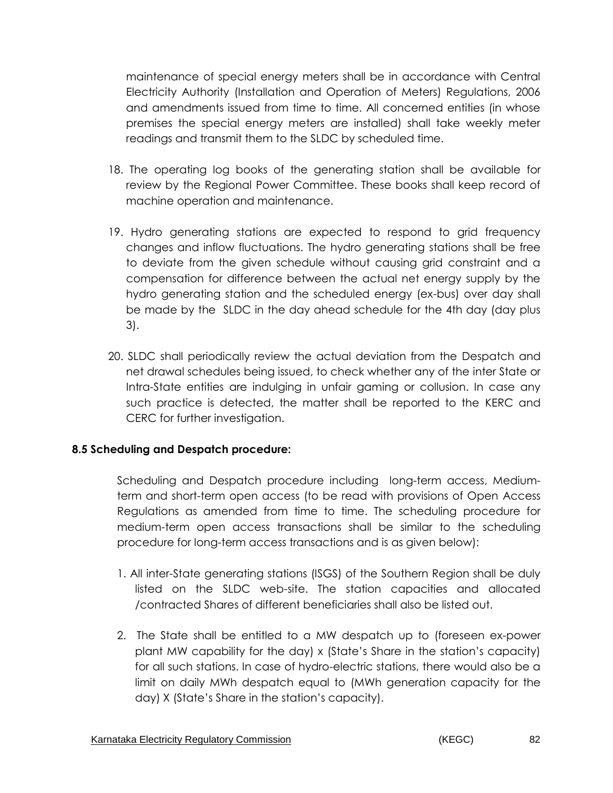maintenance of special energy meters shall be in accordance with Central Electricity Authority (Installation and Operation of Meters) Regulations, 2006 and amendments issued from time to time. All concerned entities (in whose premises the special energy meters are installed) shall take weekly meter readings and transmit them to the SLDC by scheduled time.

- 18. The operating log books of the generating station shall be available for review by the Regional Power Committee. These books shall keep record of machine operation and maintenance.
- 19. Hydro generating stations are expected to respond to grid frequency changes and inflow fluctuations. The hydro generating stations shall be free to deviate from the given schedule without causing grid constraint and a compensation for difference between the actual net energy supply by the hydro generating station and the scheduled energy (ex-bus) over day shall be made by the SLDC in the day ahead schedule for the 4th day (day plus 3).
- 20. SLDC shall periodically review the actual deviation from the Despatch and net drawal schedules being issued, to check whether any of the inter State or Intra-State entities are indulging in unfair gaming or collusion. In case any such practice is detected, the matter shall be reported to the KERC and CERC for further investigation.

### **8.5 Scheduling and Despatch procedure:**

Scheduling and Despatch procedure including long-term access, Mediumterm and short-term open access (to be read with provisions of Open Access Regulations as amended from time to time. The scheduling procedure for medium-term open access transactions shall be similar to the scheduling procedure for long-term access transactions and is as given below):

- 1. All inter-State generating stations (ISGS) of the Southern Region shall be duly listed on the SLDC web-site. The station capacities and allocated /contracted Shares of different beneficiaries shall also be listed out.
- 2. The State shall be entitled to a MW despatch up to (foreseen ex-power plant MW capability for the day) x (State's Share in the station's capacity) for all such stations. In case of hydro-electric stations, there would also be a limit on daily MWh despatch equal to (MWh generation capacity for the day) X (State's Share in the station's capacity).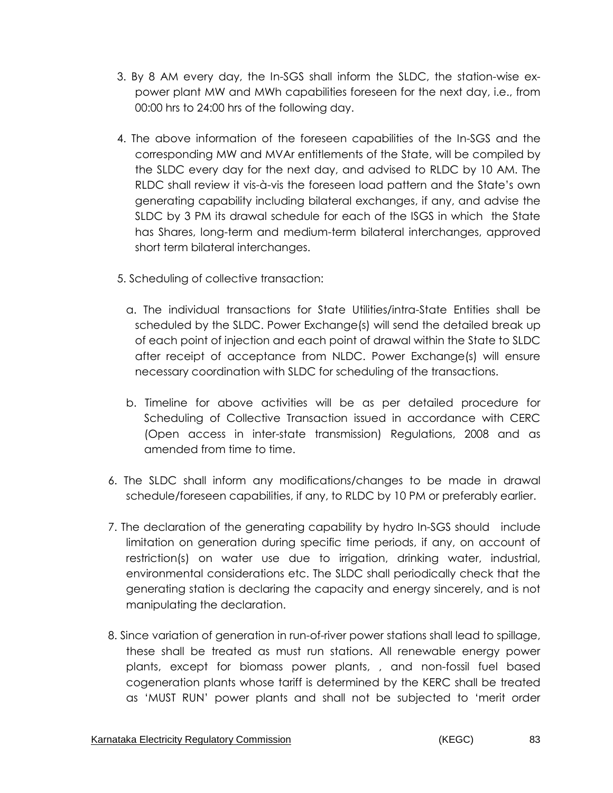- 3. By 8 AM every day, the In-SGS shall inform the SLDC, the station-wise expower plant MW and MWh capabilities foreseen for the next day, i.e., from 00:00 hrs to 24:00 hrs of the following day.
- 4. The above information of the foreseen capabilities of the In-SGS and the corresponding MW and MVAr entitlements of the State, will be compiled by the SLDC every day for the next day, and advised to RLDC by 10 AM. The RLDC shall review it vis-à-vis the foreseen load pattern and the State's own generating capability including bilateral exchanges, if any, and advise the SLDC by 3 PM its drawal schedule for each of the ISGS in which the State has Shares, long-term and medium-term bilateral interchanges, approved short term bilateral interchanges.
- 5. Scheduling of collective transaction:
	- a. The individual transactions for State Utilities/intra-State Entities shall be scheduled by the SLDC. Power Exchange(s) will send the detailed break up of each point of injection and each point of drawal within the State to SLDC after receipt of acceptance from NLDC. Power Exchange(s) will ensure necessary coordination with SLDC for scheduling of the transactions.
	- b. Timeline for above activities will be as per detailed procedure for Scheduling of Collective Transaction issued in accordance with CERC (Open access in inter-state transmission) Regulations, 2008 and as amended from time to time.
- 6. The SLDC shall inform any modifications/changes to be made in drawal schedule/foreseen capabilities, if any, to RLDC by 10 PM or preferably earlier.
- 7. The declaration of the generating capability by hydro In-SGS should include limitation on generation during specific time periods, if any, on account of restriction(s) on water use due to irrigation, drinking water, industrial, environmental considerations etc. The SLDC shall periodically check that the generating station is declaring the capacity and energy sincerely, and is not manipulating the declaration.
- 8. Since variation of generation in run-of-river power stations shall lead to spillage, these shall be treated as must run stations. All renewable energy power plants, except for biomass power plants, , and non-fossil fuel based cogeneration plants whose tariff is determined by the KERC shall be treated as 'MUST RUN' power plants and shall not be subjected to 'merit order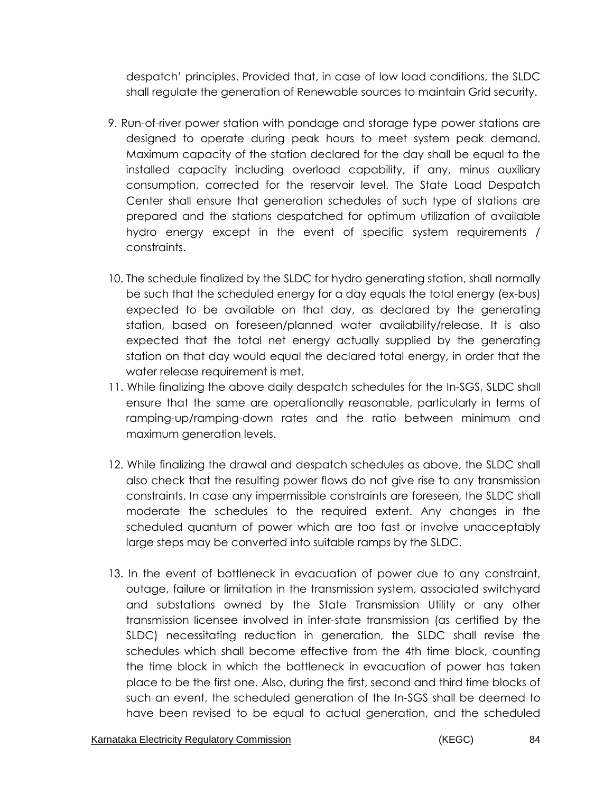despatch' principles. Provided that, in case of low load conditions, the SLDC shall regulate the generation of Renewable sources to maintain Grid security.

- 9. Run-of-river power station with pondage and storage type power stations are designed to operate during peak hours to meet system peak demand. Maximum capacity of the station declared for the day shall be equal to the installed capacity including overload capability, if any, minus auxiliary consumption, corrected for the reservoir level. The State Load Despatch Center shall ensure that generation schedules of such type of stations are prepared and the stations despatched for optimum utilization of available hydro energy except in the event of specific system requirements / constraints.
- 10. The schedule finalized by the SLDC for hydro generating station, shall normally be such that the scheduled energy for a day equals the total energy (ex-bus) expected to be available on that day, as declared by the generating station, based on foreseen/planned water availability/release. It is also expected that the total net energy actually supplied by the generating station on that day would equal the declared total energy, in order that the water release requirement is met.
- 11. While finalizing the above daily despatch schedules for the In-SGS, SLDC shall ensure that the same are operationally reasonable, particularly in terms of ramping-up/ramping-down rates and the ratio between minimum and maximum generation levels.
- 12. While finalizing the drawal and despatch schedules as above, the SLDC shall also check that the resulting power flows do not give rise to any transmission constraints. In case any impermissible constraints are foreseen, the SLDC shall moderate the schedules to the required extent. Any changes in the scheduled quantum of power which are too fast or involve unacceptably large steps may be converted into suitable ramps by the SLDC.
- 13. In the event of bottleneck in evacuation of power due to any constraint, outage, failure or limitation in the transmission system, associated switchyard and substations owned by the State Transmission Utility or any other transmission licensee involved in inter-state transmission (as certified by the SLDC) necessitating reduction in generation, the SLDC shall revise the schedules which shall become effective from the 4th time block, counting the time block in which the bottleneck in evacuation of power has taken place to be the first one. Also, during the first, second and third time blocks of such an event, the scheduled generation of the In-SGS shall be deemed to have been revised to be equal to actual generation, and the scheduled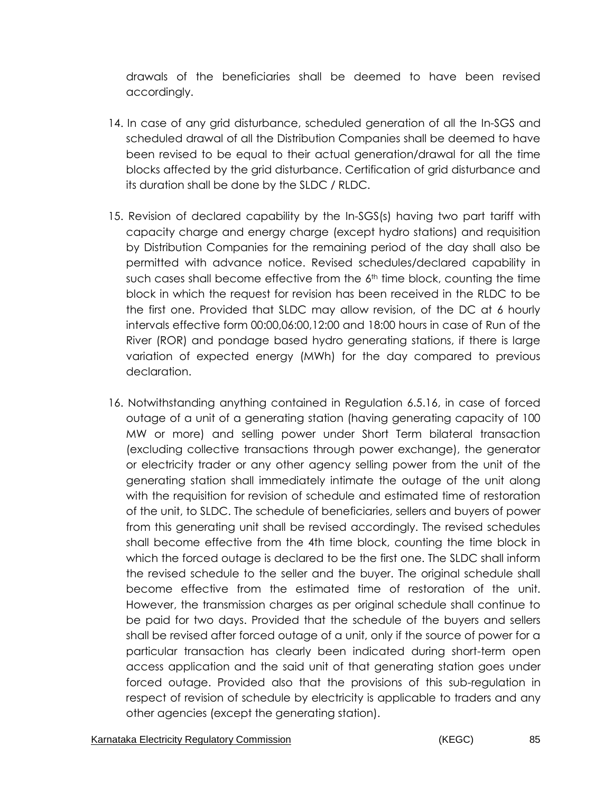drawals of the beneficiaries shall be deemed to have been revised accordingly.

- 14. In case of any grid disturbance, scheduled generation of all the In-SGS and scheduled drawal of all the Distribution Companies shall be deemed to have been revised to be equal to their actual generation/drawal for all the time blocks affected by the grid disturbance. Certification of grid disturbance and its duration shall be done by the SLDC / RLDC.
- 15. Revision of declared capability by the In-SGS(s) having two part tariff with capacity charge and energy charge (except hydro stations) and requisition by Distribution Companies for the remaining period of the day shall also be permitted with advance notice. Revised schedules/declared capability in such cases shall become effective from the 6<sup>th</sup> time block, counting the time block in which the request for revision has been received in the RLDC to be the first one. Provided that SLDC may allow revision, of the DC at 6 hourly intervals effective form 00:00,06:00,12:00 and 18:00 hours in case of Run of the River (ROR) and pondage based hydro generating stations, if there is large variation of expected energy (MWh) for the day compared to previous declaration.
- 16. Notwithstanding anything contained in Regulation 6.5.16, in case of forced outage of a unit of a generating station (having generating capacity of 100 MW or more) and selling power under Short Term bilateral transaction (excluding collective transactions through power exchange), the generator or electricity trader or any other agency selling power from the unit of the generating station shall immediately intimate the outage of the unit along with the requisition for revision of schedule and estimated time of restoration of the unit, to SLDC. The schedule of beneficiaries, sellers and buyers of power from this generating unit shall be revised accordingly. The revised schedules shall become effective from the 4th time block, counting the time block in which the forced outage is declared to be the first one. The SLDC shall inform the revised schedule to the seller and the buyer. The original schedule shall become effective from the estimated time of restoration of the unit. However, the transmission charges as per original schedule shall continue to be paid for two days. Provided that the schedule of the buyers and sellers shall be revised after forced outage of a unit, only if the source of power for a particular transaction has clearly been indicated during short-term open access application and the said unit of that generating station goes under forced outage. Provided also that the provisions of this sub-regulation in respect of revision of schedule by electricity is applicable to traders and any other agencies (except the generating station).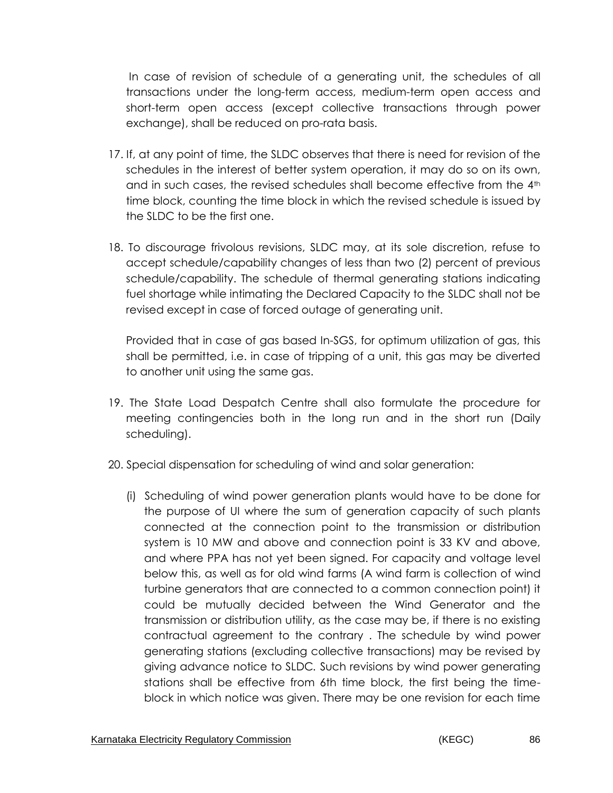In case of revision of schedule of a generating unit, the schedules of all transactions under the long-term access, medium-term open access and short-term open access (except collective transactions through power exchange), shall be reduced on pro-rata basis.

- 17. If, at any point of time, the SLDC observes that there is need for revision of the schedules in the interest of better system operation, it may do so on its own, and in such cases, the revised schedules shall become effective from the  $4<sup>th</sup>$ time block, counting the time block in which the revised schedule is issued by the SLDC to be the first one.
- 18. To discourage frivolous revisions, SLDC may, at its sole discretion, refuse to accept schedule/capability changes of less than two (2) percent of previous schedule/capability. The schedule of thermal generating stations indicating fuel shortage while intimating the Declared Capacity to the SLDC shall not be revised except in case of forced outage of generating unit.

Provided that in case of gas based In-SGS, for optimum utilization of gas, this shall be permitted, i.e. in case of tripping of a unit, this gas may be diverted to another unit using the same gas.

- 19. The State Load Despatch Centre shall also formulate the procedure for meeting contingencies both in the long run and in the short run (Daily scheduling).
- 20. Special dispensation for scheduling of wind and solar generation:
	- (i) Scheduling of wind power generation plants would have to be done for the purpose of UI where the sum of generation capacity of such plants connected at the connection point to the transmission or distribution system is 10 MW and above and connection point is 33 KV and above, and where PPA has not yet been signed. For capacity and voltage level below this, as well as for old wind farms (A wind farm is collection of wind turbine generators that are connected to a common connection point) it could be mutually decided between the Wind Generator and the transmission or distribution utility, as the case may be, if there is no existing contractual agreement to the contrary . The schedule by wind power generating stations (excluding collective transactions) may be revised by giving advance notice to SLDC*.* Such revisions by wind power generating stations shall be effective from 6th time block, the first being the timeblock in which notice was given. There may be one revision for each time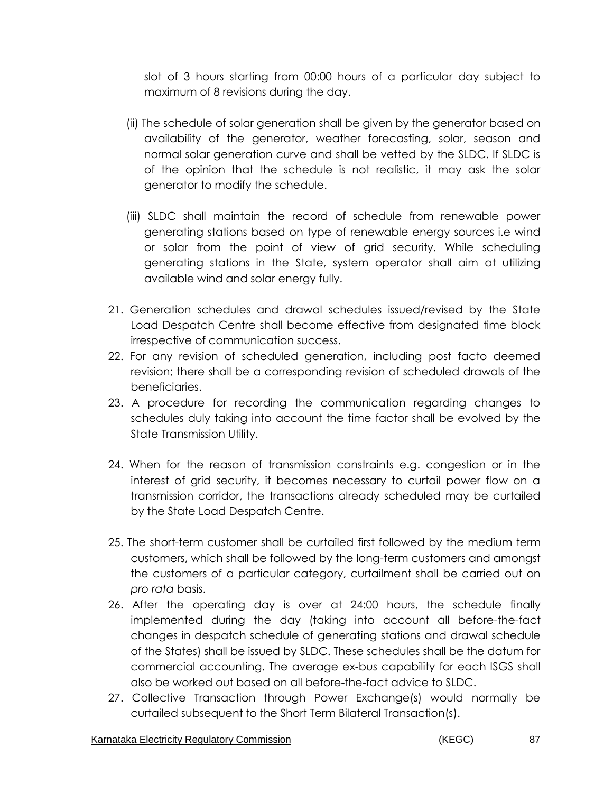slot of 3 hours starting from 00:00 hours of a particular day subject to maximum of 8 revisions during the day.

- (ii) The schedule of solar generation shall be given by the generator based on availability of the generator, weather forecasting, solar, season and normal solar generation curve and shall be vetted by the SLDC. If SLDC is of the opinion that the schedule is not realistic, it may ask the solar generator to modify the schedule.
- (iii) SLDC shall maintain the record of schedule from renewable power generating stations based on type of renewable energy sources i.e wind or solar from the point of view of grid security. While scheduling generating stations in the State, system operator shall aim at utilizing available wind and solar energy fully.
- 21. Generation schedules and drawal schedules issued/revised by the State Load Despatch Centre shall become effective from designated time block irrespective of communication success.
- 22. For any revision of scheduled generation, including post facto deemed revision; there shall be a corresponding revision of scheduled drawals of the beneficiaries.
- 23. A procedure for recording the communication regarding changes to schedules duly taking into account the time factor shall be evolved by the State Transmission Utility.
- 24. When for the reason of transmission constraints e.g. congestion or in the interest of grid security, it becomes necessary to curtail power flow on a transmission corridor, the transactions already scheduled may be curtailed by the State Load Despatch Centre.
- 25. The short-term customer shall be curtailed first followed by the medium term customers, which shall be followed by the long-term customers and amongst the customers of a particular category, curtailment shall be carried out on *pro rata* basis.
- 26. After the operating day is over at 24:00 hours, the schedule finally implemented during the day (taking into account all before-the-fact changes in despatch schedule of generating stations and drawal schedule of the States) shall be issued by SLDC. These schedules shall be the datum for commercial accounting. The average ex-bus capability for each ISGS shall also be worked out based on all before-the-fact advice to SLDC.
- 27. Collective Transaction through Power Exchange(s) would normally be curtailed subsequent to the Short Term Bilateral Transaction(s).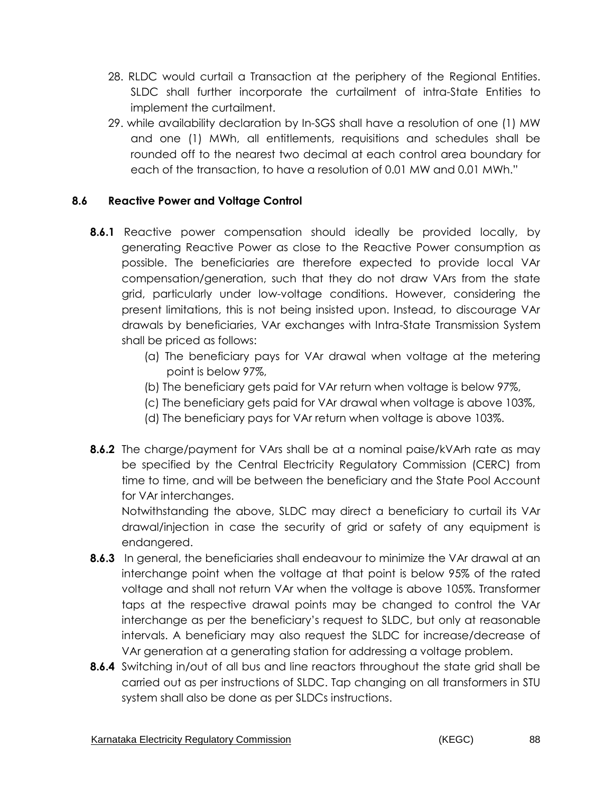- 28. RLDC would curtail a Transaction at the periphery of the Regional Entities. SLDC shall further incorporate the curtailment of intra-State Entities to implement the curtailment.
- 29. while availability declaration by In-SGS shall have a resolution of one (1) MW and one (1) MWh, all entitlements, requisitions and schedules shall be rounded off to the nearest two decimal at each control area boundary for each of the transaction, to have a resolution of 0.01 MW and 0.01 MWh."

### **8.6 Reactive Power and Voltage Control**

- **8.6.1** Reactive power compensation should ideally be provided locally, by generating Reactive Power as close to the Reactive Power consumption as possible. The beneficiaries are therefore expected to provide local VAr compensation/generation, such that they do not draw VArs from the state grid, particularly under low-voltage conditions. However, considering the present limitations, this is not being insisted upon. Instead, to discourage VAr drawals by beneficiaries, VAr exchanges with Intra-State Transmission System shall be priced as follows:
	- (a) The beneficiary pays for VAr drawal when voltage at the metering point is below 97%,
	- (b) The beneficiary gets paid for VAr return when voltage is below 97%,
	- (c) The beneficiary gets paid for VAr drawal when voltage is above 103%,
	- (d) The beneficiary pays for VAr return when voltage is above 103%.
- **8.6.2** The charge/payment for VArs shall be at a nominal paise/kVArh rate as may be specified by the Central Electricity Regulatory Commission (CERC) from time to time, and will be between the beneficiary and the State Pool Account for VAr interchanges.

Notwithstanding the above, SLDC may direct a beneficiary to curtail its VAr drawal/injection in case the security of grid or safety of any equipment is endangered.

- **8.6.3** In general, the beneficiaries shall endeavour to minimize the VAr drawal at an interchange point when the voltage at that point is below 95% of the rated voltage and shall not return VAr when the voltage is above 105%. Transformer taps at the respective drawal points may be changed to control the VAr interchange as per the beneficiary's request to SLDC, but only at reasonable intervals. A beneficiary may also request the SLDC for increase/decrease of VAr generation at a generating station for addressing a voltage problem.
- **8.6.4** Switching in/out of all bus and line reactors throughout the state grid shall be carried out as per instructions of SLDC. Tap changing on all transformers in STU system shall also be done as per SLDCs instructions.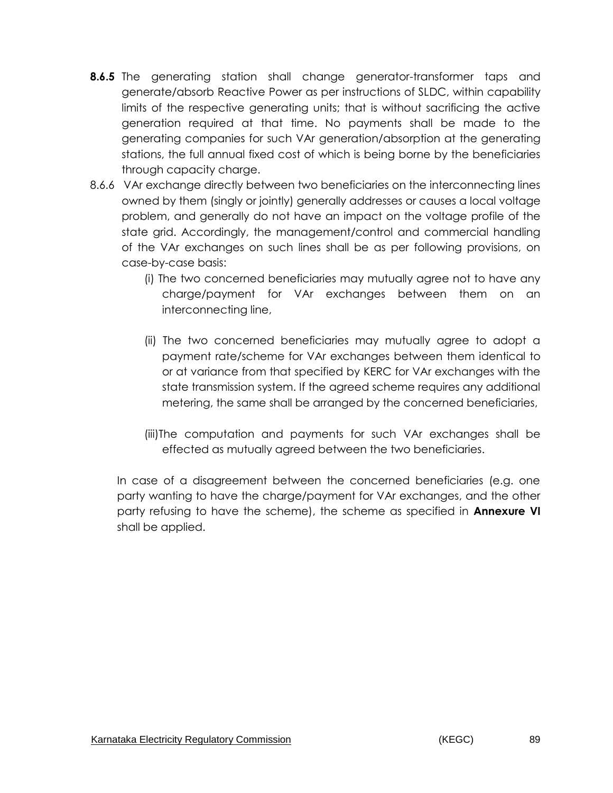- **8.6.5** The generating station shall change generator-transformer taps and generate/absorb Reactive Power as per instructions of SLDC, within capability limits of the respective generating units; that is without sacrificing the active generation required at that time. No payments shall be made to the generating companies for such VAr generation/absorption at the generating stations, the full annual fixed cost of which is being borne by the beneficiaries through capacity charge.
- 8.6.6 VAr exchange directly between two beneficiaries on the interconnecting lines owned by them (singly or jointly) generally addresses or causes a local voltage problem, and generally do not have an impact on the voltage profile of the state grid. Accordingly, the management/control and commercial handling of the VAr exchanges on such lines shall be as per following provisions, on case-by-case basis:
	- (i) The two concerned beneficiaries may mutually agree not to have any charge/payment for VAr exchanges between them on an interconnecting line,
	- (ii) The two concerned beneficiaries may mutually agree to adopt a payment rate/scheme for VAr exchanges between them identical to or at variance from that specified by KERC for VAr exchanges with the state transmission system. If the agreed scheme requires any additional metering, the same shall be arranged by the concerned beneficiaries,
	- (iii)The computation and payments for such VAr exchanges shall be effected as mutually agreed between the two beneficiaries.

In case of a disagreement between the concerned beneficiaries (e.g. one party wanting to have the charge/payment for VAr exchanges, and the other party refusing to have the scheme), the scheme as specified in **Annexure VI** shall be applied.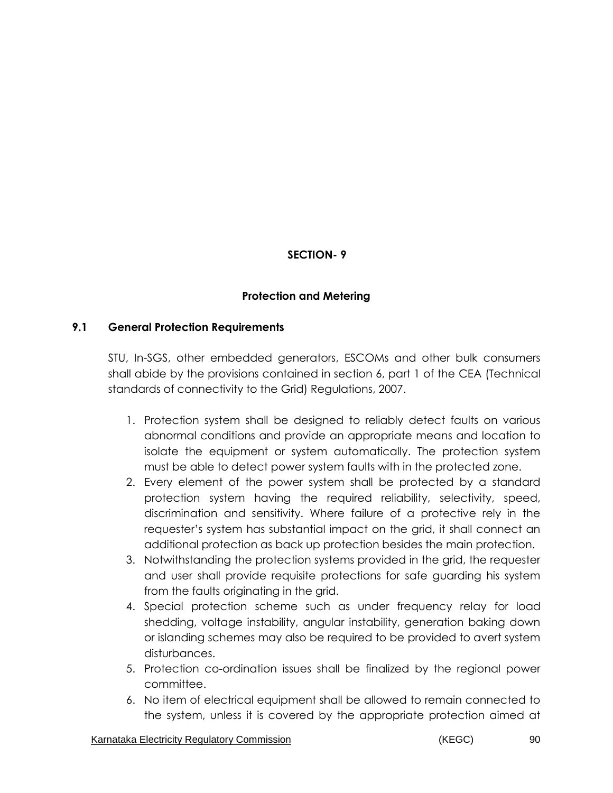## **SECTION- 9**

### **Protection and Metering**

### **9.1 General Protection Requirements**

STU, In-SGS, other embedded generators, ESCOMs and other bulk consumers shall abide by the provisions contained in section 6, part 1 of the CEA (Technical standards of connectivity to the Grid) Regulations, 2007.

- 1. Protection system shall be designed to reliably detect faults on various abnormal conditions and provide an appropriate means and location to isolate the equipment or system automatically. The protection system must be able to detect power system faults with in the protected zone.
- 2. Every element of the power system shall be protected by a standard protection system having the required reliability, selectivity, speed, discrimination and sensitivity. Where failure of a protective rely in the requester's system has substantial impact on the grid, it shall connect an additional protection as back up protection besides the main protection.
- 3. Notwithstanding the protection systems provided in the grid, the requester and user shall provide requisite protections for safe guarding his system from the faults originating in the grid.
- 4. Special protection scheme such as under frequency relay for load shedding, voltage instability, angular instability, generation baking down or islanding schemes may also be required to be provided to avert system disturbances.
- 5. Protection co-ordination issues shall be finalized by the regional power committee.
- 6. No item of electrical equipment shall be allowed to remain connected to the system, unless it is covered by the appropriate protection aimed at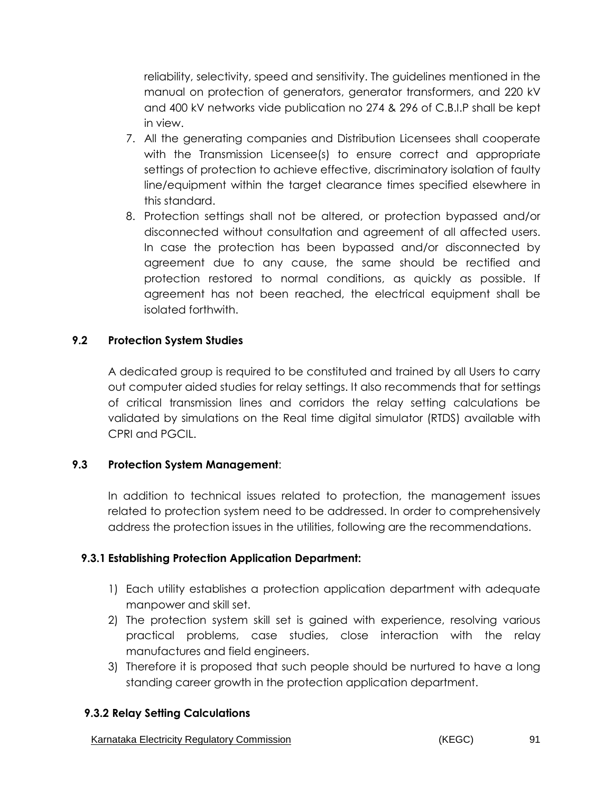reliability, selectivity, speed and sensitivity. The guidelines mentioned in the manual on protection of generators, generator transformers, and 220 kV and 400 kV networks vide publication no 274 & 296 of C.B.I.P shall be kept in view.

- 7. All the generating companies and Distribution Licensees shall cooperate with the Transmission Licensee(s) to ensure correct and appropriate settings of protection to achieve effective, discriminatory isolation of faulty line/equipment within the target clearance times specified elsewhere in this standard.
- 8. Protection settings shall not be altered, or protection bypassed and/or disconnected without consultation and agreement of all affected users. In case the protection has been bypassed and/or disconnected by agreement due to any cause, the same should be rectified and protection restored to normal conditions, as quickly as possible. If agreement has not been reached, the electrical equipment shall be isolated forthwith.

### **9.2 Protection System Studies**

A dedicated group is required to be constituted and trained by all Users to carry out computer aided studies for relay settings. It also recommends that for settings of critical transmission lines and corridors the relay setting calculations be validated by simulations on the Real time digital simulator (RTDS) available with CPRI and PGCIL.

### **9.3 Protection System Management**:

In addition to technical issues related to protection, the management issues related to protection system need to be addressed. In order to comprehensively address the protection issues in the utilities, following are the recommendations.

### **9.3.1 Establishing Protection Application Department:**

- 1) Each utility establishes a protection application department with adequate manpower and skill set.
- 2) The protection system skill set is gained with experience, resolving various practical problems, case studies, close interaction with the relay manufactures and field engineers.
- 3) Therefore it is proposed that such people should be nurtured to have a long standing career growth in the protection application department.

### **9.3.2 Relay Setting Calculations**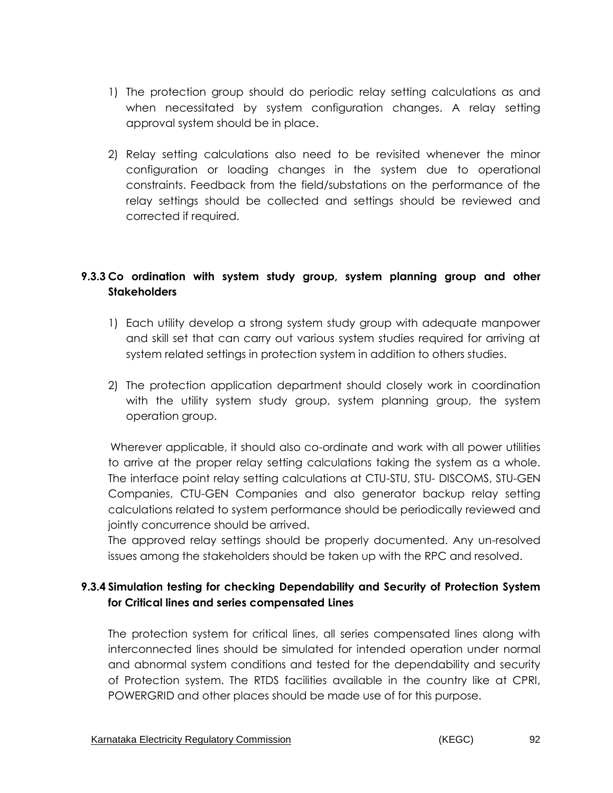- 1) The protection group should do periodic relay setting calculations as and when necessitated by system configuration changes. A relay setting approval system should be in place.
- 2) Relay setting calculations also need to be revisited whenever the minor configuration or loading changes in the system due to operational constraints. Feedback from the field/substations on the performance of the relay settings should be collected and settings should be reviewed and corrected if required.

# **9.3.3 Co ordination with system study group, system planning group and other Stakeholders**

- 1) Each utility develop a strong system study group with adequate manpower and skill set that can carry out various system studies required for arriving at system related settings in protection system in addition to others studies.
- 2) The protection application department should closely work in coordination with the utility system study group, system planning group, the system operation group.

Wherever applicable, it should also co-ordinate and work with all power utilities to arrive at the proper relay setting calculations taking the system as a whole. The interface point relay setting calculations at CTU-STU, STU- DISCOMS, STU-GEN Companies, CTU-GEN Companies and also generator backup relay setting calculations related to system performance should be periodically reviewed and jointly concurrence should be arrived.

The approved relay settings should be properly documented. Any un-resolved issues among the stakeholders should be taken up with the RPC and resolved.

## **9.3.4 Simulation testing for checking Dependability and Security of Protection System for Critical lines and series compensated Lines**

The protection system for critical lines, all series compensated lines along with interconnected lines should be simulated for intended operation under normal and abnormal system conditions and tested for the dependability and security of Protection system. The RTDS facilities available in the country like at CPRI, POWERGRID and other places should be made use of for this purpose.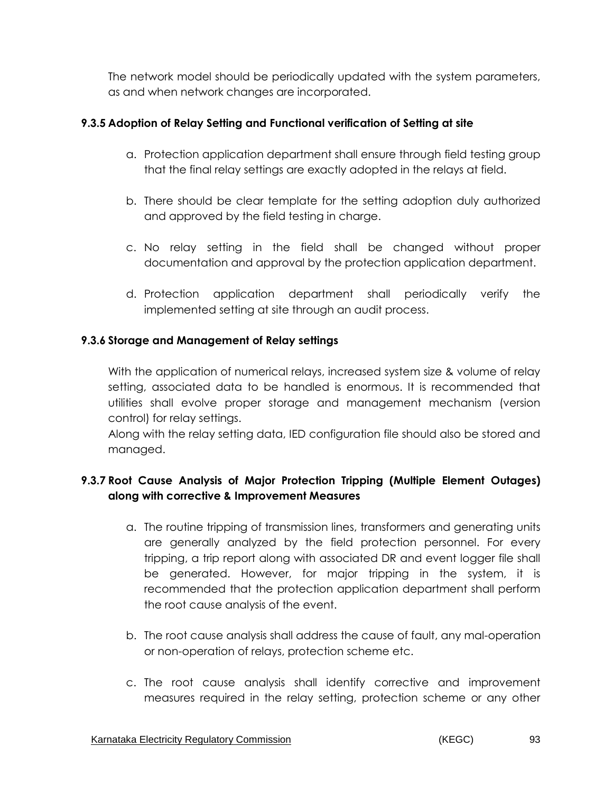The network model should be periodically updated with the system parameters, as and when network changes are incorporated.

### **9.3.5 Adoption of Relay Setting and Functional verification of Setting at site**

- a. Protection application department shall ensure through field testing group that the final relay settings are exactly adopted in the relays at field.
- b. There should be clear template for the setting adoption duly authorized and approved by the field testing in charge.
- c. No relay setting in the field shall be changed without proper documentation and approval by the protection application department.
- d. Protection application department shall periodically verify the implemented setting at site through an audit process.

### **9.3.6 Storage and Management of Relay settings**

With the application of numerical relays, increased system size & volume of relay setting, associated data to be handled is enormous. It is recommended that utilities shall evolve proper storage and management mechanism (version control) for relay settings.

Along with the relay setting data, IED configuration file should also be stored and managed.

## **9.3.7 Root Cause Analysis of Major Protection Tripping (Multiple Element Outages) along with corrective & Improvement Measures**

- a. The routine tripping of transmission lines, transformers and generating units are generally analyzed by the field protection personnel. For every tripping, a trip report along with associated DR and event logger file shall be generated. However, for major tripping in the system, it is recommended that the protection application department shall perform the root cause analysis of the event.
- b. The root cause analysis shall address the cause of fault, any mal-operation or non-operation of relays, protection scheme etc.
- c. The root cause analysis shall identify corrective and improvement measures required in the relay setting, protection scheme or any other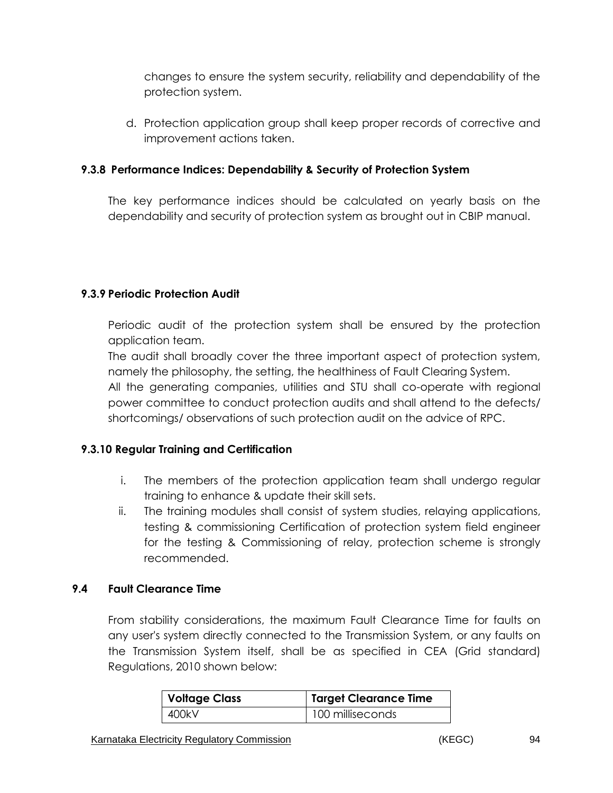changes to ensure the system security, reliability and dependability of the protection system.

d. Protection application group shall keep proper records of corrective and improvement actions taken.

### **9.3.8 Performance Indices: Dependability & Security of Protection System**

The key performance indices should be calculated on yearly basis on the dependability and security of protection system as brought out in CBIP manual.

### **9.3.9 Periodic Protection Audit**

Periodic audit of the protection system shall be ensured by the protection application team.

The audit shall broadly cover the three important aspect of protection system, namely the philosophy, the setting, the healthiness of Fault Clearing System.

All the generating companies, utilities and STU shall co-operate with regional power committee to conduct protection audits and shall attend to the defects/ shortcomings/ observations of such protection audit on the advice of RPC.

### **9.3.10 Regular Training and Certification**

- i. The members of the protection application team shall undergo regular training to enhance & update their skill sets.
- ii. The training modules shall consist of system studies, relaying applications, testing & commissioning Certification of protection system field engineer for the testing & Commissioning of relay, protection scheme is strongly recommended.

### **9.4 Fault Clearance Time**

From stability considerations, the maximum Fault Clearance Time for faults on any user's system directly connected to the Transmission System, or any faults on the Transmission System itself, shall be as specified in CEA (Grid standard) Regulations, 2010 shown below:

| <b>Voltage Class</b> | Target Clearance Time |  |  |  |
|----------------------|-----------------------|--|--|--|
| 400kV                | 100 milliseconds      |  |  |  |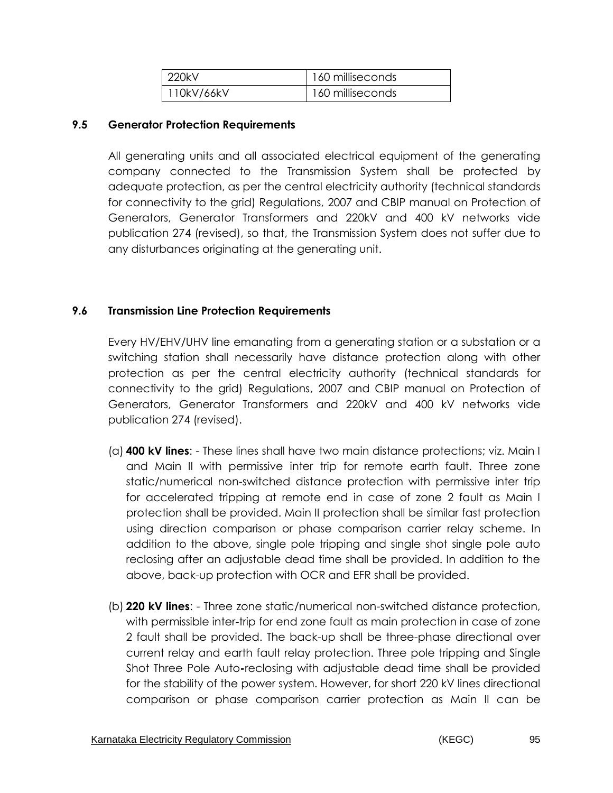| 1220kV     | 160 milliseconds |
|------------|------------------|
| 110kV/66kV | 160 milliseconds |

#### **9.5 Generator Protection Requirements**

All generating units and all associated electrical equipment of the generating company connected to the Transmission System shall be protected by adequate protection, as per the central electricity authority (technical standards for connectivity to the grid) Regulations, 2007 and CBIP manual on Protection of Generators, Generator Transformers and 220kV and 400 kV networks vide publication 274 (revised), so that, the Transmission System does not suffer due to any disturbances originating at the generating unit.

#### **9.6 Transmission Line Protection Requirements**

Every HV/EHV/UHV line emanating from a generating station or a substation or a switching station shall necessarily have distance protection along with other protection as per the central electricity authority (technical standards for connectivity to the grid) Regulations, 2007 and CBIP manual on Protection of Generators, Generator Transformers and 220kV and 400 kV networks vide publication 274 (revised).

- (a) **400 kV lines**: These lines shall have two main distance protections; viz. Main I and Main II with permissive inter trip for remote earth fault. Three zone static/numerical non-switched distance protection with permissive inter trip for accelerated tripping at remote end in case of zone 2 fault as Main I protection shall be provided. Main II protection shall be similar fast protection using direction comparison or phase comparison carrier relay scheme. In addition to the above, single pole tripping and single shot single pole auto reclosing after an adjustable dead time shall be provided. In addition to the above, back-up protection with OCR and EFR shall be provided.
- (b) **220 kV lines**: Three zone static/numerical non-switched distance protection, with permissible inter-trip for end zone fault as main protection in case of zone 2 fault shall be provided. The back-up shall be three-phase directional over current relay and earth fault relay protection. Three pole tripping and Single Shot Three Pole Auto**-**reclosing with adjustable dead time shall be provided for the stability of the power system. However, for short 220 kV lines directional comparison or phase comparison carrier protection as Main II can be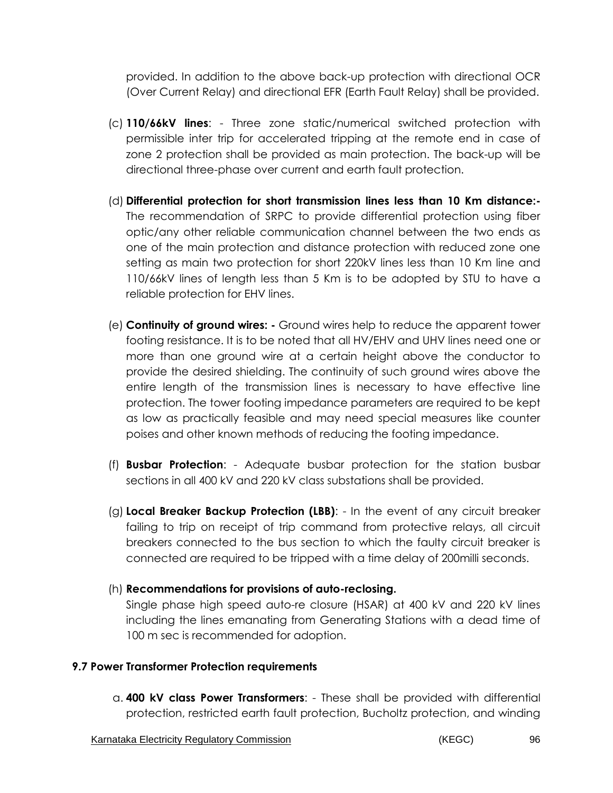provided. In addition to the above back-up protection with directional OCR (Over Current Relay) and directional EFR (Earth Fault Relay) shall be provided.

- (c) **110/66kV lines**: Three zone static/numerical switched protection with permissible inter trip for accelerated tripping at the remote end in case of zone 2 protection shall be provided as main protection. The back-up will be directional three-phase over current and earth fault protection.
- (d) **Differential protection for short transmission lines less than 10 Km distance:-**  The recommendation of SRPC to provide differential protection using fiber optic/any other reliable communication channel between the two ends as one of the main protection and distance protection with reduced zone one setting as main two protection for short 220kV lines less than 10 Km line and 110/66kV lines of length less than 5 Km is to be adopted by STU to have a reliable protection for EHV lines.
- (e) **Continuity of ground wires: -** Ground wires help to reduce the apparent tower footing resistance. It is to be noted that all HV/EHV and UHV lines need one or more than one ground wire at a certain height above the conductor to provide the desired shielding. The continuity of such ground wires above the entire length of the transmission lines is necessary to have effective line protection. The tower footing impedance parameters are required to be kept as low as practically feasible and may need special measures like counter poises and other known methods of reducing the footing impedance.
- (f) **Busbar Protection**: Adequate busbar protection for the station busbar sections in all 400 kV and 220 kV class substations shall be provided.
- (g) **Local Breaker Backup Protection (LBB)**: In the event of any circuit breaker failing to trip on receipt of trip command from protective relays, all circuit breakers connected to the bus section to which the faulty circuit breaker is connected are required to be tripped with a time delay of 200milli seconds.

### (h) **Recommendations for provisions of auto-reclosing.**

Single phase high speed auto-re closure (HSAR) at 400 kV and 220 kV lines including the lines emanating from Generating Stations with a dead time of 100 m sec is recommended for adoption.

#### **9.7 Power Transformer Protection requirements**

a. **400 kV class Power Transformers**: - These shall be provided with differential protection, restricted earth fault protection, Bucholtz protection, and winding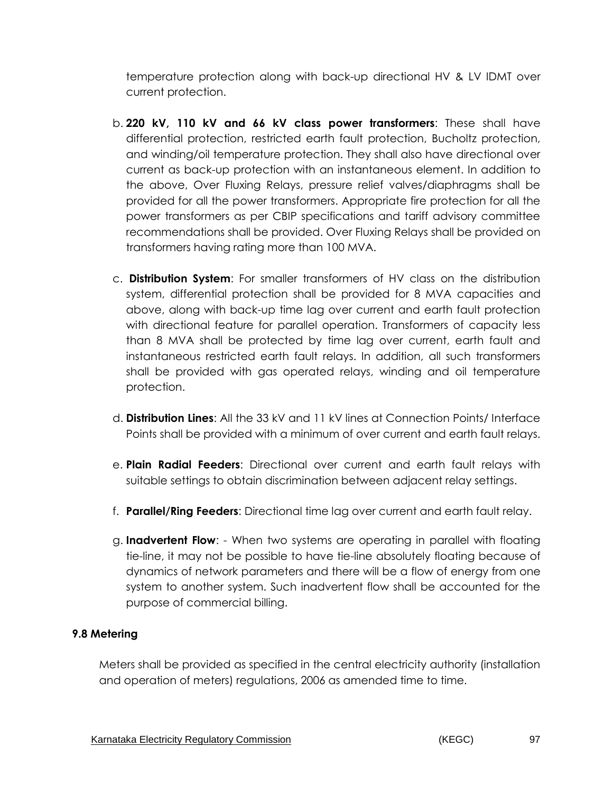temperature protection along with back-up directional HV & LV IDMT over current protection.

- b. **220 kV, 110 kV and 66 kV class power transformers**: These shall have differential protection, restricted earth fault protection, Bucholtz protection, and winding/oil temperature protection. They shall also have directional over current as back-up protection with an instantaneous element. In addition to the above, Over Fluxing Relays, pressure relief valves/diaphragms shall be provided for all the power transformers. Appropriate fire protection for all the power transformers as per CBIP specifications and tariff advisory committee recommendations shall be provided. Over Fluxing Relays shall be provided on transformers having rating more than 100 MVA.
- c. **Distribution System**: For smaller transformers of HV class on the distribution system, differential protection shall be provided for 8 MVA capacities and above, along with back-up time lag over current and earth fault protection with directional feature for parallel operation. Transformers of capacity less than 8 MVA shall be protected by time lag over current, earth fault and instantaneous restricted earth fault relays. In addition, all such transformers shall be provided with gas operated relays, winding and oil temperature protection.
- d. **Distribution Lines**: All the 33 kV and 11 kV lines at Connection Points/ Interface Points shall be provided with a minimum of over current and earth fault relays.
- e. **Plain Radial Feeders**: Directional over current and earth fault relays with suitable settings to obtain discrimination between adjacent relay settings.
- f. **Parallel/Ring Feeders**: Directional time lag over current and earth fault relay.
- g. **Inadvertent Flow**: When two systems are operating in parallel with floating tie-line, it may not be possible to have tie-line absolutely floating because of dynamics of network parameters and there will be a flow of energy from one system to another system. Such inadvertent flow shall be accounted for the purpose of commercial billing.

### **9.8 Metering**

Meters shall be provided as specified in the central electricity authority (installation and operation of meters) regulations, 2006 as amended time to time.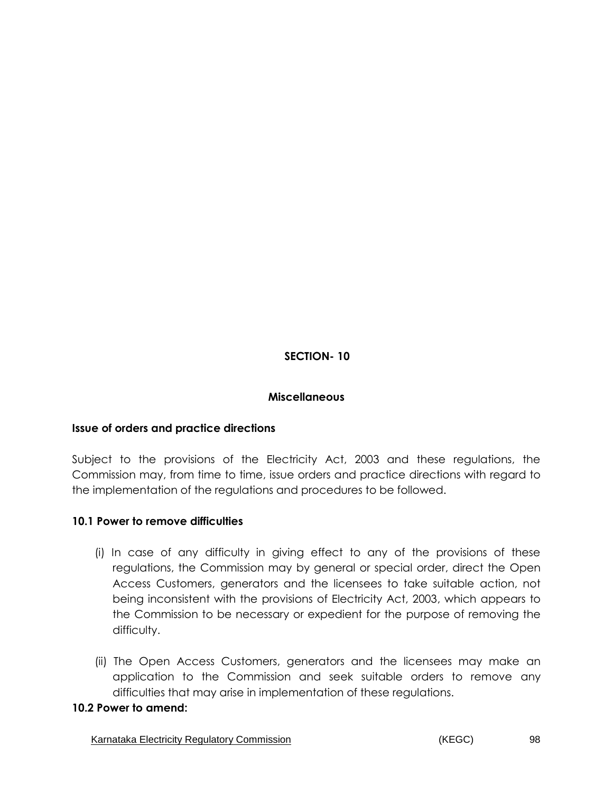# **SECTION- 10**

### **Miscellaneous**

### **Issue of orders and practice directions**

Subject to the provisions of the Electricity Act, 2003 and these regulations, the Commission may, from time to time, issue orders and practice directions with regard to the implementation of the regulations and procedures to be followed.

#### **10.1 Power to remove difficulties**

- (i) In case of any difficulty in giving effect to any of the provisions of these regulations, the Commission may by general or special order, direct the Open Access Customers, generators and the licensees to take suitable action, not being inconsistent with the provisions of Electricity Act, 2003, which appears to the Commission to be necessary or expedient for the purpose of removing the difficulty.
- (ii) The Open Access Customers, generators and the licensees may make an application to the Commission and seek suitable orders to remove any difficulties that may arise in implementation of these regulations.

#### **10.2 Power to amend:**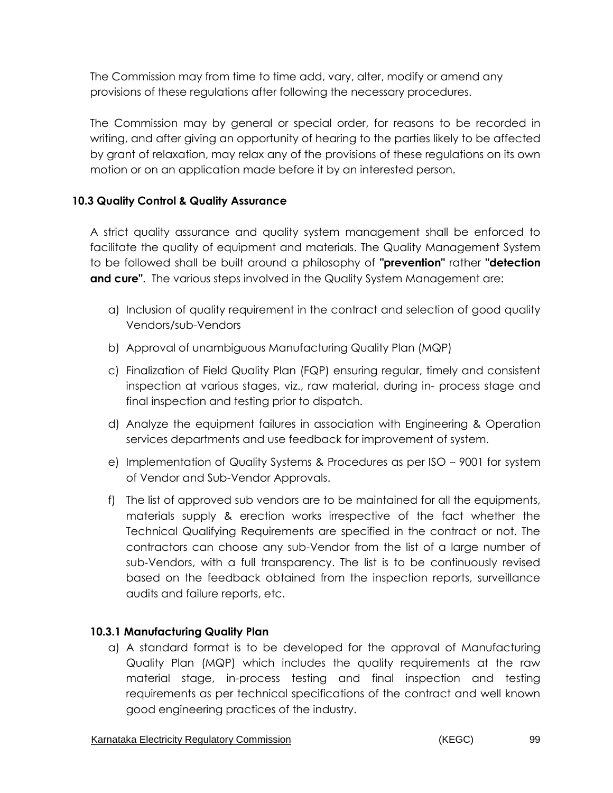The Commission may from time to time add, vary, alter, modify or amend any provisions of these regulations after following the necessary procedures.

The Commission may by general or special order, for reasons to be recorded in writing, and after giving an opportunity of hearing to the parties likely to be affected by grant of relaxation, may relax any of the provisions of these regulations on its own motion or on an application made before it by an interested person.

### **10.3 Quality Control & Quality Assurance**

A strict quality assurance and quality system management shall be enforced to facilitate the quality of equipment and materials. The Quality Management System to be followed shall be built around a philosophy of **"prevention"** rather **"detection and cure"**. The various steps involved in the Quality System Management are:

- a) Inclusion of quality requirement in the contract and selection of good quality Vendors/sub-Vendors
- b) Approval of unambiguous Manufacturing Quality Plan (MQP)
- c) Finalization of Field Quality Plan (FQP) ensuring regular, timely and consistent inspection at various stages, viz., raw material, during in- process stage and final inspection and testing prior to dispatch.
- d) Analyze the equipment failures in association with Engineering & Operation services departments and use feedback for improvement of system.
- e) Implementation of Quality Systems & Procedures as per ISO 9001 for system of Vendor and Sub-Vendor Approvals.
- f) The list of approved sub vendors are to be maintained for all the equipments, materials supply & erection works irrespective of the fact whether the Technical Qualifying Requirements are specified in the contract or not. The contractors can choose any sub-Vendor from the list of a large number of sub-Vendors, with a full transparency. The list is to be continuously revised based on the feedback obtained from the inspection reports, surveillance audits and failure reports, etc.

### **10.3.1 Manufacturing Quality Plan**

a) A standard format is to be developed for the approval of Manufacturing Quality Plan (MQP) which includes the quality requirements at the raw material stage, in-process testing and final inspection and testing requirements as per technical specifications of the contract and well known good engineering practices of the industry.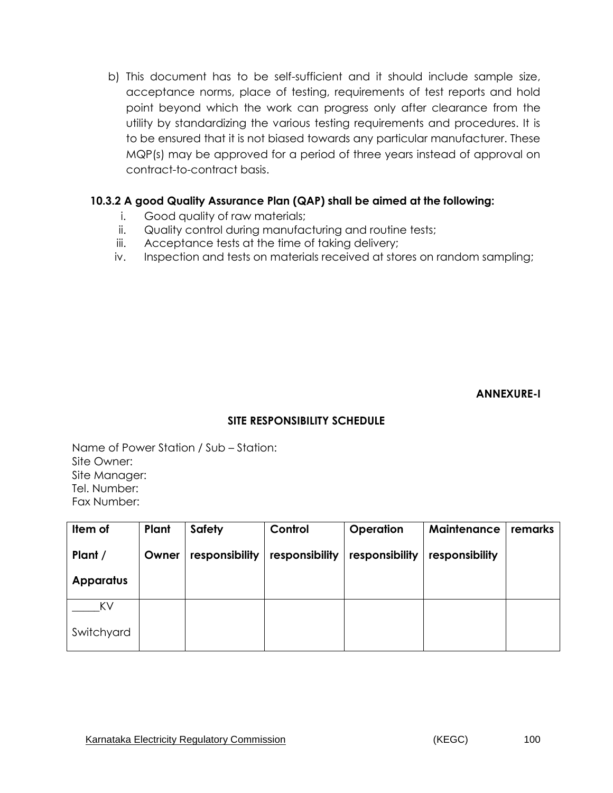b) This document has to be self-sufficient and it should include sample size, acceptance norms, place of testing, requirements of test reports and hold point beyond which the work can progress only after clearance from the utility by standardizing the various testing requirements and procedures. It is to be ensured that it is not biased towards any particular manufacturer. These MQP(s) may be approved for a period of three years instead of approval on contract-to-contract basis.

### **10.3.2 A good Quality Assurance Plan (QAP) shall be aimed at the following:**

- i. Good quality of raw materials;
- ii. Quality control during manufacturing and routine tests;
- iii. Acceptance tests at the time of taking delivery;
- iv. Inspection and tests on materials received at stores on random sampling;

**ANNEXURE-I**

### **SITE RESPONSIBILITY SCHEDULE**

Name of Power Station / Sub – Station: Site Owner: Site Manager: Tel. Number: Fax Number:

| Item of          | Plant | <b>Safety</b>  | Control        | <b>Operation</b> | Maintenance    | remarks |
|------------------|-------|----------------|----------------|------------------|----------------|---------|
| Plant /          | Owner | responsibility | responsibility | responsibility   | responsibility |         |
| <b>Apparatus</b> |       |                |                |                  |                |         |
| KV               |       |                |                |                  |                |         |
| Switchyard       |       |                |                |                  |                |         |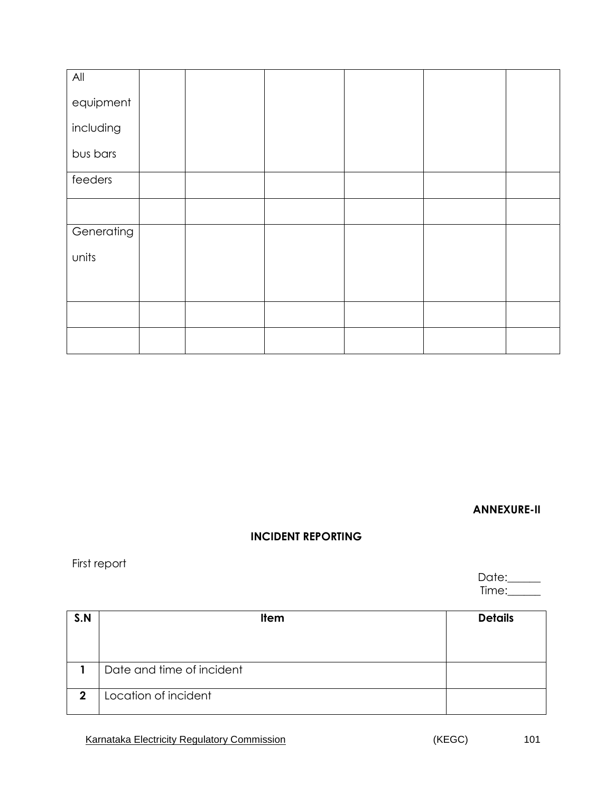| All        |  |  |  |
|------------|--|--|--|
| equipment  |  |  |  |
| including  |  |  |  |
| bus bars   |  |  |  |
| feeders    |  |  |  |
|            |  |  |  |
| Generating |  |  |  |
| units      |  |  |  |
|            |  |  |  |
|            |  |  |  |
|            |  |  |  |

**ANNEXURE-II**

## **INCIDENT REPORTING**

First report

Date:\_\_\_\_\_\_ Time:\_\_\_\_\_\_

| S.N | <b>Item</b>               | <b>Details</b> |
|-----|---------------------------|----------------|
|     |                           |                |
|     |                           |                |
|     | Date and time of incident |                |
|     |                           |                |
| 2   | Location of incident      |                |
|     |                           |                |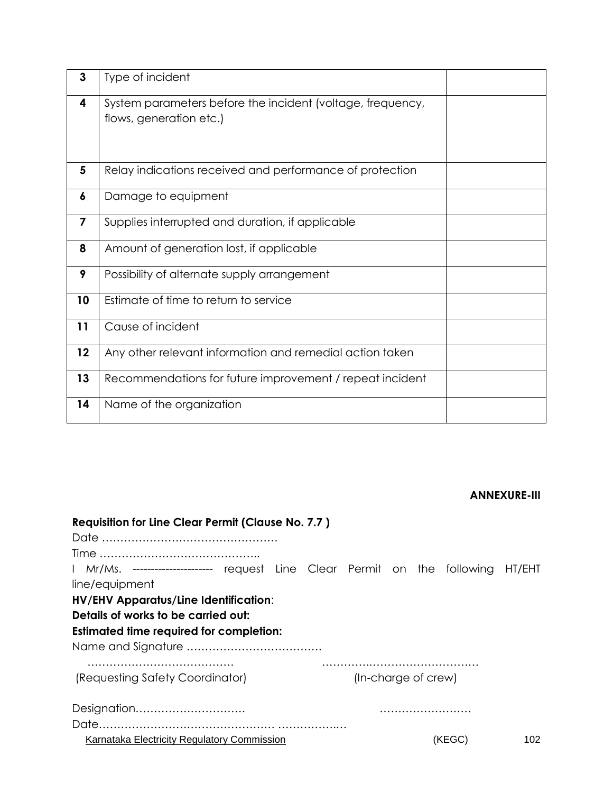| 3  | Type of incident                                                                      |  |
|----|---------------------------------------------------------------------------------------|--|
| 4  | System parameters before the incident (voltage, frequency,<br>flows, generation etc.) |  |
| 5  | Relay indications received and performance of protection                              |  |
| 6  | Damage to equipment                                                                   |  |
| 7  | Supplies interrupted and duration, if applicable                                      |  |
| 8  | Amount of generation lost, if applicable                                              |  |
| 9  | Possibility of alternate supply arrangement                                           |  |
| 10 | Estimate of time to return to service                                                 |  |
| 11 | Cause of incident                                                                     |  |
| 12 | Any other relevant information and remedial action taken                              |  |
| 13 | Recommendations for future improvement / repeat incident                              |  |
| 14 | Name of the organization                                                              |  |

#### **ANNEXURE-III**

|                                                                                | <b>Requisition for Line Clear Permit (Clause No. 7.7)</b> |  |                     |  |  |
|--------------------------------------------------------------------------------|-----------------------------------------------------------|--|---------------------|--|--|
|                                                                                |                                                           |  |                     |  |  |
|                                                                                |                                                           |  |                     |  |  |
| Mr/Ms. --------------------- request Line Clear Permit on the following HT/EHT |                                                           |  |                     |  |  |
| line/equipment                                                                 |                                                           |  |                     |  |  |
| <b>HV/EHV Apparatus/Line Identification:</b>                                   |                                                           |  |                     |  |  |
| Details of works to be carried out:                                            |                                                           |  |                     |  |  |
| <b>Estimated time required for completion:</b>                                 |                                                           |  |                     |  |  |
|                                                                                |                                                           |  |                     |  |  |
|                                                                                |                                                           |  |                     |  |  |
|                                                                                |                                                           |  |                     |  |  |
| (Requesting Safety Coordinator)                                                |                                                           |  | (In-charge of crew) |  |  |
| Designation                                                                    |                                                           |  |                     |  |  |
|                                                                                |                                                           |  |                     |  |  |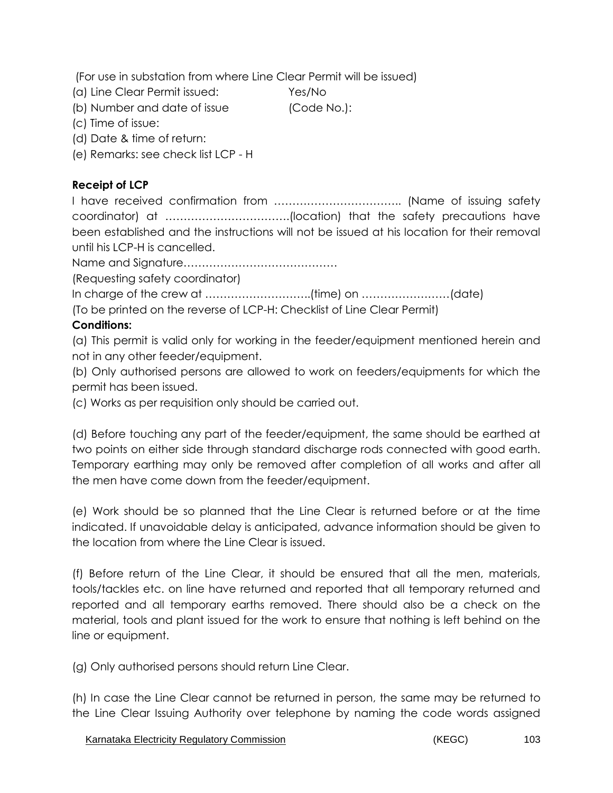(For use in substation from where Line Clear Permit will be issued)

(a) Line Clear Permit issued: Yes/No

(b) Number and date of issue (Code No.):

(c) Time of issue:

(d) Date & time of return:

(e) Remarks: see check list LCP - H

# **Receipt of LCP**

I have received confirmation from …………………………….. (Name of issuing safety coordinator) at …………………………….(location) that the safety precautions have been established and the instructions will not be issued at his location for their removal until his LCP-H is cancelled.

Name and Signature……………………………………

(Requesting safety coordinator)

In charge of the crew at ………………………..(time) on ……………………(date)

(To be printed on the reverse of LCP-H: Checklist of Line Clear Permit)

# **Conditions:**

(a) This permit is valid only for working in the feeder/equipment mentioned herein and not in any other feeder/equipment.

(b) Only authorised persons are allowed to work on feeders/equipments for which the permit has been issued.

(c) Works as per requisition only should be carried out.

(d) Before touching any part of the feeder/equipment, the same should be earthed at two points on either side through standard discharge rods connected with good earth. Temporary earthing may only be removed after completion of all works and after all the men have come down from the feeder/equipment.

(e) Work should be so planned that the Line Clear is returned before or at the time indicated. If unavoidable delay is anticipated, advance information should be given to the location from where the Line Clear is issued.

(f) Before return of the Line Clear, it should be ensured that all the men, materials, tools/tackles etc. on line have returned and reported that all temporary returned and reported and all temporary earths removed. There should also be a check on the material, tools and plant issued for the work to ensure that nothing is left behind on the line or equipment.

(g) Only authorised persons should return Line Clear.

(h) In case the Line Clear cannot be returned in person, the same may be returned to the Line Clear Issuing Authority over telephone by naming the code words assigned

Karnataka Electricity Regulatory Commission **Electricity Regulation** (KEGC) 103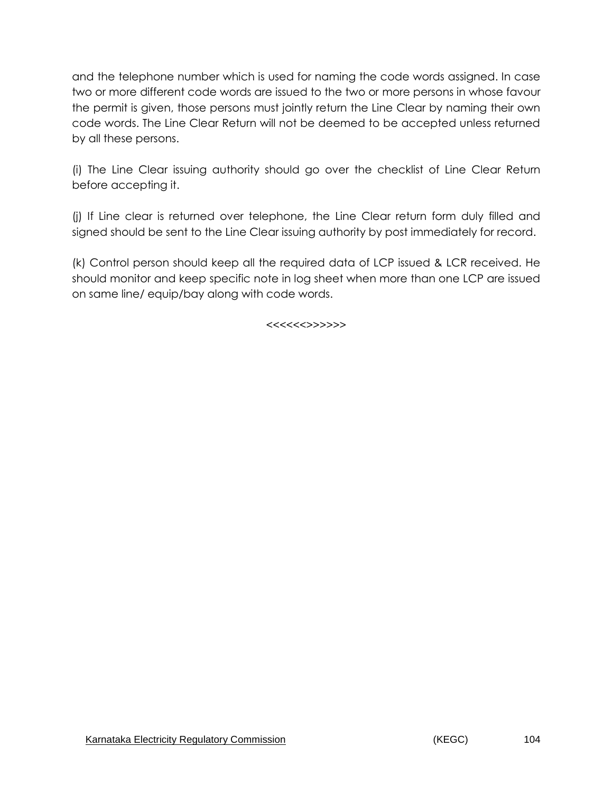and the telephone number which is used for naming the code words assigned. In case two or more different code words are issued to the two or more persons in whose favour the permit is given, those persons must jointly return the Line Clear by naming their own code words. The Line Clear Return will not be deemed to be accepted unless returned by all these persons.

(i) The Line Clear issuing authority should go over the checklist of Line Clear Return before accepting it.

(j) If Line clear is returned over telephone, the Line Clear return form duly filled and signed should be sent to the Line Clear issuing authority by post immediately for record.

(k) Control person should keep all the required data of LCP issued & LCR received. He should monitor and keep specific note in log sheet when more than one LCP are issued on same line/ equip/bay along with code words.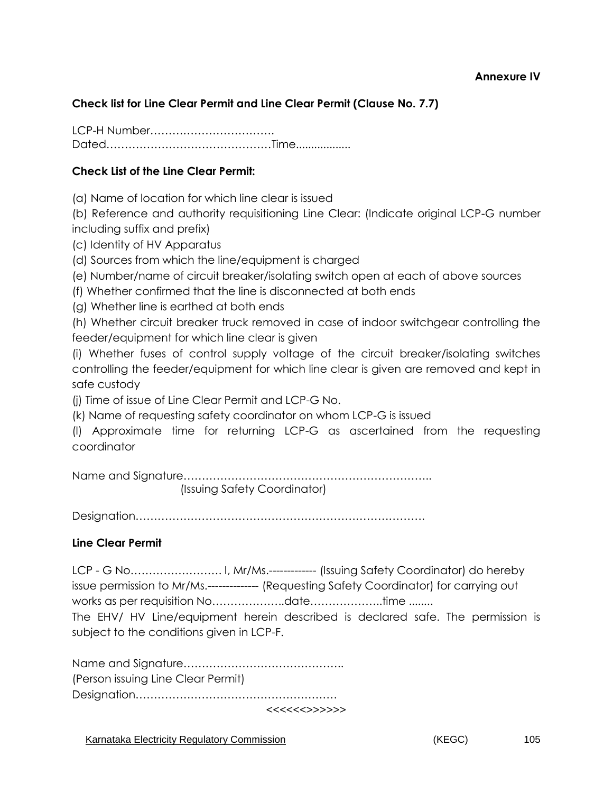#### **Annexure IV**

### **Check list for Line Clear Permit and Line Clear Permit (Clause No. 7.7)**

LCP-H Number……………………………. Dated………………………………………Time..................

#### **Check List of the Line Clear Permit:**

(a) Name of location for which line clear is issued

(b) Reference and authority requisitioning Line Clear: (Indicate original LCP-G number including suffix and prefix)

(c) Identity of HV Apparatus

(d) Sources from which the line/equipment is charged

(e) Number/name of circuit breaker/isolating switch open at each of above sources

(f) Whether confirmed that the line is disconnected at both ends

(g) Whether line is earthed at both ends

(h) Whether circuit breaker truck removed in case of indoor switchgear controlling the feeder/equipment for which line clear is given

(i) Whether fuses of control supply voltage of the circuit breaker/isolating switches controlling the feeder/equipment for which line clear is given are removed and kept in safe custody

(j) Time of issue of Line Clear Permit and LCP-G No.

(k) Name of requesting safety coordinator on whom LCP-G is issued

(l) Approximate time for returning LCP-G as ascertained from the requesting coordinator

Name and Signature………………………………………………………….. (Issuing Safety Coordinator)

Designation…………………………………………………………………….

#### **Line Clear Permit**

LCP - G No……………………. I, Mr/Ms.------------- (Issuing Safety Coordinator) do hereby issue permission to Mr/Ms.-------------- (Requesting Safety Coordinator) for carrying out works as per requisition No………………..date………………..time ........ The EHV/ HV Line/equipment herein described is declared safe. The permission is subject to the conditions given in LCP-F.

Name and Signature…………………………………….. (Person issuing Line Clear Permit) Designation……………………………………………….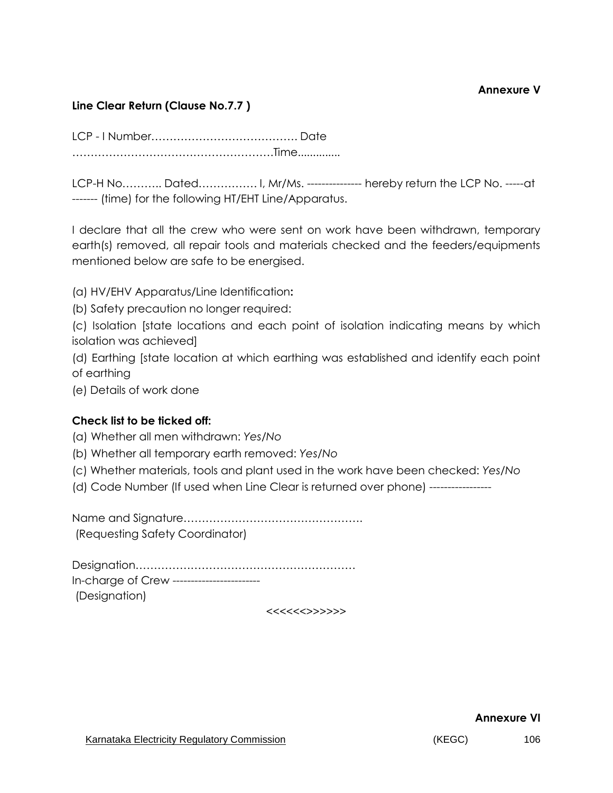### **Line Clear Return (Clause No.7.7 )**

LCP - I Number…………………………………. Date ……………………………………………….Time..............

LCP-H No……….. Dated……………. I, Mr/Ms. --------------- hereby return the LCP No. -----at ------- (time) for the following HT/EHT Line/Apparatus.

I declare that all the crew who were sent on work have been withdrawn, temporary earth(s) removed, all repair tools and materials checked and the feeders/equipments mentioned below are safe to be energised.

(a) HV/EHV Apparatus/Line Identification**:** 

(b) Safety precaution no longer required:

(c) Isolation [state locations and each point of isolation indicating means by which isolation was achieved]

(d) Earthing [state location at which earthing was established and identify each point of earthing

(e) Details of work done

#### **Check list to be ticked off:**

(a) Whether all men withdrawn: *Yes/No* 

- (b) Whether all temporary earth removed: *Yes/No*
- (c) Whether materials, tools and plant used in the work have been checked: *Yes/No*
- (d) Code Number (If used when Line Clear is returned over phone) -----------------

Name and Signature…………………………………………. (Requesting Safety Coordinator)

Designation…………………………………………………… In-charge of Crew ------------------------ (Designation)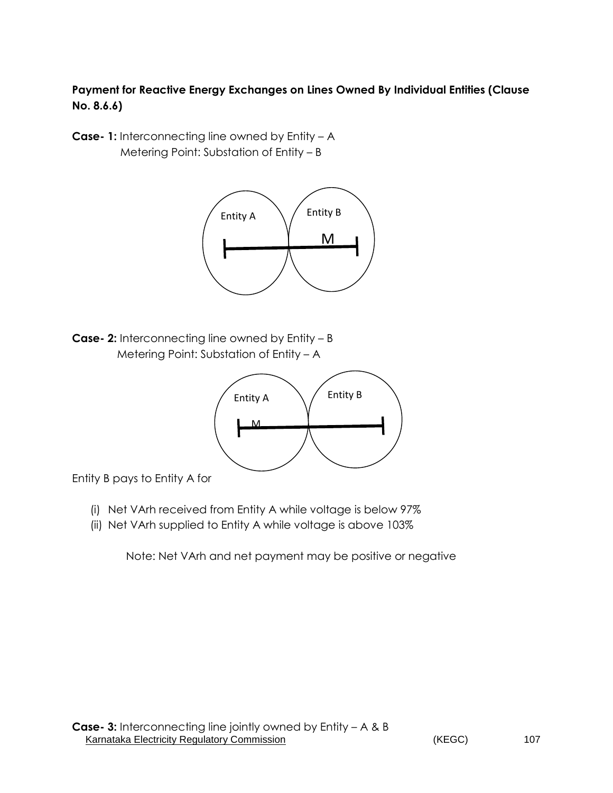# **Payment for Reactive Energy Exchanges on Lines Owned By Individual Entities (Clause No. 8.6.6)**

**Case- 1:** Interconnecting line owned by Entity – A Metering Point: Substation of Entity – B



**Case- 2:** Interconnecting line owned by Entity – B Metering Point: Substation of Entity – A



Entity B pays to Entity A for

- (i) Net VArh received from Entity A while voltage is below 97%
- (ii) Net VArh supplied to Entity A while voltage is above 103%

Note: Net VArh and net payment may be positive or negative